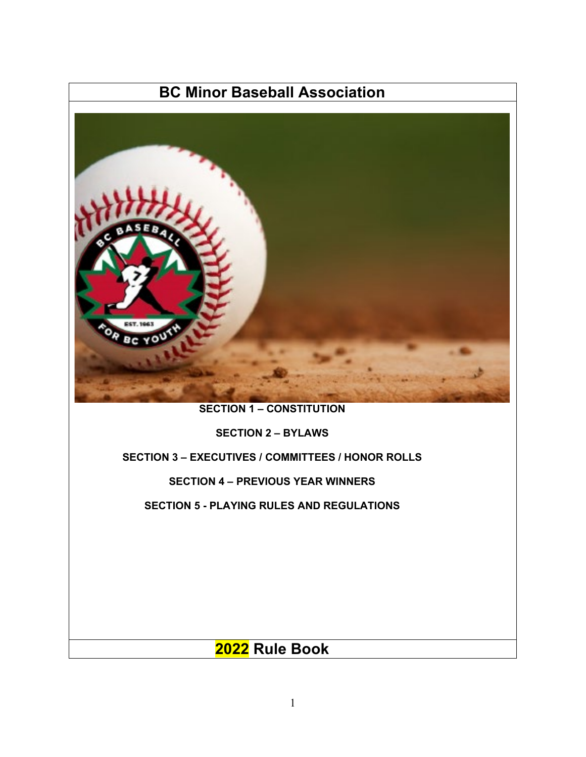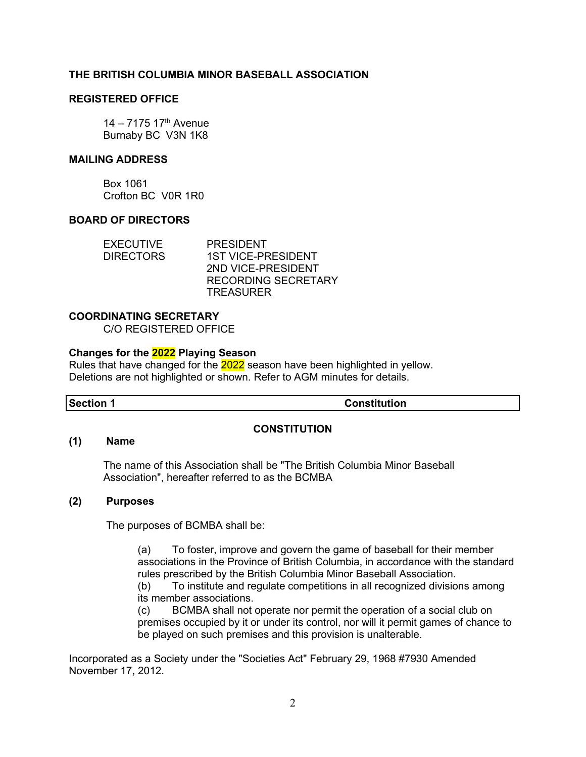#### **THE BRITISH COLUMBIA MINOR BASEBALL ASSOCIATION**

#### **REGISTERED OFFICE**

 $14 - 7175$  17<sup>th</sup> Avenue Burnaby BC V3N 1K8

#### **MAILING ADDRESS**

Box 1061 Crofton BC V0R 1R0

#### **BOARD OF DIRECTORS**

| <b>EXECUTIVE</b> | <b>PRESIDENT</b>           |
|------------------|----------------------------|
| <b>DIRECTORS</b> | <b>1ST VICE-PRESIDENT</b>  |
|                  | 2ND VICE-PRESIDENT         |
|                  | <b>RECORDING SECRETARY</b> |
|                  | <b>TREASURER</b>           |

#### **COORDINATING SECRETARY**

C/O REGISTERED OFFICE

#### **Changes for the 2022 Playing Season**

Rules that have changed for the 2022 season have been highlighted in yellow. Deletions are not highlighted or shown. Refer to AGM minutes for details.

**Section 1 Constitution**

#### **CONSTITUTION**

#### **(1) Name**

The name of this Association shall be "The British Columbia Minor Baseball Association", hereafter referred to as the BCMBA

#### **(2) Purposes**

The purposes of BCMBA shall be:

(a) To foster, improve and govern the game of baseball for their member associations in the Province of British Columbia, in accordance with the standard rules prescribed by the British Columbia Minor Baseball Association.

(b) To institute and regulate competitions in all recognized divisions among its member associations.

(c) BCMBA shall not operate nor permit the operation of a social club on premises occupied by it or under its control, nor will it permit games of chance to be played on such premises and this provision is unalterable.

Incorporated as a Society under the "Societies Act" February 29, 1968 #7930 Amended November 17, 2012.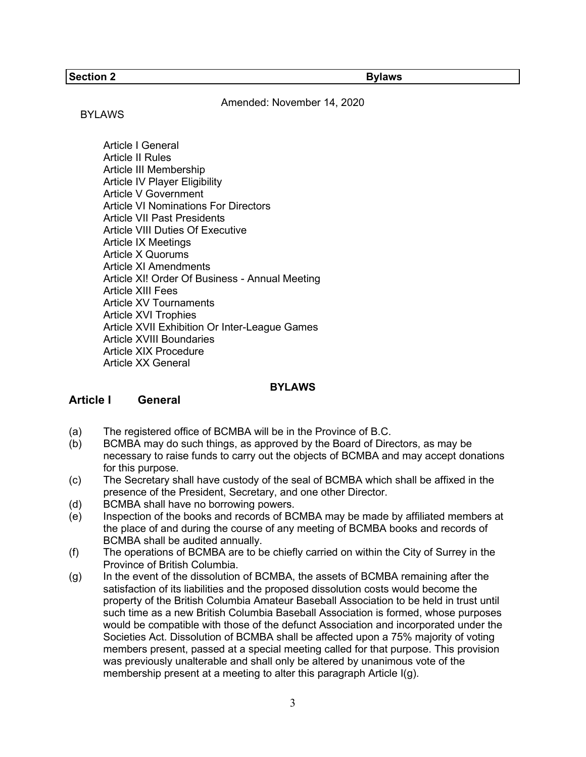#### **Section 2 Bylaws**

Amended: November 14, 2020

#### BYLAWS

Article I General Article II Rules Article III Membership Article IV Player Eligibility Article V Government Article VI Nominations For Directors Article VII Past Presidents Article VIII Duties Of Executive Article IX Meetings Article X Quorums Article XI Amendments Article XI! Order Of Business - Annual Meeting Article XIII Fees Article XV Tournaments Article XVI Trophies Article XVII Exhibition Or Inter-League Games Article XVIII Boundaries Article XIX Procedure Article XX General

#### **BYLAWS**

#### **Article I General**

- (a) The registered office of BCMBA will be in the Province of B.C.
- (b) BCMBA may do such things, as approved by the Board of Directors, as may be necessary to raise funds to carry out the objects of BCMBA and may accept donations for this purpose.
- (c) The Secretary shall have custody of the seal of BCMBA which shall be affixed in the presence of the President, Secretary, and one other Director.
- (d) BCMBA shall have no borrowing powers.
- (e) Inspection of the books and records of BCMBA may be made by affiliated members at the place of and during the course of any meeting of BCMBA books and records of BCMBA shall be audited annually.
- (f) The operations of BCMBA are to be chiefly carried on within the City of Surrey in the Province of British Columbia.
- (g) In the event of the dissolution of BCMBA, the assets of BCMBA remaining after the satisfaction of its liabilities and the proposed dissolution costs would become the property of the British Columbia Amateur Baseball Association to be held in trust until such time as a new British Columbia Baseball Association is formed, whose purposes would be compatible with those of the defunct Association and incorporated under the Societies Act. Dissolution of BCMBA shall be affected upon a 75% majority of voting members present, passed at a special meeting called for that purpose. This provision was previously unalterable and shall only be altered by unanimous vote of the membership present at a meeting to alter this paragraph Article I(g).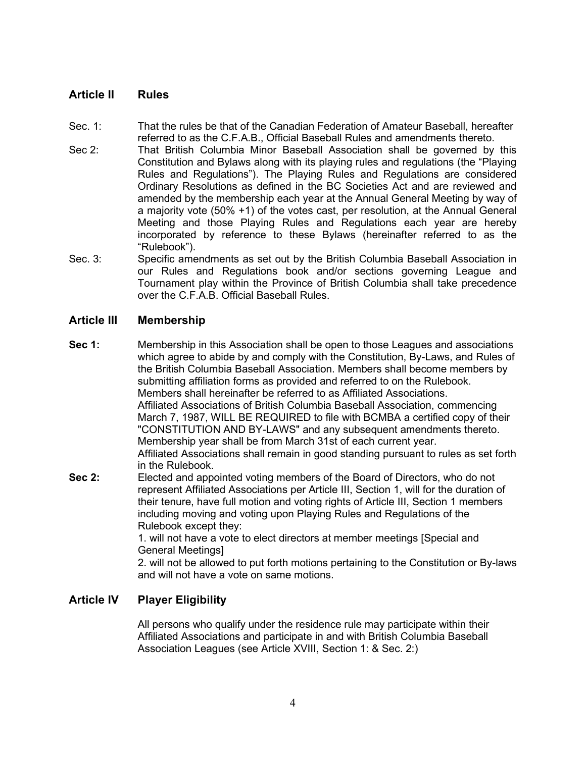# **Article II Rules**

- Sec. 1: That the rules be that of the Canadian Federation of Amateur Baseball, hereafter referred to as the C.F.A.B., Official Baseball Rules and amendments thereto.
- Sec 2: That British Columbia Minor Baseball Association shall be governed by this Constitution and Bylaws along with its playing rules and regulations (the "Playing Rules and Regulations"). The Playing Rules and Regulations are considered Ordinary Resolutions as defined in the BC Societies Act and are reviewed and amended by the membership each year at the Annual General Meeting by way of a majority vote (50% +1) of the votes cast, per resolution, at the Annual General Meeting and those Playing Rules and Regulations each year are hereby incorporated by reference to these Bylaws (hereinafter referred to as the "Rulebook").
- Sec. 3: Specific amendments as set out by the British Columbia Baseball Association in our Rules and Regulations book and/or sections governing League and Tournament play within the Province of British Columbia shall take precedence over the C.F.A.B. Official Baseball Rules.

#### **Article III Membership**

- **Sec 1:** Membership in this Association shall be open to those Leagues and associations which agree to abide by and comply with the Constitution, By-Laws, and Rules of the British Columbia Baseball Association. Members shall become members by submitting affiliation forms as provided and referred to on the Rulebook. Members shall hereinafter be referred to as Affiliated Associations. Affiliated Associations of British Columbia Baseball Association, commencing March 7, 1987, WILL BE REQUIRED to file with BCMBA a certified copy of their "CONSTITUTION AND BY-LAWS" and any subsequent amendments thereto. Membership year shall be from March 31st of each current year. Affiliated Associations shall remain in good standing pursuant to rules as set forth in the Rulebook.
- **Sec 2:** Elected and appointed voting members of the Board of Directors, who do not represent Affiliated Associations per Article III, Section 1, will for the duration of their tenure, have full motion and voting rights of Article III, Section 1 members including moving and voting upon Playing Rules and Regulations of the Rulebook except they:

1. will not have a vote to elect directors at member meetings [Special and General Meetings]

2. will not be allowed to put forth motions pertaining to the Constitution or By-laws and will not have a vote on same motions.

# **Article IV Player Eligibility**

All persons who qualify under the residence rule may participate within their Affiliated Associations and participate in and with British Columbia Baseball Association Leagues (see Article XVIII, Section 1: & Sec. 2:)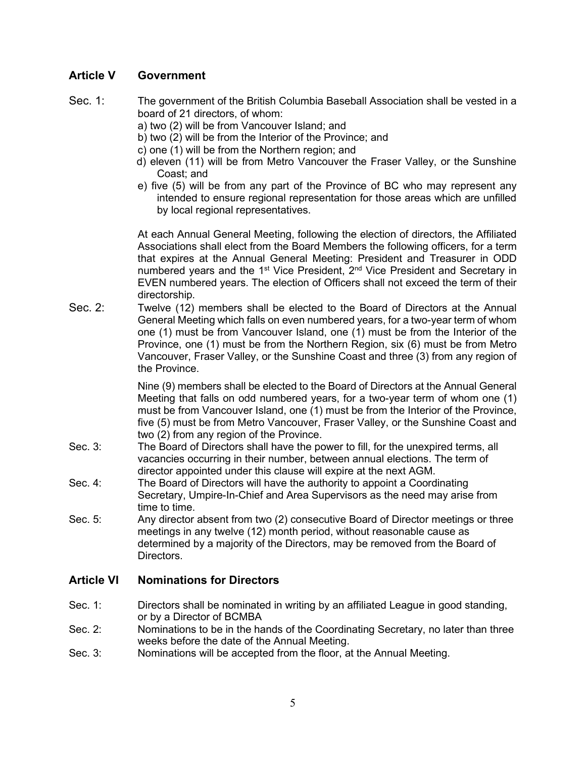# **Article V Government**

- Sec. 1: The government of the British Columbia Baseball Association shall be vested in a board of 21 directors, of whom:
	- a) two (2) will be from Vancouver Island; and
	- b) two (2) will be from the Interior of the Province; and
	- c) one (1) will be from the Northern region; and
	- d) eleven (11) will be from Metro Vancouver the Fraser Valley, or the Sunshine Coast; and
	- e) five (5) will be from any part of the Province of BC who may represent any intended to ensure regional representation for those areas which are unfilled by local regional representatives.

At each Annual General Meeting, following the election of directors, the Affiliated Associations shall elect from the Board Members the following officers, for a term that expires at the Annual General Meeting: President and Treasurer in ODD numbered years and the 1<sup>st</sup> Vice President, 2<sup>nd</sup> Vice President and Secretary in EVEN numbered years. The election of Officers shall not exceed the term of their directorship.

Sec. 2: Twelve (12) members shall be elected to the Board of Directors at the Annual General Meeting which falls on even numbered years, for a two-year term of whom one (1) must be from Vancouver Island, one (1) must be from the Interior of the Province, one (1) must be from the Northern Region, six (6) must be from Metro Vancouver, Fraser Valley, or the Sunshine Coast and three (3) from any region of the Province.

> Nine (9) members shall be elected to the Board of Directors at the Annual General Meeting that falls on odd numbered years, for a two-year term of whom one (1) must be from Vancouver Island, one (1) must be from the Interior of the Province, five (5) must be from Metro Vancouver, Fraser Valley, or the Sunshine Coast and two (2) from any region of the Province.

- Sec. 3: The Board of Directors shall have the power to fill, for the unexpired terms, all vacancies occurring in their number, between annual elections. The term of director appointed under this clause will expire at the next AGM.
- Sec. 4: The Board of Directors will have the authority to appoint a Coordinating Secretary, Umpire-In-Chief and Area Supervisors as the need may arise from time to time.
- Sec. 5: Any director absent from two (2) consecutive Board of Director meetings or three meetings in any twelve (12) month period, without reasonable cause as determined by a majority of the Directors, may be removed from the Board of Directors.

# **Article VI Nominations for Directors**

- Sec. 1: Directors shall be nominated in writing by an affiliated League in good standing, or by a Director of BCMBA
- Sec. 2: Nominations to be in the hands of the Coordinating Secretary, no later than three weeks before the date of the Annual Meeting.
- Sec. 3: Nominations will be accepted from the floor, at the Annual Meeting.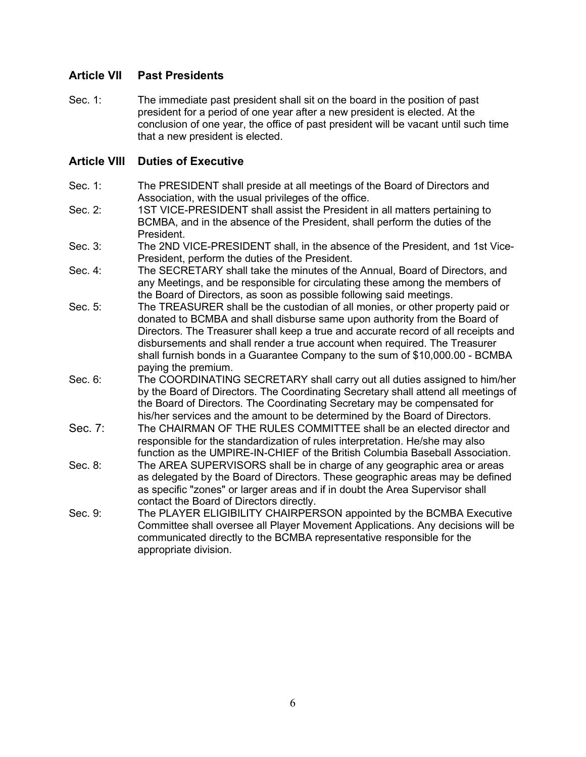# **Article VII Past Presidents**

Sec. 1: The immediate past president shall sit on the board in the position of past president for a period of one year after a new president is elected. At the conclusion of one year, the office of past president will be vacant until such time that a new president is elected.

# **Article VIII Duties of Executive**

- Sec. 1: The PRESIDENT shall preside at all meetings of the Board of Directors and Association, with the usual privileges of the office.
- Sec. 2: 1ST VICE-PRESIDENT shall assist the President in all matters pertaining to BCMBA, and in the absence of the President, shall perform the duties of the President.
- Sec. 3: The 2ND VICE-PRESIDENT shall, in the absence of the President, and 1st Vice-President, perform the duties of the President.
- Sec. 4: The SECRETARY shall take the minutes of the Annual, Board of Directors, and any Meetings, and be responsible for circulating these among the members of the Board of Directors, as soon as possible following said meetings.
- Sec. 5: The TREASURER shall be the custodian of all monies, or other property paid or donated to BCMBA and shall disburse same upon authority from the Board of Directors. The Treasurer shall keep a true and accurate record of all receipts and disbursements and shall render a true account when required. The Treasurer shall furnish bonds in a Guarantee Company to the sum of \$10,000.00 - BCMBA paying the premium.
- Sec. 6: The COORDINATING SECRETARY shall carry out all duties assigned to him/her by the Board of Directors. The Coordinating Secretary shall attend all meetings of the Board of Directors. The Coordinating Secretary may be compensated for his/her services and the amount to be determined by the Board of Directors.
- Sec. 7: The CHAIRMAN OF THE RULES COMMITTEE shall be an elected director and responsible for the standardization of rules interpretation. He/she may also function as the UMPIRE-IN-CHIEF of the British Columbia Baseball Association.
- Sec. 8: The AREA SUPERVISORS shall be in charge of any geographic area or areas as delegated by the Board of Directors. These geographic areas may be defined as specific "zones" or larger areas and if in doubt the Area Supervisor shall contact the Board of Directors directly.
- Sec. 9: The PLAYER ELIGIBILITY CHAIRPERSON appointed by the BCMBA Executive Committee shall oversee all Player Movement Applications. Any decisions will be communicated directly to the BCMBA representative responsible for the appropriate division.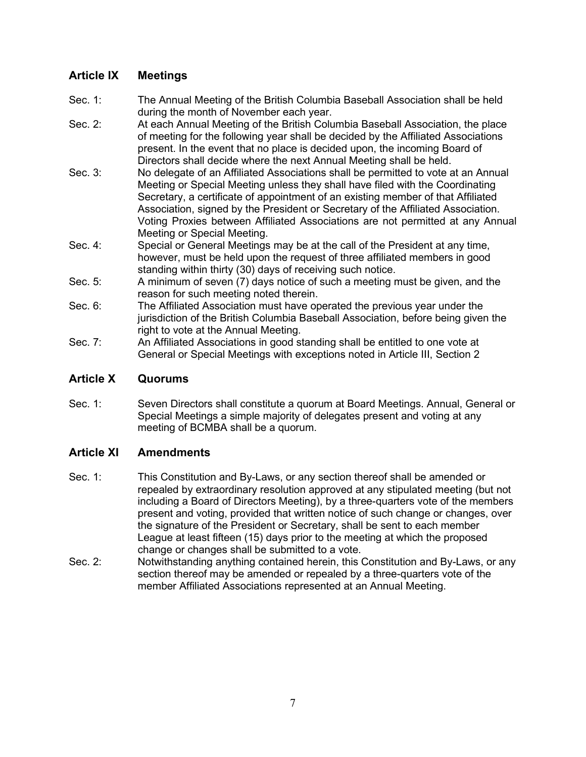# **Article IX Meetings**

- Sec. 1: The Annual Meeting of the British Columbia Baseball Association shall be held during the month of November each year.
- Sec. 2: At each Annual Meeting of the British Columbia Baseball Association, the place of meeting for the following year shall be decided by the Affiliated Associations present. In the event that no place is decided upon, the incoming Board of Directors shall decide where the next Annual Meeting shall be held.
- Sec. 3: No delegate of an Affiliated Associations shall be permitted to vote at an Annual Meeting or Special Meeting unless they shall have filed with the Coordinating Secretary, a certificate of appointment of an existing member of that Affiliated Association, signed by the President or Secretary of the Affiliated Association. Voting Proxies between Affiliated Associations are not permitted at any Annual Meeting or Special Meeting.
- Sec. 4: Special or General Meetings may be at the call of the President at any time, however, must be held upon the request of three affiliated members in good standing within thirty (30) days of receiving such notice.
- Sec. 5: A minimum of seven (7) days notice of such a meeting must be given, and the reason for such meeting noted therein.
- Sec. 6: The Affiliated Association must have operated the previous year under the jurisdiction of the British Columbia Baseball Association, before being given the right to vote at the Annual Meeting.
- Sec. 7: An Affiliated Associations in good standing shall be entitled to one vote at General or Special Meetings with exceptions noted in Article III, Section 2

# **Article X Quorums**

Sec. 1: Seven Directors shall constitute a quorum at Board Meetings. Annual, General or Special Meetings a simple majority of delegates present and voting at any meeting of BCMBA shall be a quorum.

# **Article XI Amendments**

- Sec. 1: This Constitution and By-Laws, or any section thereof shall be amended or repealed by extraordinary resolution approved at any stipulated meeting (but not including a Board of Directors Meeting), by a three-quarters vote of the members present and voting, provided that written notice of such change or changes, over the signature of the President or Secretary, shall be sent to each member League at least fifteen (15) days prior to the meeting at which the proposed change or changes shall be submitted to a vote.
- Sec. 2: Notwithstanding anything contained herein, this Constitution and By-Laws, or any section thereof may be amended or repealed by a three-quarters vote of the member Affiliated Associations represented at an Annual Meeting.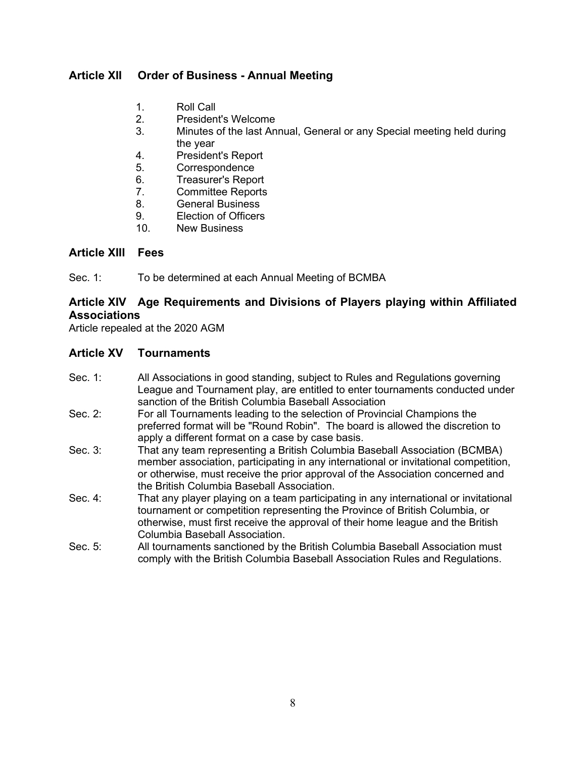# **Article XII Order of Business - Annual Meeting**

- 1. Roll Call
- 2. President's Welcome
- 3. Minutes of the last Annual, General or any Special meeting held during the year
- 4. President's Report
- 5. Correspondence
- 6. Treasurer's Report
- 7. Committee Reports
- 8. General Business
- 9. Election of Officers
- 10. New Business

# **Article XIII Fees**

Sec. 1: To be determined at each Annual Meeting of BCMBA

# **Article XIV Age Requirements and Divisions of Players playing within Affiliated Associations**

Article repealed at the 2020 AGM

# **Article XV Tournaments**

- Sec. 1: All Associations in good standing, subject to Rules and Regulations governing League and Tournament play, are entitled to enter tournaments conducted under sanction of the British Columbia Baseball Association
- Sec. 2: For all Tournaments leading to the selection of Provincial Champions the preferred format will be "Round Robin". The board is allowed the discretion to apply a different format on a case by case basis.
- Sec. 3: That any team representing a British Columbia Baseball Association (BCMBA) member association, participating in any international or invitational competition, or otherwise, must receive the prior approval of the Association concerned and the British Columbia Baseball Association.
- Sec. 4: That any player playing on a team participating in any international or invitational tournament or competition representing the Province of British Columbia, or otherwise, must first receive the approval of their home league and the British Columbia Baseball Association.
- Sec. 5: All tournaments sanctioned by the British Columbia Baseball Association must comply with the British Columbia Baseball Association Rules and Regulations.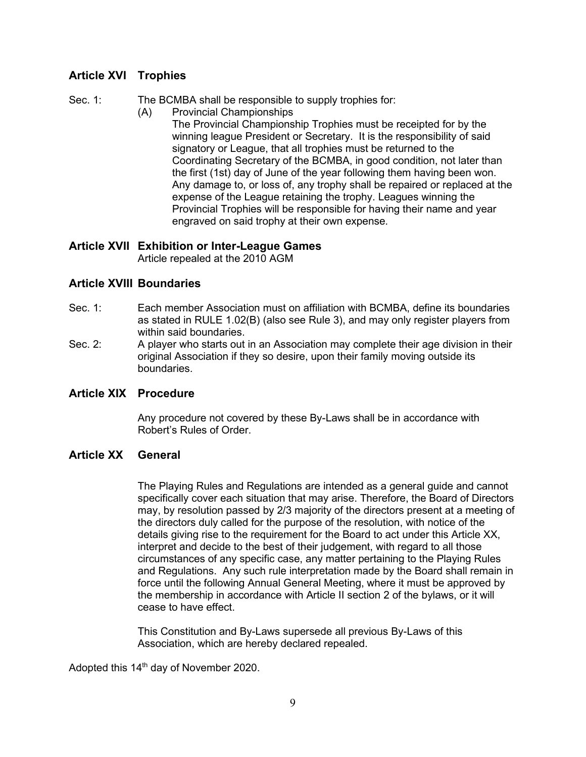# **Article XVI Trophies**

Sec. 1: The BCMBA shall be responsible to supply trophies for:

- (A) Provincial Championships
	- The Provincial Championship Trophies must be receipted for by the winning league President or Secretary. It is the responsibility of said signatory or League, that all trophies must be returned to the Coordinating Secretary of the BCMBA, in good condition, not later than the first (1st) day of June of the year following them having been won. Any damage to, or loss of, any trophy shall be repaired or replaced at the expense of the League retaining the trophy. Leagues winning the Provincial Trophies will be responsible for having their name and year engraved on said trophy at their own expense.

# **Article XVII Exhibition or Inter-League Games**

Article repealed at the 2010 AGM

# **Article XVIII Boundaries**

- Sec. 1: Each member Association must on affiliation with BCMBA, define its boundaries as stated in RULE 1.02(B) (also see Rule 3), and may only register players from within said boundaries.
- Sec. 2: A player who starts out in an Association may complete their age division in their original Association if they so desire, upon their family moving outside its boundaries.

# **Article XIX Procedure**

Any procedure not covered by these By-Laws shall be in accordance with Robert's Rules of Order.

# **Article XX General**

The Playing Rules and Regulations are intended as a general guide and cannot specifically cover each situation that may arise. Therefore, the Board of Directors may, by resolution passed by 2/3 majority of the directors present at a meeting of the directors duly called for the purpose of the resolution, with notice of the details giving rise to the requirement for the Board to act under this Article XX, interpret and decide to the best of their judgement, with regard to all those circumstances of any specific case, any matter pertaining to the Playing Rules and Regulations. Any such rule interpretation made by the Board shall remain in force until the following Annual General Meeting, where it must be approved by the membership in accordance with Article II section 2 of the bylaws, or it will cease to have effect.

This Constitution and By-Laws supersede all previous By-Laws of this Association, which are hereby declared repealed.

Adopted this 14<sup>th</sup> day of November 2020.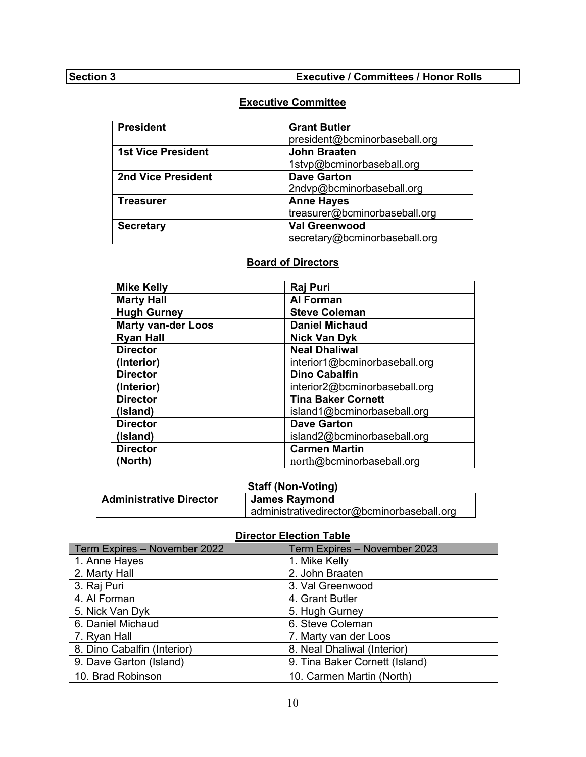# **Executive Committee**

| <b>President</b>          | <b>Grant Butler</b>           |
|---------------------------|-------------------------------|
|                           | president@bcminorbaseball.org |
| <b>1st Vice President</b> | <b>John Braaten</b>           |
|                           | 1stvp@bcminorbaseball.org     |
| <b>2nd Vice President</b> | <b>Dave Garton</b>            |
|                           | 2ndvp@bcminorbaseball.org     |
| <b>Treasurer</b>          | <b>Anne Hayes</b>             |
|                           | treasurer@bcminorbaseball.org |
| <b>Secretary</b>          | <b>Val Greenwood</b>          |
|                           | secretary@bcminorbaseball.org |

# **Board of Directors**

| <b>Mike Kelly</b>         | Raj Puri                      |
|---------------------------|-------------------------------|
| <b>Marty Hall</b>         | <b>Al Forman</b>              |
| <b>Hugh Gurney</b>        | <b>Steve Coleman</b>          |
| <b>Marty van-der Loos</b> | <b>Daniel Michaud</b>         |
| <b>Ryan Hall</b>          | <b>Nick Van Dyk</b>           |
| <b>Director</b>           | <b>Neal Dhaliwal</b>          |
| (Interior)                | interior1@bcminorbaseball.org |
| <b>Director</b>           | <b>Dino Cabalfin</b>          |
| (Interior)                | interior2@bcminorbaseball.org |
| <b>Director</b>           | <b>Tina Baker Cornett</b>     |
| (Island)                  | island1@bcminorbaseball.org   |
| <b>Director</b>           | <b>Dave Garton</b>            |
| (Island)                  | island2@bcminorbaseball.org   |
| <b>Director</b>           | <b>Carmen Martin</b>          |
| (North)                   | north@bcminorbaseball.org     |

# **Staff (Non-Voting)**

| <b>Administrative Director</b> | <b>James Raymond</b>                       |
|--------------------------------|--------------------------------------------|
|                                | administrativedirector@bcminorbaseball.org |

#### **Director Election Table**

| Term Expires - November 2022 | Term Expires - November 2023   |
|------------------------------|--------------------------------|
| 1. Anne Hayes                | 1. Mike Kelly                  |
| 2. Marty Hall                | 2. John Braaten                |
| 3. Raj Puri                  | 3. Val Greenwood               |
| 4. Al Forman                 | 4. Grant Butler                |
| 5. Nick Van Dyk              | 5. Hugh Gurney                 |
| 6. Daniel Michaud            | 6. Steve Coleman               |
| 7. Ryan Hall                 | 7. Marty van der Loos          |
| 8. Dino Cabalfin (Interior)  | 8. Neal Dhaliwal (Interior)    |
| 9. Dave Garton (Island)      | 9. Tina Baker Cornett (Island) |
| 10. Brad Robinson            | 10. Carmen Martin (North)      |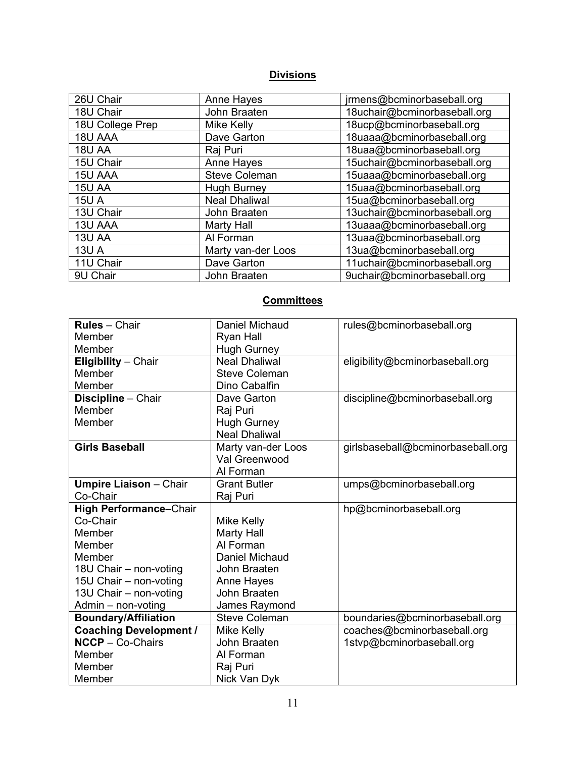# **Divisions**

| 26U Chair        | <b>Anne Hayes</b>    | jrmens@bcminorbaseball.org   |
|------------------|----------------------|------------------------------|
| 18U Chair        | John Braaten         | 18uchair@bcminorbaseball.org |
| 18U College Prep | <b>Mike Kelly</b>    | 18ucp@bcminorbaseball.org    |
| 18U AAA          | Dave Garton          | 18uaaa@bcminorbaseball.org   |
| <b>18U AA</b>    | Raj Puri             | 18uaa@bcminorbaseball.org    |
| 15U Chair        | <b>Anne Hayes</b>    | 15uchair@bcminorbaseball.org |
| 15U AAA          | <b>Steve Coleman</b> | 15uaaa@bcminorbaseball.org   |
| <b>15U AA</b>    | <b>Hugh Burney</b>   | 15uaa@bcminorbaseball.org    |
| <b>15U A</b>     | <b>Neal Dhaliwal</b> | 15ua@bcminorbaseball.org     |
| 13U Chair        | John Braaten         | 13uchair@bcminorbaseball.org |
| 13U AAA          | <b>Marty Hall</b>    | 13uaaa@bcminorbaseball.org   |
| 13U AA           | Al Forman            | 13uaa@bcminorbaseball.org    |
| <b>13U A</b>     | Marty van-der Loos   | 13ua@bcminorbaseball.org     |
| 11U Chair        | Dave Garton          | 11uchair@bcminorbaseball.org |
| 9U Chair         | John Braaten         | 9uchair@bcminorbaseball.org  |

# **Committees**

| <b>Rules</b> - Chair          | Daniel Michaud        | rules@bcminorbaseball.org         |
|-------------------------------|-----------------------|-----------------------------------|
| Member                        | Ryan Hall             |                                   |
| Member                        | <b>Hugh Gurney</b>    |                                   |
| Eligibility - Chair           | <b>Neal Dhaliwal</b>  | eligibility@bcminorbaseball.org   |
| Member                        | <b>Steve Coleman</b>  |                                   |
| Member                        | Dino Cabalfin         |                                   |
| Discipline - Chair            | Dave Garton           | discipline@bcminorbaseball.org    |
| Member                        | Raj Puri              |                                   |
| Member                        | <b>Hugh Gurney</b>    |                                   |
|                               | <b>Neal Dhaliwal</b>  |                                   |
| <b>Girls Baseball</b>         | Marty van-der Loos    | girlsbaseball@bcminorbaseball.org |
|                               | Val Greenwood         |                                   |
|                               | Al Forman             |                                   |
| <b>Umpire Liaison - Chair</b> | <b>Grant Butler</b>   | umps@bcminorbaseball.org          |
| Co-Chair                      | Raj Puri              |                                   |
| <b>High Performance-Chair</b> |                       | hp@bcminorbaseball.org            |
| Co-Chair                      | Mike Kelly            |                                   |
| Member                        | Marty Hall            |                                   |
| Member                        | Al Forman             |                                   |
| Member                        | <b>Daniel Michaud</b> |                                   |
| 18U Chair - non-voting        | John Braaten          |                                   |
| 15U Chair - non-voting        | Anne Hayes            |                                   |
| 13U Chair - non-voting        | John Braaten          |                                   |
| Admin - non-voting            | James Raymond         |                                   |
| <b>Boundary/Affiliation</b>   | <b>Steve Coleman</b>  | boundaries@bcminorbaseball.org    |
| <b>Coaching Development /</b> | Mike Kelly            | coaches@bcminorbaseball.org       |
| $NCCP - Co-Chairs$            | John Braaten          | 1stvp@bcminorbaseball.org         |
| Member                        | Al Forman             |                                   |
| Member                        | Raj Puri              |                                   |
| Member                        | Nick Van Dyk          |                                   |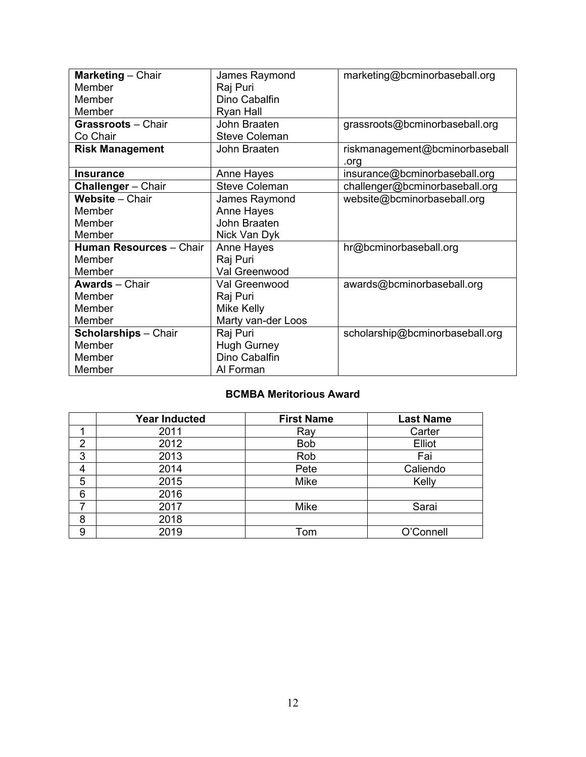| Marketing - Chair           | James Raymond        | marketing@bcminorbaseball.org   |
|-----------------------------|----------------------|---------------------------------|
| Member                      | Raj Puri             |                                 |
| Member                      | Dino Cabalfin        |                                 |
| Member                      | Ryan Hall            |                                 |
| <b>Grassroots - Chair</b>   | John Braaten         | grassroots@bcminorbaseball.org  |
| Co Chair                    | <b>Steve Coleman</b> |                                 |
| <b>Risk Management</b>      | John Braaten         | riskmanagement@bcminorbaseball  |
|                             |                      | .org                            |
| <b>Insurance</b>            | Anne Hayes           | insurance@bcminorbaseball.org   |
| <b>Challenger</b> - Chair   | <b>Steve Coleman</b> | challenger@bcminorbaseball.org  |
| Website - Chair             | James Raymond        | website@bcminorbaseball.org     |
| Member                      | Anne Hayes           |                                 |
| Member                      | John Braaten         |                                 |
| Member                      | Nick Van Dyk         |                                 |
| Human Resources - Chair     | Anne Hayes           | hr@bcminorbaseball.org          |
| Member                      | Raj Puri             |                                 |
| Member                      | Val Greenwood        |                                 |
| <b>Awards</b> - Chair       | Val Greenwood        | awards@bcminorbaseball.org      |
| Member                      | Raj Puri             |                                 |
| Member                      | Mike Kelly           |                                 |
| Member                      | Marty van-der Loos   |                                 |
| <b>Scholarships</b> - Chair | Raj Puri             | scholarship@bcminorbaseball.org |
| Member                      | <b>Hugh Gurney</b>   |                                 |
| Member                      | Dino Cabalfin        |                                 |
| Member                      | Al Forman            |                                 |

# **BCMBA Meritorious Award**

|                | <b>Year Inducted</b> | <b>First Name</b> | <b>Last Name</b> |
|----------------|----------------------|-------------------|------------------|
| ◢              | 2011                 | Ray               | Carter           |
| $\overline{2}$ | 2012                 | <b>Bob</b>        | Elliot           |
| 3              | 2013                 | Rob               | Fai              |
| 4              | 2014                 | Pete              | Caliendo         |
| 5              | 2015                 | Mike              | Kelly            |
| 6              | 2016                 |                   |                  |
| 7              | 2017                 | Mike              | Sarai            |
| 8              | 2018                 |                   |                  |
| 9              | 2019                 | Tom               | O'Connell        |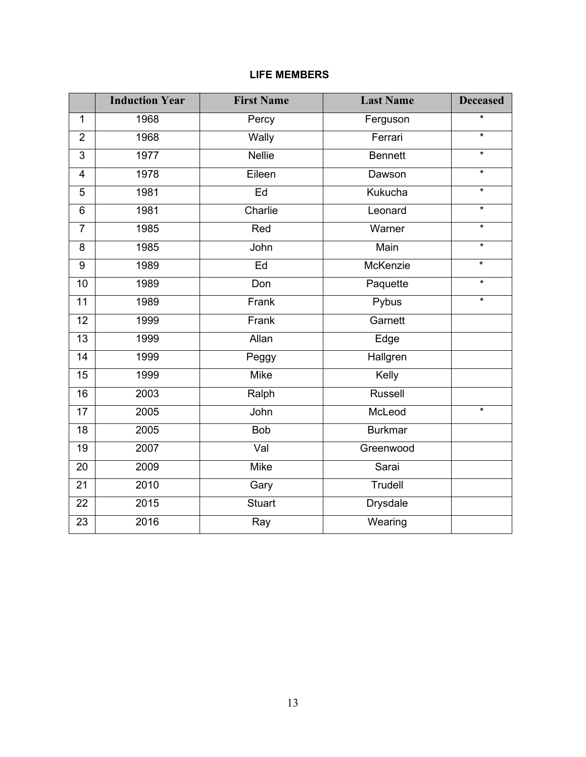# **LIFE MEMBERS**

| $\star$<br>1968<br>Percy<br>Ferguson<br>$\mathbf{1}$<br>$\star$<br>1968<br>Wally<br>$\overline{2}$<br>Ferrari<br>$\overline{\ast}$<br><b>Nellie</b><br>1977<br>$\overline{3}$<br><b>Bennett</b><br>$\star$<br>1978<br>Eileen<br>$\overline{4}$<br>Dawson<br>$\star$<br>Ed<br>Kukucha<br>5<br>1981<br>$\star$<br>Charlie<br>1981<br>Leonard<br>6<br>$\star$<br>$\overline{7}$<br>Warner<br>1985<br>Red<br>$\overline{\ast}$<br>Main<br>John<br>8<br>1985<br>$\star$<br>McKenzie<br>9<br>1989<br>Ed<br>$\star$<br>10<br>1989<br>Paquette<br>Don<br>$\star$<br>Frank<br>Pybus<br>11<br>1989<br>Frank<br>Garnett<br>12<br>1999<br>Allan<br>13<br>1999<br>Edge<br>$\overline{14}$<br>Hallgren<br>1999<br>Peggy<br><b>Mike</b><br>Kelly<br>15<br>1999<br>$\overline{16}$<br>2003<br>Ralph<br>Russell<br>2005<br>McLeod<br>$\star$<br>John<br>17<br>2005<br><b>Bob</b><br><b>Burkmar</b><br>18<br>2007<br>Val<br>Greenwood<br>19<br>Mike<br>20<br>2009<br>Sarai<br>2010<br><b>Trudell</b><br>21<br>Gary<br>2015<br><b>Stuart</b><br><b>Drysdale</b><br>22<br>2016<br>Wearing<br>23<br>Ray | <b>Induction Year</b> | <b>First Name</b> | <b>Last Name</b> | <b>Deceased</b> |
|------------------------------------------------------------------------------------------------------------------------------------------------------------------------------------------------------------------------------------------------------------------------------------------------------------------------------------------------------------------------------------------------------------------------------------------------------------------------------------------------------------------------------------------------------------------------------------------------------------------------------------------------------------------------------------------------------------------------------------------------------------------------------------------------------------------------------------------------------------------------------------------------------------------------------------------------------------------------------------------------------------------------------------------------------------------------------------|-----------------------|-------------------|------------------|-----------------|
|                                                                                                                                                                                                                                                                                                                                                                                                                                                                                                                                                                                                                                                                                                                                                                                                                                                                                                                                                                                                                                                                                    |                       |                   |                  |                 |
|                                                                                                                                                                                                                                                                                                                                                                                                                                                                                                                                                                                                                                                                                                                                                                                                                                                                                                                                                                                                                                                                                    |                       |                   |                  |                 |
|                                                                                                                                                                                                                                                                                                                                                                                                                                                                                                                                                                                                                                                                                                                                                                                                                                                                                                                                                                                                                                                                                    |                       |                   |                  |                 |
|                                                                                                                                                                                                                                                                                                                                                                                                                                                                                                                                                                                                                                                                                                                                                                                                                                                                                                                                                                                                                                                                                    |                       |                   |                  |                 |
|                                                                                                                                                                                                                                                                                                                                                                                                                                                                                                                                                                                                                                                                                                                                                                                                                                                                                                                                                                                                                                                                                    |                       |                   |                  |                 |
|                                                                                                                                                                                                                                                                                                                                                                                                                                                                                                                                                                                                                                                                                                                                                                                                                                                                                                                                                                                                                                                                                    |                       |                   |                  |                 |
|                                                                                                                                                                                                                                                                                                                                                                                                                                                                                                                                                                                                                                                                                                                                                                                                                                                                                                                                                                                                                                                                                    |                       |                   |                  |                 |
|                                                                                                                                                                                                                                                                                                                                                                                                                                                                                                                                                                                                                                                                                                                                                                                                                                                                                                                                                                                                                                                                                    |                       |                   |                  |                 |
|                                                                                                                                                                                                                                                                                                                                                                                                                                                                                                                                                                                                                                                                                                                                                                                                                                                                                                                                                                                                                                                                                    |                       |                   |                  |                 |
|                                                                                                                                                                                                                                                                                                                                                                                                                                                                                                                                                                                                                                                                                                                                                                                                                                                                                                                                                                                                                                                                                    |                       |                   |                  |                 |
|                                                                                                                                                                                                                                                                                                                                                                                                                                                                                                                                                                                                                                                                                                                                                                                                                                                                                                                                                                                                                                                                                    |                       |                   |                  |                 |
|                                                                                                                                                                                                                                                                                                                                                                                                                                                                                                                                                                                                                                                                                                                                                                                                                                                                                                                                                                                                                                                                                    |                       |                   |                  |                 |
|                                                                                                                                                                                                                                                                                                                                                                                                                                                                                                                                                                                                                                                                                                                                                                                                                                                                                                                                                                                                                                                                                    |                       |                   |                  |                 |
|                                                                                                                                                                                                                                                                                                                                                                                                                                                                                                                                                                                                                                                                                                                                                                                                                                                                                                                                                                                                                                                                                    |                       |                   |                  |                 |
|                                                                                                                                                                                                                                                                                                                                                                                                                                                                                                                                                                                                                                                                                                                                                                                                                                                                                                                                                                                                                                                                                    |                       |                   |                  |                 |
|                                                                                                                                                                                                                                                                                                                                                                                                                                                                                                                                                                                                                                                                                                                                                                                                                                                                                                                                                                                                                                                                                    |                       |                   |                  |                 |
|                                                                                                                                                                                                                                                                                                                                                                                                                                                                                                                                                                                                                                                                                                                                                                                                                                                                                                                                                                                                                                                                                    |                       |                   |                  |                 |
|                                                                                                                                                                                                                                                                                                                                                                                                                                                                                                                                                                                                                                                                                                                                                                                                                                                                                                                                                                                                                                                                                    |                       |                   |                  |                 |
|                                                                                                                                                                                                                                                                                                                                                                                                                                                                                                                                                                                                                                                                                                                                                                                                                                                                                                                                                                                                                                                                                    |                       |                   |                  |                 |
|                                                                                                                                                                                                                                                                                                                                                                                                                                                                                                                                                                                                                                                                                                                                                                                                                                                                                                                                                                                                                                                                                    |                       |                   |                  |                 |
|                                                                                                                                                                                                                                                                                                                                                                                                                                                                                                                                                                                                                                                                                                                                                                                                                                                                                                                                                                                                                                                                                    |                       |                   |                  |                 |
|                                                                                                                                                                                                                                                                                                                                                                                                                                                                                                                                                                                                                                                                                                                                                                                                                                                                                                                                                                                                                                                                                    |                       |                   |                  |                 |
|                                                                                                                                                                                                                                                                                                                                                                                                                                                                                                                                                                                                                                                                                                                                                                                                                                                                                                                                                                                                                                                                                    |                       |                   |                  |                 |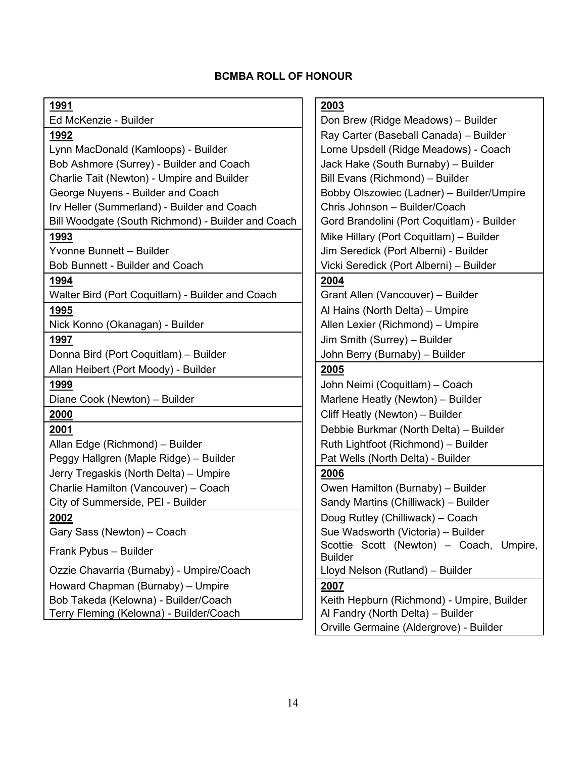# **BCMBA ROLL OF HONOUR**

Lynn MacDonald (Kamloops) - Builder Lorne Upsdell (Ridge Meadows) - Coach Bob Ashmore (Surrey) - Builder and Coach Jack Hake (South Burnaby) – Builder Charlie Tait (Newton) - Umpire and Builder **Bill Evans (Richmond)** – Builder George Nuyens - Builder and Coach Bobby Olszowiec (Ladner) – Builder/Umpire Irv Heller (Summerland) - Builder and Coach | Chris Johnson – Builder/Coach Bill Woodgate (South Richmond) - Builder and Coach | Gord Brandolini (Port Coquitlam) - Builder **1993** Mike Hillary (Port Coquitlam) – Builder Yvonne Bunnett – Builder John Seredick (Port Alberni) - Builder Bob Bunnett - Builder and Coach Vicki Seredick (Port Alberni) – Builder **1994 2004** Walter Bird (Port Coquitlam) - Builder and Coach Grant Allen (Vancouver) – Builder

Donna Bird (Port Coquitlam) – Builder John Berry (Burnaby) – Builder

Allan Heibert (Port Moody) - Builder **2005**

Allan Edge (Richmond) – Builder Ruth Lightfoot (Richmond) – Builder Peggy Hallgren (Maple Ridge) – Builder Pat Wells (North Delta) - Builder Jerry Tregaskis (North Delta) – Umpire **2006** Charlie Hamilton (Vancouver) – Coach  $\vert \vert$  Owen Hamilton (Burnaby) – Builder

Ozzie Chavarria (Burnaby) - Umpire/Coach | | Lloyd Nelson (Rutland) – Builder Howard Chapman (Burnaby) – Umpire **2007**

# **1991 2003**

Ed McKenzie - Builder Don Brew (Ridge Meadows) – Builder **1992** Ray Carter (Baseball Canada) – Builder

**1995 All Hallmannial Company of Land Alberta** (North Delta) – Umpire Nick Konno (Okanagan) - Builder **Allen Lexier (Allen Lexier (Richmond)** – Umpire **1997** Jim Smith (Surrey) – Builder

 John Neimi (Coquitlam) – Coach Diane Cook (Newton) – Builder Mariene Heatly (Newton) – Builder **Cliff Heatly (Newton) – Builder** Debbie Burkmar (North Delta) – Builder

City of Summerside, PEI - Builder Sandy Martins (Chilliwack) – Builder **2002** Doug Rutley (Chilliwack) – Coach Gary Sass (Newton) – Coach  $\|\cdot\|$  Sue Wadsworth (Victoria) – Builder Frank Pybus – Builder Scottie Scottie Scott (Newton) – Coach, Umpire, Builder

Bob Takeda (Kelowna) - Builder/Coach Keith Hepburn (Richmond) - Umpire, Builder Terry Fleming (Kelowna) - Builder/Coach **Alexandry (North Delta) – Builder** Al Fandry (North Delta) – Builder Orville Germaine (Aldergrove) - Builder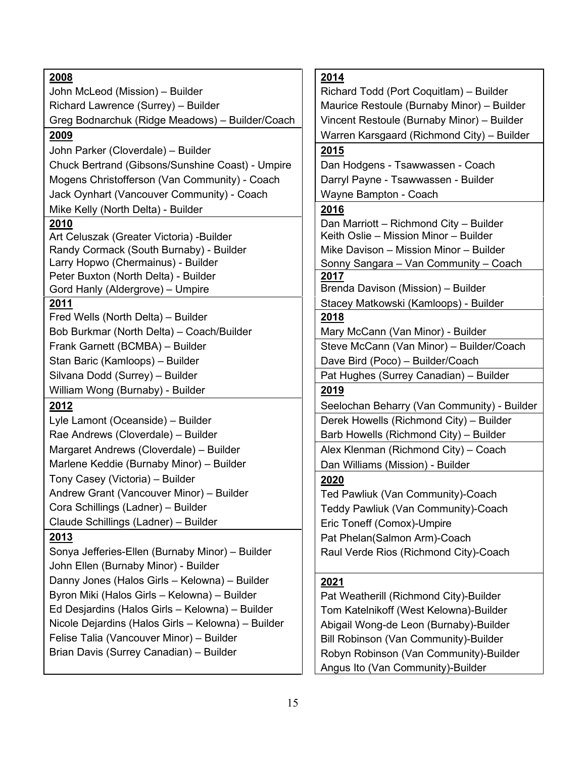| John McLeod (Mission) - Builder<br>Richard Todd (Port Coquitlam) - Builder<br>Richard Lawrence (Surrey) - Builder<br>Maurice Restoule (Burnaby Minor) - Builder<br>Greg Bodnarchuk (Ridge Meadows) - Builder/Coach<br>Vincent Restoule (Burnaby Minor) - Builder<br>Warren Karsgaard (Richmond City) - Builder<br><u>2009</u><br>2015<br>John Parker (Cloverdale) - Builder<br>Chuck Bertrand (Gibsons/Sunshine Coast) - Umpire<br>Dan Hodgens - Tsawwassen - Coach<br>Mogens Christofferson (Van Community) - Coach<br>Darryl Payne - Tsawwassen - Builder<br>Jack Oynhart (Vancouver Community) - Coach<br>Wayne Bampton - Coach<br>Mike Kelly (North Delta) - Builder<br>2016<br>Dan Marriott - Richmond City - Builder<br>2010<br>Keith Oslie - Mission Minor - Builder<br>Art Celuszak (Greater Victoria) - Builder<br>Randy Cormack (South Burnaby) - Builder<br>Mike Davison - Mission Minor - Builder<br>Larry Hopwo (Chermainus) - Builder<br>Sonny Sangara - Van Community - Coach<br>Peter Buxton (North Delta) - Builder<br>2017<br>Brenda Davison (Mission) - Builder<br>Gord Hanly (Aldergrove) - Umpire<br>Stacey Matkowski (Kamloops) - Builder<br><u>2011</u><br>Fred Wells (North Delta) - Builder<br>2018<br>Bob Burkmar (North Delta) - Coach/Builder<br>Mary McCann (Van Minor) - Builder<br>Steve McCann (Van Minor) - Builder/Coach<br>Frank Garnett (BCMBA) - Builder<br>Stan Baric (Kamloops) - Builder<br>Dave Bird (Poco) - Builder/Coach<br>Silvana Dodd (Surrey) - Builder<br>Pat Hughes (Surrey Canadian) - Builder<br>William Wong (Burnaby) - Builder<br>2019<br>2012<br>Seelochan Beharry (Van Community) - Builder<br>Derek Howells (Richmond City) - Builder<br>Lyle Lamont (Oceanside) - Builder<br>Rae Andrews (Cloverdale) - Builder<br>Barb Howells (Richmond City) - Builder<br>Margaret Andrews (Cloverdale) - Builder<br>Alex Klenman (Richmond City) - Coach<br>Marlene Keddie (Burnaby Minor) - Builder<br>Dan Williams (Mission) - Builder<br>Tony Casey (Victoria) - Builder<br>2020<br>Andrew Grant (Vancouver Minor) - Builder<br>Ted Pawliuk (Van Community)-Coach<br>Cora Schillings (Ladner) - Builder<br>Teddy Pawliuk (Van Community)-Coach<br>Claude Schillings (Ladner) - Builder<br>Eric Toneff (Comox)-Umpire |      |      |
|------------------------------------------------------------------------------------------------------------------------------------------------------------------------------------------------------------------------------------------------------------------------------------------------------------------------------------------------------------------------------------------------------------------------------------------------------------------------------------------------------------------------------------------------------------------------------------------------------------------------------------------------------------------------------------------------------------------------------------------------------------------------------------------------------------------------------------------------------------------------------------------------------------------------------------------------------------------------------------------------------------------------------------------------------------------------------------------------------------------------------------------------------------------------------------------------------------------------------------------------------------------------------------------------------------------------------------------------------------------------------------------------------------------------------------------------------------------------------------------------------------------------------------------------------------------------------------------------------------------------------------------------------------------------------------------------------------------------------------------------------------------------------------------------------------------------------------------------------------------------------------------------------------------------------------------------------------------------------------------------------------------------------------------------------------------------------------------------------------------------------------------------------------------------------------------------------------------------------------------------------------------------|------|------|
|                                                                                                                                                                                                                                                                                                                                                                                                                                                                                                                                                                                                                                                                                                                                                                                                                                                                                                                                                                                                                                                                                                                                                                                                                                                                                                                                                                                                                                                                                                                                                                                                                                                                                                                                                                                                                                                                                                                                                                                                                                                                                                                                                                                                                                                                        | 2008 | 2014 |
|                                                                                                                                                                                                                                                                                                                                                                                                                                                                                                                                                                                                                                                                                                                                                                                                                                                                                                                                                                                                                                                                                                                                                                                                                                                                                                                                                                                                                                                                                                                                                                                                                                                                                                                                                                                                                                                                                                                                                                                                                                                                                                                                                                                                                                                                        |      |      |
|                                                                                                                                                                                                                                                                                                                                                                                                                                                                                                                                                                                                                                                                                                                                                                                                                                                                                                                                                                                                                                                                                                                                                                                                                                                                                                                                                                                                                                                                                                                                                                                                                                                                                                                                                                                                                                                                                                                                                                                                                                                                                                                                                                                                                                                                        |      |      |
|                                                                                                                                                                                                                                                                                                                                                                                                                                                                                                                                                                                                                                                                                                                                                                                                                                                                                                                                                                                                                                                                                                                                                                                                                                                                                                                                                                                                                                                                                                                                                                                                                                                                                                                                                                                                                                                                                                                                                                                                                                                                                                                                                                                                                                                                        |      |      |
|                                                                                                                                                                                                                                                                                                                                                                                                                                                                                                                                                                                                                                                                                                                                                                                                                                                                                                                                                                                                                                                                                                                                                                                                                                                                                                                                                                                                                                                                                                                                                                                                                                                                                                                                                                                                                                                                                                                                                                                                                                                                                                                                                                                                                                                                        |      |      |
|                                                                                                                                                                                                                                                                                                                                                                                                                                                                                                                                                                                                                                                                                                                                                                                                                                                                                                                                                                                                                                                                                                                                                                                                                                                                                                                                                                                                                                                                                                                                                                                                                                                                                                                                                                                                                                                                                                                                                                                                                                                                                                                                                                                                                                                                        |      |      |
|                                                                                                                                                                                                                                                                                                                                                                                                                                                                                                                                                                                                                                                                                                                                                                                                                                                                                                                                                                                                                                                                                                                                                                                                                                                                                                                                                                                                                                                                                                                                                                                                                                                                                                                                                                                                                                                                                                                                                                                                                                                                                                                                                                                                                                                                        |      |      |
|                                                                                                                                                                                                                                                                                                                                                                                                                                                                                                                                                                                                                                                                                                                                                                                                                                                                                                                                                                                                                                                                                                                                                                                                                                                                                                                                                                                                                                                                                                                                                                                                                                                                                                                                                                                                                                                                                                                                                                                                                                                                                                                                                                                                                                                                        |      |      |
|                                                                                                                                                                                                                                                                                                                                                                                                                                                                                                                                                                                                                                                                                                                                                                                                                                                                                                                                                                                                                                                                                                                                                                                                                                                                                                                                                                                                                                                                                                                                                                                                                                                                                                                                                                                                                                                                                                                                                                                                                                                                                                                                                                                                                                                                        |      |      |
|                                                                                                                                                                                                                                                                                                                                                                                                                                                                                                                                                                                                                                                                                                                                                                                                                                                                                                                                                                                                                                                                                                                                                                                                                                                                                                                                                                                                                                                                                                                                                                                                                                                                                                                                                                                                                                                                                                                                                                                                                                                                                                                                                                                                                                                                        |      |      |
|                                                                                                                                                                                                                                                                                                                                                                                                                                                                                                                                                                                                                                                                                                                                                                                                                                                                                                                                                                                                                                                                                                                                                                                                                                                                                                                                                                                                                                                                                                                                                                                                                                                                                                                                                                                                                                                                                                                                                                                                                                                                                                                                                                                                                                                                        |      |      |
|                                                                                                                                                                                                                                                                                                                                                                                                                                                                                                                                                                                                                                                                                                                                                                                                                                                                                                                                                                                                                                                                                                                                                                                                                                                                                                                                                                                                                                                                                                                                                                                                                                                                                                                                                                                                                                                                                                                                                                                                                                                                                                                                                                                                                                                                        |      |      |
|                                                                                                                                                                                                                                                                                                                                                                                                                                                                                                                                                                                                                                                                                                                                                                                                                                                                                                                                                                                                                                                                                                                                                                                                                                                                                                                                                                                                                                                                                                                                                                                                                                                                                                                                                                                                                                                                                                                                                                                                                                                                                                                                                                                                                                                                        |      |      |
|                                                                                                                                                                                                                                                                                                                                                                                                                                                                                                                                                                                                                                                                                                                                                                                                                                                                                                                                                                                                                                                                                                                                                                                                                                                                                                                                                                                                                                                                                                                                                                                                                                                                                                                                                                                                                                                                                                                                                                                                                                                                                                                                                                                                                                                                        |      |      |
|                                                                                                                                                                                                                                                                                                                                                                                                                                                                                                                                                                                                                                                                                                                                                                                                                                                                                                                                                                                                                                                                                                                                                                                                                                                                                                                                                                                                                                                                                                                                                                                                                                                                                                                                                                                                                                                                                                                                                                                                                                                                                                                                                                                                                                                                        |      |      |
|                                                                                                                                                                                                                                                                                                                                                                                                                                                                                                                                                                                                                                                                                                                                                                                                                                                                                                                                                                                                                                                                                                                                                                                                                                                                                                                                                                                                                                                                                                                                                                                                                                                                                                                                                                                                                                                                                                                                                                                                                                                                                                                                                                                                                                                                        |      |      |
|                                                                                                                                                                                                                                                                                                                                                                                                                                                                                                                                                                                                                                                                                                                                                                                                                                                                                                                                                                                                                                                                                                                                                                                                                                                                                                                                                                                                                                                                                                                                                                                                                                                                                                                                                                                                                                                                                                                                                                                                                                                                                                                                                                                                                                                                        |      |      |
|                                                                                                                                                                                                                                                                                                                                                                                                                                                                                                                                                                                                                                                                                                                                                                                                                                                                                                                                                                                                                                                                                                                                                                                                                                                                                                                                                                                                                                                                                                                                                                                                                                                                                                                                                                                                                                                                                                                                                                                                                                                                                                                                                                                                                                                                        |      |      |
|                                                                                                                                                                                                                                                                                                                                                                                                                                                                                                                                                                                                                                                                                                                                                                                                                                                                                                                                                                                                                                                                                                                                                                                                                                                                                                                                                                                                                                                                                                                                                                                                                                                                                                                                                                                                                                                                                                                                                                                                                                                                                                                                                                                                                                                                        |      |      |
|                                                                                                                                                                                                                                                                                                                                                                                                                                                                                                                                                                                                                                                                                                                                                                                                                                                                                                                                                                                                                                                                                                                                                                                                                                                                                                                                                                                                                                                                                                                                                                                                                                                                                                                                                                                                                                                                                                                                                                                                                                                                                                                                                                                                                                                                        |      |      |
|                                                                                                                                                                                                                                                                                                                                                                                                                                                                                                                                                                                                                                                                                                                                                                                                                                                                                                                                                                                                                                                                                                                                                                                                                                                                                                                                                                                                                                                                                                                                                                                                                                                                                                                                                                                                                                                                                                                                                                                                                                                                                                                                                                                                                                                                        |      |      |
|                                                                                                                                                                                                                                                                                                                                                                                                                                                                                                                                                                                                                                                                                                                                                                                                                                                                                                                                                                                                                                                                                                                                                                                                                                                                                                                                                                                                                                                                                                                                                                                                                                                                                                                                                                                                                                                                                                                                                                                                                                                                                                                                                                                                                                                                        |      |      |
|                                                                                                                                                                                                                                                                                                                                                                                                                                                                                                                                                                                                                                                                                                                                                                                                                                                                                                                                                                                                                                                                                                                                                                                                                                                                                                                                                                                                                                                                                                                                                                                                                                                                                                                                                                                                                                                                                                                                                                                                                                                                                                                                                                                                                                                                        |      |      |
|                                                                                                                                                                                                                                                                                                                                                                                                                                                                                                                                                                                                                                                                                                                                                                                                                                                                                                                                                                                                                                                                                                                                                                                                                                                                                                                                                                                                                                                                                                                                                                                                                                                                                                                                                                                                                                                                                                                                                                                                                                                                                                                                                                                                                                                                        |      |      |
|                                                                                                                                                                                                                                                                                                                                                                                                                                                                                                                                                                                                                                                                                                                                                                                                                                                                                                                                                                                                                                                                                                                                                                                                                                                                                                                                                                                                                                                                                                                                                                                                                                                                                                                                                                                                                                                                                                                                                                                                                                                                                                                                                                                                                                                                        |      |      |
|                                                                                                                                                                                                                                                                                                                                                                                                                                                                                                                                                                                                                                                                                                                                                                                                                                                                                                                                                                                                                                                                                                                                                                                                                                                                                                                                                                                                                                                                                                                                                                                                                                                                                                                                                                                                                                                                                                                                                                                                                                                                                                                                                                                                                                                                        |      |      |
|                                                                                                                                                                                                                                                                                                                                                                                                                                                                                                                                                                                                                                                                                                                                                                                                                                                                                                                                                                                                                                                                                                                                                                                                                                                                                                                                                                                                                                                                                                                                                                                                                                                                                                                                                                                                                                                                                                                                                                                                                                                                                                                                                                                                                                                                        |      |      |
|                                                                                                                                                                                                                                                                                                                                                                                                                                                                                                                                                                                                                                                                                                                                                                                                                                                                                                                                                                                                                                                                                                                                                                                                                                                                                                                                                                                                                                                                                                                                                                                                                                                                                                                                                                                                                                                                                                                                                                                                                                                                                                                                                                                                                                                                        |      |      |
|                                                                                                                                                                                                                                                                                                                                                                                                                                                                                                                                                                                                                                                                                                                                                                                                                                                                                                                                                                                                                                                                                                                                                                                                                                                                                                                                                                                                                                                                                                                                                                                                                                                                                                                                                                                                                                                                                                                                                                                                                                                                                                                                                                                                                                                                        |      |      |
|                                                                                                                                                                                                                                                                                                                                                                                                                                                                                                                                                                                                                                                                                                                                                                                                                                                                                                                                                                                                                                                                                                                                                                                                                                                                                                                                                                                                                                                                                                                                                                                                                                                                                                                                                                                                                                                                                                                                                                                                                                                                                                                                                                                                                                                                        |      |      |
|                                                                                                                                                                                                                                                                                                                                                                                                                                                                                                                                                                                                                                                                                                                                                                                                                                                                                                                                                                                                                                                                                                                                                                                                                                                                                                                                                                                                                                                                                                                                                                                                                                                                                                                                                                                                                                                                                                                                                                                                                                                                                                                                                                                                                                                                        |      |      |
|                                                                                                                                                                                                                                                                                                                                                                                                                                                                                                                                                                                                                                                                                                                                                                                                                                                                                                                                                                                                                                                                                                                                                                                                                                                                                                                                                                                                                                                                                                                                                                                                                                                                                                                                                                                                                                                                                                                                                                                                                                                                                                                                                                                                                                                                        |      |      |
| 2013<br>Pat Phelan(Salmon Arm)-Coach                                                                                                                                                                                                                                                                                                                                                                                                                                                                                                                                                                                                                                                                                                                                                                                                                                                                                                                                                                                                                                                                                                                                                                                                                                                                                                                                                                                                                                                                                                                                                                                                                                                                                                                                                                                                                                                                                                                                                                                                                                                                                                                                                                                                                                   |      |      |
| Sonya Jefferies-Ellen (Burnaby Minor) - Builder<br>Raul Verde Rios (Richmond City)-Coach                                                                                                                                                                                                                                                                                                                                                                                                                                                                                                                                                                                                                                                                                                                                                                                                                                                                                                                                                                                                                                                                                                                                                                                                                                                                                                                                                                                                                                                                                                                                                                                                                                                                                                                                                                                                                                                                                                                                                                                                                                                                                                                                                                               |      |      |
| John Ellen (Burnaby Minor) - Builder                                                                                                                                                                                                                                                                                                                                                                                                                                                                                                                                                                                                                                                                                                                                                                                                                                                                                                                                                                                                                                                                                                                                                                                                                                                                                                                                                                                                                                                                                                                                                                                                                                                                                                                                                                                                                                                                                                                                                                                                                                                                                                                                                                                                                                   |      |      |
| Danny Jones (Halos Girls - Kelowna) - Builder<br>2021                                                                                                                                                                                                                                                                                                                                                                                                                                                                                                                                                                                                                                                                                                                                                                                                                                                                                                                                                                                                                                                                                                                                                                                                                                                                                                                                                                                                                                                                                                                                                                                                                                                                                                                                                                                                                                                                                                                                                                                                                                                                                                                                                                                                                  |      |      |
| Byron Miki (Halos Girls - Kelowna) - Builder<br>Pat Weatherill (Richmond City)-Builder                                                                                                                                                                                                                                                                                                                                                                                                                                                                                                                                                                                                                                                                                                                                                                                                                                                                                                                                                                                                                                                                                                                                                                                                                                                                                                                                                                                                                                                                                                                                                                                                                                                                                                                                                                                                                                                                                                                                                                                                                                                                                                                                                                                 |      |      |
| Ed Desjardins (Halos Girls - Kelowna) - Builder<br>Tom Katelnikoff (West Kelowna)-Builder                                                                                                                                                                                                                                                                                                                                                                                                                                                                                                                                                                                                                                                                                                                                                                                                                                                                                                                                                                                                                                                                                                                                                                                                                                                                                                                                                                                                                                                                                                                                                                                                                                                                                                                                                                                                                                                                                                                                                                                                                                                                                                                                                                              |      |      |
| Nicole Dejardins (Halos Girls - Kelowna) - Builder                                                                                                                                                                                                                                                                                                                                                                                                                                                                                                                                                                                                                                                                                                                                                                                                                                                                                                                                                                                                                                                                                                                                                                                                                                                                                                                                                                                                                                                                                                                                                                                                                                                                                                                                                                                                                                                                                                                                                                                                                                                                                                                                                                                                                     |      |      |
| Abigail Wong-de Leon (Burnaby)-Builder                                                                                                                                                                                                                                                                                                                                                                                                                                                                                                                                                                                                                                                                                                                                                                                                                                                                                                                                                                                                                                                                                                                                                                                                                                                                                                                                                                                                                                                                                                                                                                                                                                                                                                                                                                                                                                                                                                                                                                                                                                                                                                                                                                                                                                 |      |      |
| Felise Talia (Vancouver Minor) - Builder<br>Bill Robinson (Van Community)-Builder                                                                                                                                                                                                                                                                                                                                                                                                                                                                                                                                                                                                                                                                                                                                                                                                                                                                                                                                                                                                                                                                                                                                                                                                                                                                                                                                                                                                                                                                                                                                                                                                                                                                                                                                                                                                                                                                                                                                                                                                                                                                                                                                                                                      |      |      |
| Brian Davis (Surrey Canadian) - Builder<br>Robyn Robinson (Van Community)-Builder                                                                                                                                                                                                                                                                                                                                                                                                                                                                                                                                                                                                                                                                                                                                                                                                                                                                                                                                                                                                                                                                                                                                                                                                                                                                                                                                                                                                                                                                                                                                                                                                                                                                                                                                                                                                                                                                                                                                                                                                                                                                                                                                                                                      |      |      |
| Angus Ito (Van Community)-Builder                                                                                                                                                                                                                                                                                                                                                                                                                                                                                                                                                                                                                                                                                                                                                                                                                                                                                                                                                                                                                                                                                                                                                                                                                                                                                                                                                                                                                                                                                                                                                                                                                                                                                                                                                                                                                                                                                                                                                                                                                                                                                                                                                                                                                                      |      |      |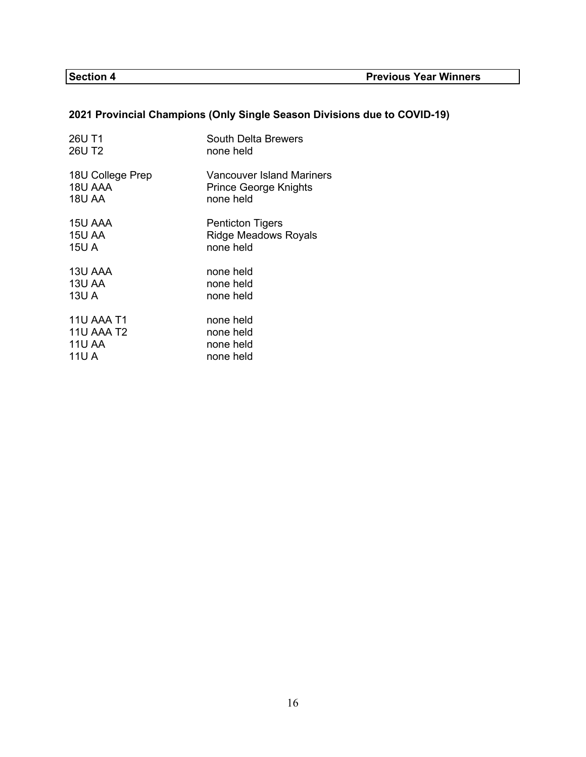# **2021 Provincial Champions (Only Single Season Divisions due to COVID-19)**

| 26U T1            | <b>South Delta Brewers</b>   |
|-------------------|------------------------------|
| 26U T2            | none held                    |
| 18U College Prep  | Vancouver Island Mariners    |
| 18U AAA           | <b>Prince George Knights</b> |
| <b>18U AA</b>     | none held                    |
| 15U AAA           | <b>Penticton Tigers</b>      |
| 15U AA            | <b>Ridge Meadows Royals</b>  |
| 15U A             | none held                    |
| 13U AAA           | none held                    |
| <b>13U AA</b>     | none held                    |
| 13U A             | none held                    |
| <b>11U AAA T1</b> | none held                    |
| 11U AAA T2        | none held                    |
| <b>11U AA</b>     | none held                    |
| 11U A             | none held                    |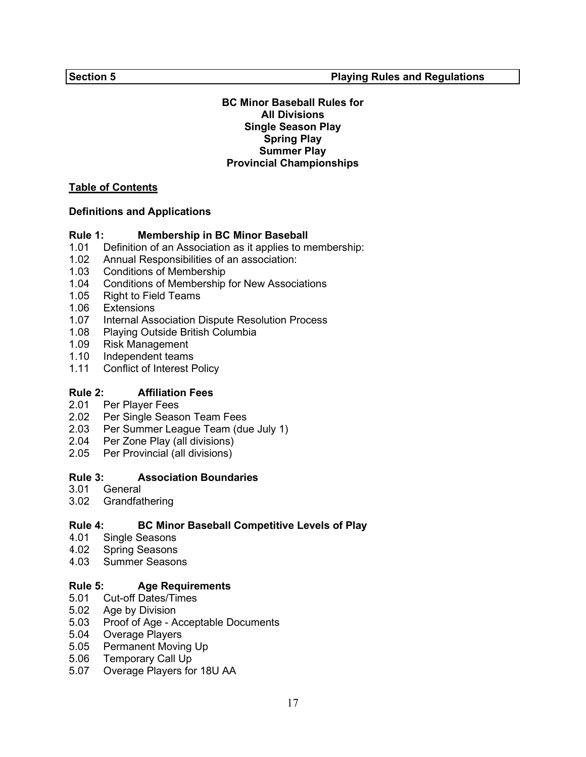#### **BC Minor Baseball Rules for All Divisions Single Season Play Spring Play Summer Play Provincial Championships**

#### **Table of Contents**

#### **Definitions and Applications**

#### **Rule 1: Membership in BC Minor Baseball**

- 1.01 [Definition of an Association as it applies to membership:](#page-22-0)
- 1.02 Annual Responsibilities of an association:
- 1.03 Conditions of Membership<br>1.04 Conditions of Membership
- Conditions of Membership for New Associations
- 1.05 Right to Field Teams
- 1.06 Extensions
- 1.07 Internal Association Dispute Resolution Process
- 1.08 Playing Outside British Columbia
- 1.09 Risk Management
- 1.10 Independent teams
- 1.11 Conflict of Interest Policy

#### **Rule 2: Affiliation Fees**

- 2.01 Per Player Fees
- 2.02 Per Single Season Team Fees
- 2.03 [Per Summer League Team \(due July 1\)](#page-25-0)
- 2.04 Per Zone Play (all divisions)
- 2.05 Per Provincial (all divisions)

# **Rule 3: [Association Boundaries](#page-25-0)**

- **General**
- 3.02 Grandfathering

# **Rule 4: [BC Minor Baseball Competitive Levels of Play](#page-26-0)**

- 4.01 Single Seasons<br>4.02 Spring Seasons
- Spring Seasons
- 4.03 Summer Seasons

#### **Rule 5: Age Requirements**

- 5.01 Cut-off Dates/Times<br>5.02 Age by Division
- Age by Division
- 5.03 [Proof of Age Acceptable Documents](#page-27-0)
- 5.04 Overage Players
- 5.05 Permanent Moving Up
- 5.06 Temporary Call Up
- 5.07 Overage Players for 18U AA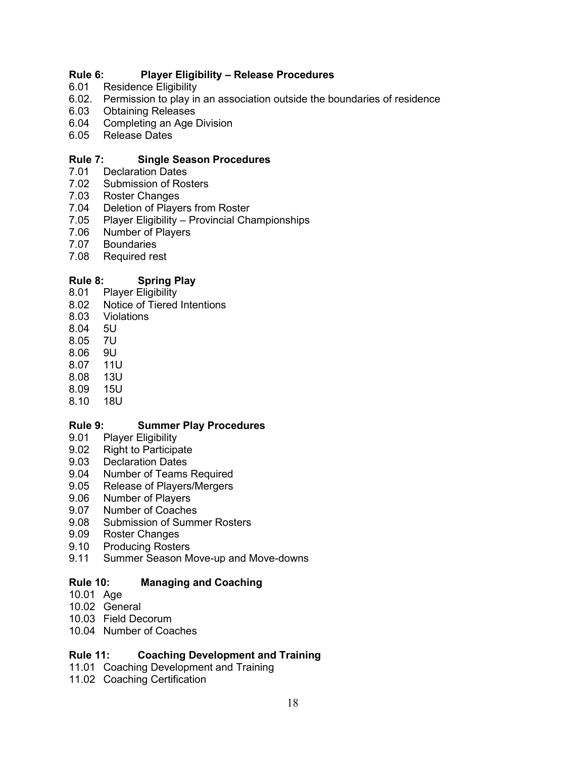# **Rule 6: Player Eligibility – Release Procedures**

- 6.01 Residence Eligibility
- 6.02. [Permission to play in an association outside the boundaries of residence](#page-29-0)<br>6.03 Obtaining Releases
- 6.03 Obtaining Releases
- Completing an Age Division
- 6.05 Release Dates

#### **[Rule 7: Single Season Procedures](#page-33-0)**

- 7.01 Declaration Dates
- 7.02 Submission of Rosters
- 7.03 Roster Changes
- 7.04 Deletion of Players from Roster
- 7.05 Player Eligibility Provincial Championships
- 7.06 Number of Players
- 7.07 Boundaries
- 7.08 Required rest

# **[Rule 8: Spring Play](#page-34-0)**

- 8.01 Player Eligibility
- 8.02 Notice of Tiered Intentions<br>8.03 Violations
- Violations<br>5U
- $8.04$
- 8.05 7U
- 8.06 9U
- 8.07 11U
- 8.08 13U
- $8.09$
- 8.10 18U

#### **[Rule 9: Summer Play Procedures](#page-36-0)**

- 9.01 Player Eligibility<br>9.02 Right to Participa
- **Right to Participate**
- 9.03 Declaration Dates
- 9.04 Number of Teams Required
- 9.05 Release of Players/Mergers
- 9.06 Number of Players
- 9.07 Number of Coaches
- 9.08 Submission of Summer Rosters
- 9.09 Roster Changes
- 9.10 Producing Rosters
- 9.11 Summer Season Move-up and Move-downs

#### **Rule 10: [Managing and Coaching](#page-42-0)**

- 10.01 Age
- 10.02 General
- 10.03 Field Decorum
- 10.04 Number of Coaches

# **Rule 11: [Coaching Development and Training](#page-43-0)**

- 11.01 Coaching Development and Training
- 11.02 Coaching Certification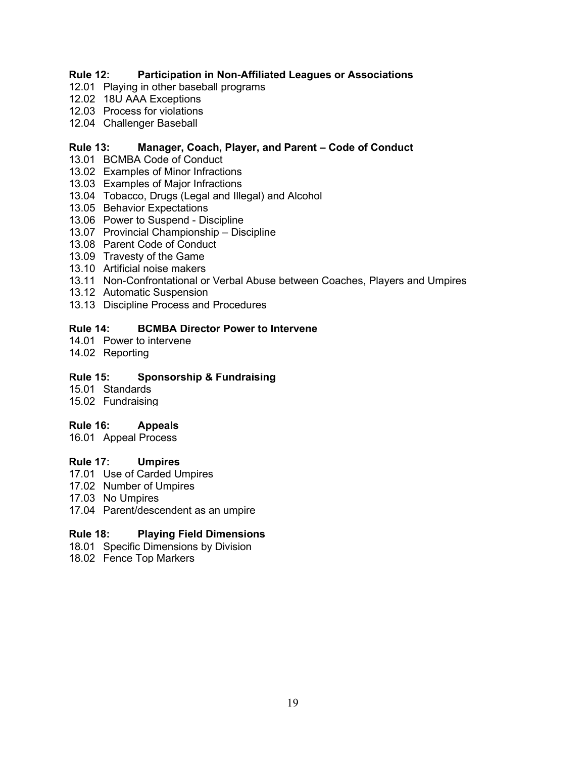# **Rule 12: [Participation in Non-Affiliated Leagues or Associations](#page-43-0)**

- 12.01 Playing in other baseball programs
- 12.02 18U AAA Exceptions
- 12.03 Process for violations
- 12.04 Challenger Baseball

### **Rule 13: Manager, Coach, Player, and Parent – Code of Conduct**

- 13.01 BCMBA Code of Conduct
- 13.02 Examples of Minor Infractions
- 13.03 Examples of Major Infractions
- 13.04 Tobacco, Drugs (Legal and Illegal) and Alcohol
- 13.05 Behavior Expectations
- 13.06 Power to Suspend Discipline
- 13.07 Provincial Championship Discipline
- 13.08 Parent Code of Conduct
- 13.09 Travesty of the Game
- 13.10 Artificial noise makers
- 13.11 [Non-Confrontational or Verbal Abuse between Coaches, Players and Umpires](#page-45-0)
- 13.12 Automatic Suspension
- 13.13 Discipline Process and Procedures

#### **Rule 14: [BCMBA Director Power to Intervene](#page-51-0)**

- 14.01 Power to intervene
- 14.02 Reporting

#### **Rule 15: [Sponsorship & Fundraising](#page-52-0)**

- 15.01 Standards
- 15.02 Fundraising

#### **Rule 16: Appeals**

16.01 [Appeal Process](#page-52-0)

#### **Rule 17: Umpires**

- 17.01 Use of Carded Umpires
- 17.02 Number of Umpires
- 17.03 No Umpires
- 17.04 [Parent/descendent as an umpire](#page-53-0)

#### **Rule 18: Playing Field Dimensions**

- 18.01 [Specific Dimensions by Division](#page-54-0)
- 18.02 Fence Top Markers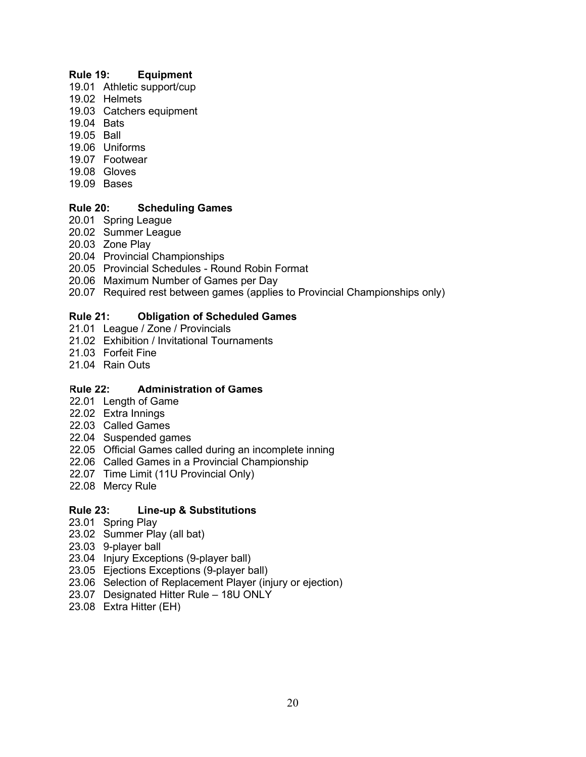#### **Rule 19: Equipment**

- 19.01 Athletic support/cup
- 19.02 Helmets
- 19.03 [Catchers equipment](#page-54-0)
- 19.04 Bats
- 19.05 Ball
- 19.06 Uniforms
- 19.07 Footwear
- 19.08 Gloves
- 19.09 Bases

# **Rule 20: Scheduling Games**

- 20.01 Spring League
- 20.02 Summer League
- 20.03 Zone Play
- 20.04 Provincial Championships
- 20.05 Provincial Schedules Round Robin Format
- 20.06 Maximum Number of Games per Day
- 20.07 [Required rest between games \(applies to Provincial Championships only\)](#page-56-0)

# **Rule 21: Obligation of Scheduled Games**

- 21.01 League / Zone / Provincials
- 21.02 [Exhibition / Invitational Tournaments](#page-58-0)
- 21.03 Forfeit Fine
- 21.04 Rain Outs

# **Rule 22: Administration of Games**

- 22.01 Length of Game
- 22.02 Extra Innings
- 22.03 Called Games
- 22.04 Suspended games
- 22.05 [Official Games called during an incomplete inning](#page-59-0)
- 22.06 Called Games in a Provincial Championship
- 22.07 Time Limit (11U Provincial Only)
- 22.08 Mercy Rule

# **Rule 23: Line-up & Substitutions**

- 23.01 Spring Play
- 23.02 Summer Play (all bat)
- 23.03 9-player ball
- 23.04 Injury Exceptions (9-player ball)
- 23.05 Ejections Exceptions (9-player ball)
- 23.06 [Selection of Replacement Player \(injury or ejection\)](#page-61-0)
- 23.07 Designated Hitter Rule 18U ONLY
- 23.08 Extra Hitter (EH)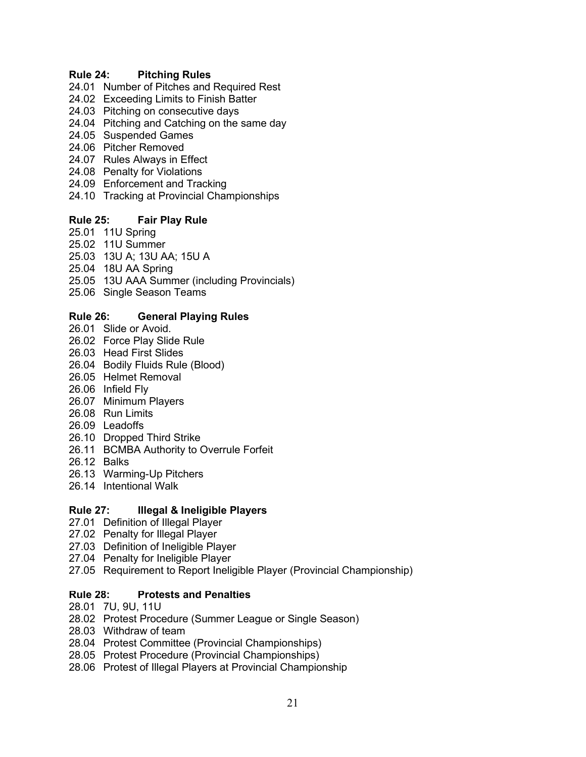#### **Rule 24: Pitching Rules**

- 24.01 Number of Pitches and Required Rest
- 24.02 Exceeding Limits to Finish Batter
- 24.03 Pitching on consecutive days
- 24.04 [Pitching and Catching on the same day](#page-63-0)
- 24.05 Suspended Games
- 24.06 Pitcher Removed
- 24.07 Rules Always in Effect
- 24.08 Penalty for Violations
- 24.09 Enforcement and Tracking
- 24.10 Tracking at Provincial Championships

#### **Rule 25: Fair Play Rule**

- 25.01 11U Spring
- 25.02 11U Summer
- 25.03 13U A; 13U AA; 15U A
- 25.04 18U AA Spring
- 25.05 [13U AAA Summer \(including Provincials\)](#page-66-0)
- 25.06 Single Season Teams

#### **Rule 26: General Playing Rules**

- 26.01 Slide or Avoid.
- 26.02 Force Play Slide Rule
- 26.03 Head First Slides
- 26.04 Bodily Fluids Rule (Blood)
- 26.05 Helmet Removal
- 26.06 Infield Fly
- 26.07 Minimum Players
- 26.08 Run Limits
- 26.09 Leadoffs
- 26.10 Dropped Third Strike
- 26.11 [BCMBA Authority to Overrule Forfeit](#page-67-0)
- 26.12 Balks
- 26.13 Warming-Up Pitchers
- 26.14 Intentional Walk

#### **Rule 27: Illegal & Ineligible Players**

- 27.01 Definition of Illegal Player
- 27.02 Penalty for Illegal Player
- 27.03 Definition of Ineligible Player
- 27.04 Penalty for Ineligible Player
- 27.05 [Requirement to Report Ineligible Player \(Provincial Championship\)](#page-70-0)

#### **Rule 28: Protests and Penalties**

- 28.01 7U, 9U, 11U
- 28.02 [Protest Procedure \(Summer League or Single Season\)](#page-71-0)
- 28.03 Withdraw of team
- 28.04 Protest Committee (Provincial Championships)
- 28.05 Protest Procedure (Provincial Championships)
- 28.06 Protest of Illegal Players at Provincial Championship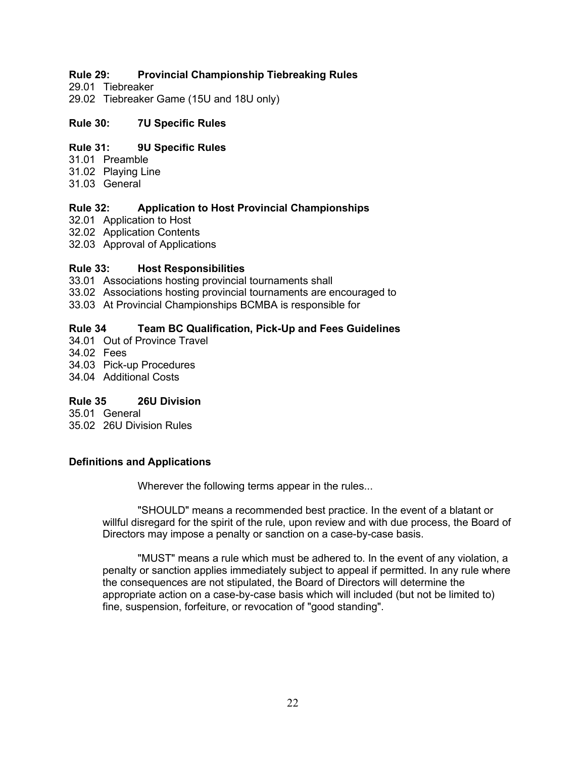# **Rule 29: [Provincial Championship Tiebreaking Rules](#page-72-0)**

29.01 Tiebreaker

29.02 Tiebreaker Game (15U and 18U only)

#### **Rule 30: [7U Specific Rules](#page-73-0)**

# **Rule 31: [9U Specific Rules](#page-73-0)**

- 31.01 Preamble
- 31.02 Playing Line
- 31.03 General

# **Rule 32: [Application to Host Provincial Championships](#page-76-0)**

- 32.01 Application to Host
- 32.02 Application Contents
- 32.03 Approval of Applications

#### **Rule 33: Host Responsibilities**

- 33.01 Associations hosting provincial tournaments shall
- 33.02 [Associations hosting provincial tournaments are encouraged to](#page-77-0)
- 33.03 At Provincial Championships BCMBA is responsible for

# **Rule 34 [Team BC Qualification, Pick-Up and Fees Guidelines](#page-78-0)**

- 34.01 Out of Province Travel
- 34.02 Fees
- 34.03 Pick-up Procedures
- 34.04 Additional Costs

#### **Rule 35 26U Division**

35.01 General 35.02 [26U Division Rules](#page-79-0)

#### **Definitions and Applications**

Wherever the following terms appear in the rules...

"SHOULD" means a recommended best practice. In the event of a blatant or willful disregard for the spirit of the rule, upon review and with due process, the Board of Directors may impose a penalty or sanction on a case-by-case basis.

"MUST" means a rule which must be adhered to. In the event of any violation, a penalty or sanction applies immediately subject to appeal if permitted. In any rule where the consequences are not stipulated, the Board of Directors will determine the appropriate action on a case-by-case basis which will included (but not be limited to) fine, suspension, forfeiture, or revocation of "good standing".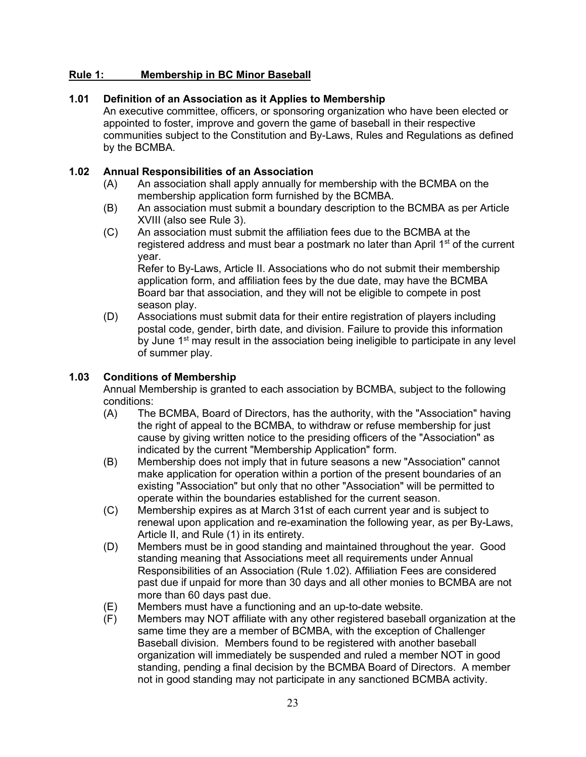# <span id="page-22-0"></span>**Rule 1: Membership in BC Minor Baseball**

#### **1.01 Definition of an Association as it Applies to Membership**

An executive committee, officers, or sponsoring organization who have been elected or appointed to foster, improve and govern the game of baseball in their respective communities subject to the Constitution and By-Laws, Rules and Regulations as defined by the BCMBA.

#### **1.02 Annual Responsibilities of an Association**

- (A) An association shall apply annually for membership with the BCMBA on the membership application form furnished by the BCMBA.
- (B) An association must submit a boundary description to the BCMBA as per Article XVIII (also see Rule 3).
- (C) An association must submit the affiliation fees due to the BCMBA at the registered address and must bear a postmark no later than April  $1<sup>st</sup>$  of the current year.

Refer to By-Laws, Article II. Associations who do not submit their membership application form, and affiliation fees by the due date, may have the BCMBA Board bar that association, and they will not be eligible to compete in post season play.

(D) Associations must submit data for their entire registration of players including postal code, gender, birth date, and division. Failure to provide this information by June  $1<sup>st</sup>$  may result in the association being ineligible to participate in any level of summer play.

# **1.03 Conditions of Membership**

Annual Membership is granted to each association by BCMBA, subject to the following conditions:

- (A) The BCMBA, Board of Directors, has the authority, with the "Association" having the right of appeal to the BCMBA, to withdraw or refuse membership for just cause by giving written notice to the presiding officers of the "Association" as indicated by the current "Membership Application" form.
- (B) Membership does not imply that in future seasons a new "Association" cannot make application for operation within a portion of the present boundaries of an existing "Association" but only that no other "Association" will be permitted to operate within the boundaries established for the current season.
- (C) Membership expires as at March 31st of each current year and is subject to renewal upon application and re-examination the following year, as per By-Laws, Article II, and Rule (1) in its entirety.
- (D) Members must be in good standing and maintained throughout the year. Good standing meaning that Associations meet all requirements under Annual Responsibilities of an Association (Rule 1.02). Affiliation Fees are considered past due if unpaid for more than 30 days and all other monies to BCMBA are not more than 60 days past due.
- (E) Members must have a functioning and an up-to-date website.
- (F) Members may NOT affiliate with any other registered baseball organization at the same time they are a member of BCMBA, with the exception of Challenger Baseball division. Members found to be registered with another baseball organization will immediately be suspended and ruled a member NOT in good standing, pending a final decision by the BCMBA Board of Directors. A member not in good standing may not participate in any sanctioned BCMBA activity.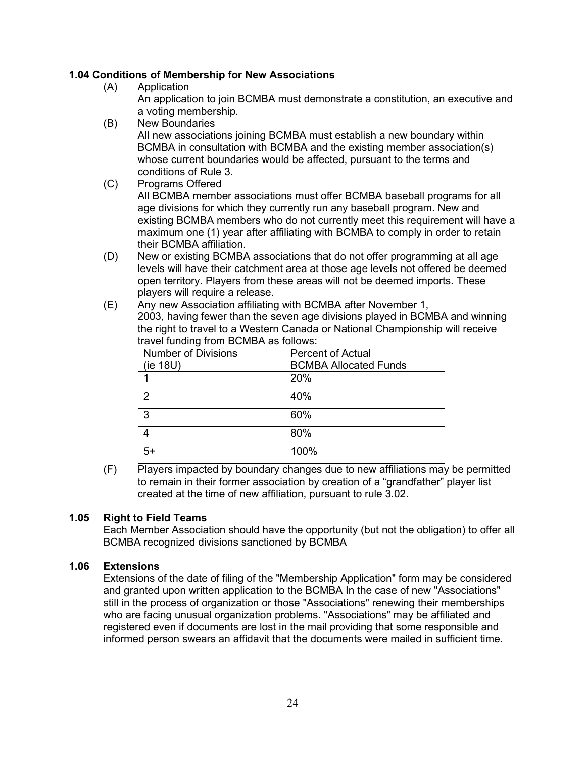# **1.04 Conditions of Membership for New Associations**

- (A) Application An application to join BCMBA must demonstrate a constitution, an executive and a voting membership.
- (B) New Boundaries

All new associations joining BCMBA must establish a new boundary within BCMBA in consultation with BCMBA and the existing member association(s) whose current boundaries would be affected, pursuant to the terms and conditions of Rule 3.

- (C) Programs Offered All BCMBA member associations must offer BCMBA baseball programs for all age divisions for which they currently run any baseball program. New and existing BCMBA members who do not currently meet this requirement will have a maximum one (1) year after affiliating with BCMBA to comply in order to retain their BCMBA affiliation.
- (D) New or existing BCMBA associations that do not offer programming at all age levels will have their catchment area at those age levels not offered be deemed open territory. Players from these areas will not be deemed imports. These players will require a release.
- (E) Any new Association affiliating with BCMBA after November 1, 2003, having fewer than the seven age divisions played in BCMBA and winning the right to travel to a Western Canada or National Championship will receive travel funding from BCMBA as follows:

| <b>Number of Divisions</b><br>(ie 18U) | <b>Percent of Actual</b><br><b>BCMBA Allocated Funds</b> |
|----------------------------------------|----------------------------------------------------------|
|                                        | 20%                                                      |
| 2                                      | 40%                                                      |
| 3                                      | 60%                                                      |
|                                        | 80%                                                      |
| 5+                                     | 100%                                                     |

(F) Players impacted by boundary changes due to new affiliations may be permitted to remain in their former association by creation of a "grandfather" player list created at the time of new affiliation, pursuant to rule 3.02.

#### **1.05 Right to Field Teams**

Each Member Association should have the opportunity (but not the obligation) to offer all BCMBA recognized divisions sanctioned by BCMBA

#### **1.06 Extensions**

Extensions of the date of filing of the "Membership Application" form may be considered and granted upon written application to the BCMBA In the case of new "Associations" still in the process of organization or those "Associations" renewing their memberships who are facing unusual organization problems. "Associations" may be affiliated and registered even if documents are lost in the mail providing that some responsible and informed person swears an affidavit that the documents were mailed in sufficient time.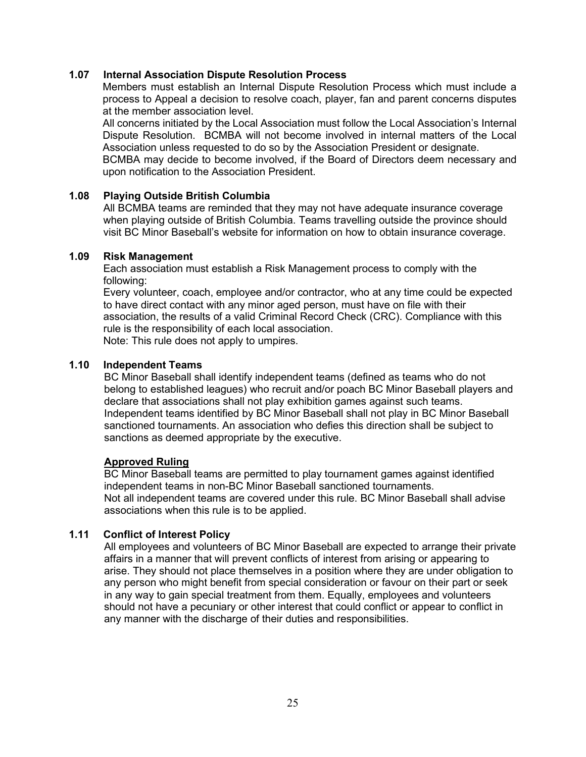#### **1.07 Internal Association Dispute Resolution Process**

Members must establish an Internal Dispute Resolution Process which must include a process to Appeal a decision to resolve coach, player, fan and parent concerns disputes at the member association level.

All concerns initiated by the Local Association must follow the Local Association's Internal Dispute Resolution. BCMBA will not become involved in internal matters of the Local Association unless requested to do so by the Association President or designate. BCMBA may decide to become involved, if the Board of Directors deem necessary and upon notification to the Association President.

#### **1.08 Playing Outside British Columbia**

All BCMBA teams are reminded that they may not have adequate insurance coverage when playing outside of British Columbia. Teams travelling outside the province should visit BC Minor Baseball's website for information on how to obtain insurance coverage.

#### **1.09 Risk Management**

Each association must establish a Risk Management process to comply with the following:

Every volunteer, coach, employee and/or contractor, who at any time could be expected to have direct contact with any minor aged person, must have on file with their association, the results of a valid Criminal Record Check (CRC). Compliance with this rule is the responsibility of each local association. Note: This rule does not apply to umpires.

#### **1.10 Independent Teams**

BC Minor Baseball shall identify independent teams (defined as teams who do not belong to established leagues) who recruit and/or poach BC Minor Baseball players and declare that associations shall not play exhibition games against such teams. Independent teams identified by BC Minor Baseball shall not play in BC Minor Baseball sanctioned tournaments. An association who defies this direction shall be subject to sanctions as deemed appropriate by the executive.

#### **Approved Ruling**

BC Minor Baseball teams are permitted to play tournament games against identified independent teams in non-BC Minor Baseball sanctioned tournaments. Not all independent teams are covered under this rule. BC Minor Baseball shall advise associations when this rule is to be applied.

#### **1.11 Conflict of Interest Policy**

All employees and volunteers of BC Minor Baseball are expected to arrange their private affairs in a manner that will prevent conflicts of interest from arising or appearing to arise. They should not place themselves in a position where they are under obligation to any person who might benefit from special consideration or favour on their part or seek in any way to gain special treatment from them. Equally, employees and volunteers should not have a pecuniary or other interest that could conflict or appear to conflict in any manner with the discharge of their duties and responsibilities.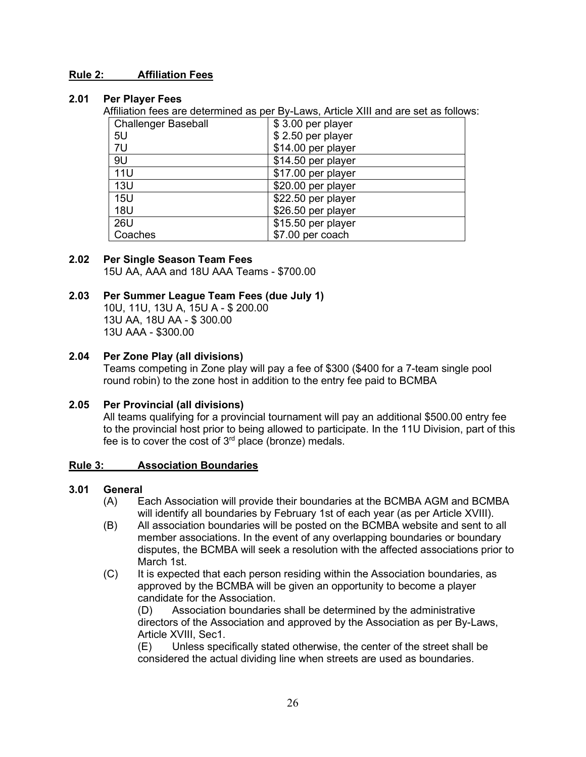#### <span id="page-25-0"></span>**Rule 2: Affiliation Fees**

#### **2.01 Per Player Fees**

Affiliation fees are determined as per By-Laws, Article XIII and are set as follows:

| <b>Challenger Baseball</b> | \$3.00 per player  |
|----------------------------|--------------------|
| 5U                         | \$2.50 per player  |
| 7U                         | \$14.00 per player |
| 9U                         | \$14.50 per player |
| <b>11U</b>                 | \$17.00 per player |
| 13U                        | \$20.00 per player |
| <b>15U</b>                 | \$22.50 per player |
| <b>18U</b>                 | \$26.50 per player |
| 26U                        | \$15.50 per player |
| Coaches                    | \$7.00 per coach   |

# **2.02 Per Single Season Team Fees**

15U AA, AAA and 18U AAA Teams - \$700.00

# **2.03 Per Summer League Team Fees (due July 1)**

10U, 11U, 13U A, 15U A - \$ 200.00 13U AA, 18U AA - \$ 300.00 13U AAA - \$300.00

#### **2.04 Per Zone Play (all divisions)**

Teams competing in Zone play will pay a fee of \$300 (\$400 for a 7-team single pool round robin) to the zone host in addition to the entry fee paid to BCMBA

#### **2.05 Per Provincial (all divisions)**

All teams qualifying for a provincial tournament will pay an additional \$500.00 entry fee to the provincial host prior to being allowed to participate. In the 11U Division, part of this fee is to cover the cost of  $3<sup>rd</sup>$  place (bronze) medals.

#### **Rule 3: Association Boundaries**

#### **3.01 General**

- (A) Each Association will provide their boundaries at the BCMBA AGM and BCMBA will identify all boundaries by February 1st of each year (as per Article XVIII).
- (B) All association boundaries will be posted on the BCMBA website and sent to all member associations. In the event of any overlapping boundaries or boundary disputes, the BCMBA will seek a resolution with the affected associations prior to March 1st.
- (C) It is expected that each person residing within the Association boundaries, as approved by the BCMBA will be given an opportunity to become a player candidate for the Association.

(D) Association boundaries shall be determined by the administrative directors of the Association and approved by the Association as per By-Laws, Article XVIII, Sec1.

(E) Unless specifically stated otherwise, the center of the street shall be considered the actual dividing line when streets are used as boundaries.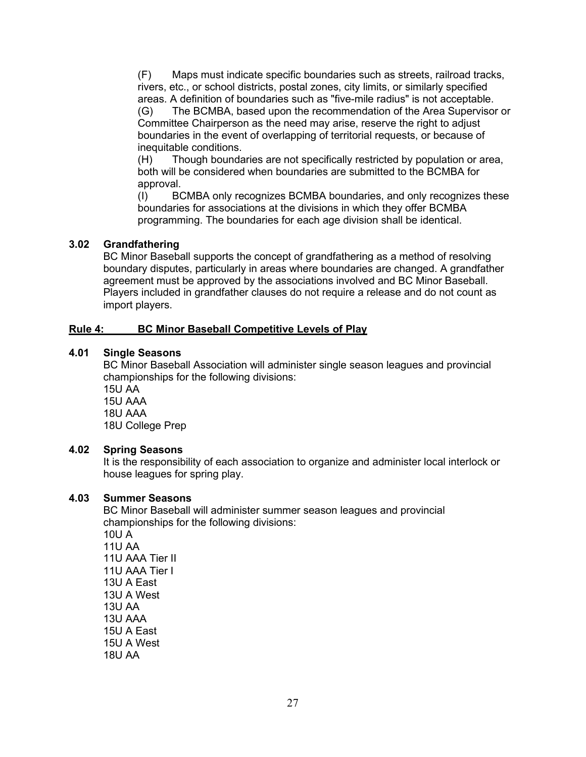<span id="page-26-0"></span>(F) Maps must indicate specific boundaries such as streets, railroad tracks, rivers, etc., or school districts, postal zones, city limits, or similarly specified areas. A definition of boundaries such as "five-mile radius" is not acceptable.

(G) The BCMBA, based upon the recommendation of the Area Supervisor or Committee Chairperson as the need may arise, reserve the right to adjust boundaries in the event of overlapping of territorial requests, or because of inequitable conditions.

(H) Though boundaries are not specifically restricted by population or area, both will be considered when boundaries are submitted to the BCMBA for approval.

(I) BCMBA only recognizes BCMBA boundaries, and only recognizes these boundaries for associations at the divisions in which they offer BCMBA programming. The boundaries for each age division shall be identical.

#### **3.02 Grandfathering**

BC Minor Baseball supports the concept of grandfathering as a method of resolving boundary disputes, particularly in areas where boundaries are changed. A grandfather agreement must be approved by the associations involved and BC Minor Baseball. Players included in grandfather clauses do not require a release and do not count as import players.

#### **Rule 4: BC Minor Baseball Competitive Levels of Play**

#### **4.01 Single Seasons**

BC Minor Baseball Association will administer single season leagues and provincial championships for the following divisions:

15U AA

15U AAA

18U AAA

18U College Prep

#### **4.02 Spring Seasons**

It is the responsibility of each association to organize and administer local interlock or house leagues for spring play.

#### **4.03 Summer Seasons**

BC Minor Baseball will administer summer season leagues and provincial championships for the following divisions: 10U A 11U AA 11U AAA Tier II 11U AAA Tier I 13U A East 13U A West 13U AA 13U AAA 15U A East 15U A West 18U AA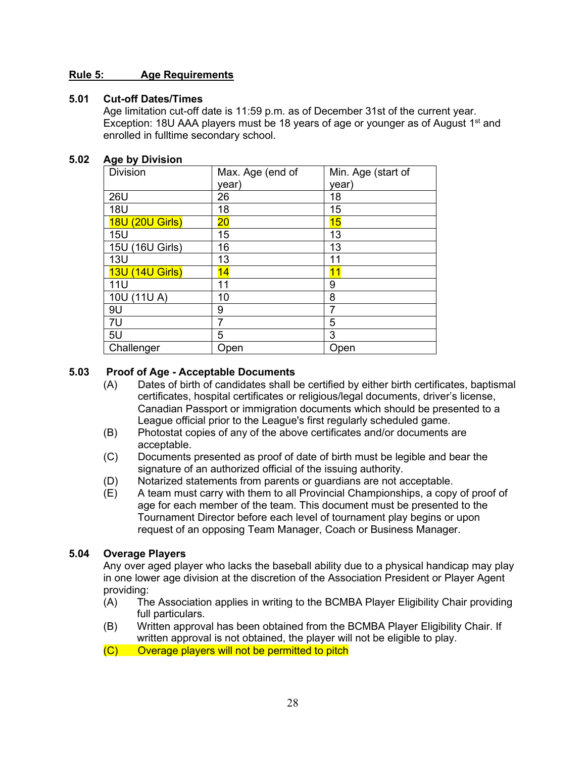#### <span id="page-27-0"></span>**Rule 5: Age Requirements**

#### **5.01 Cut-off Dates/Times**

Age limitation cut-off date is 11:59 p.m. as of December 31st of the current year. Exception: 18U AAA players must be 18 years of age or younger as of August 1<sup>st</sup> and enrolled in fulltime secondary school.

#### **5.02 Age by Division**

| <b>Division</b>           | Max. Age (end of | Min. Age (start of |
|---------------------------|------------------|--------------------|
|                           | year)            | year)              |
| <b>26U</b>                | 26               | 18                 |
| <b>18U</b>                | 18               | 15                 |
| (20U Girls)<br><b>18U</b> | $\overline{20}$  | 15                 |
| <b>15U</b>                | 15               | 13                 |
| 15U (16U Girls)           | 16               | 13                 |
| <b>13U</b>                | 13               | 11                 |
| <b>13U (14U Girls)</b>    | 14               | 11                 |
| 11U                       | 11               | 9                  |
| 10U (11U A)               | 10               | 8                  |
| 9U                        | 9                | 7                  |
| 7U                        | 7                | 5                  |
| 5U                        | 5                | 3                  |
| Challenger                | Open             | Open               |

#### **5.03 Proof of Age - Acceptable Documents**

- (A) Dates of birth of candidates shall be certified by either birth certificates, baptismal certificates, hospital certificates or religious/legal documents, driver's license, Canadian Passport or immigration documents which should be presented to a League official prior to the League's first regularly scheduled game.
- (B) Photostat copies of any of the above certificates and/or documents are acceptable.
- (C) Documents presented as proof of date of birth must be legible and bear the signature of an authorized official of the issuing authority.
- (D) Notarized statements from parents or guardians are not acceptable.
- (E) A team must carry with them to all Provincial Championships, a copy of proof of age for each member of the team. This document must be presented to the Tournament Director before each level of tournament play begins or upon request of an opposing Team Manager, Coach or Business Manager.

#### **5.04 Overage Players**

Any over aged player who lacks the baseball ability due to a physical handicap may play in one lower age division at the discretion of the Association President or Player Agent providing:

- (A) The Association applies in writing to the BCMBA Player Eligibility Chair providing full particulars.
- (B) Written approval has been obtained from the BCMBA Player Eligibility Chair. If written approval is not obtained, the player will not be eligible to play.
- $(C)$  Overage players will not be permitted to pitch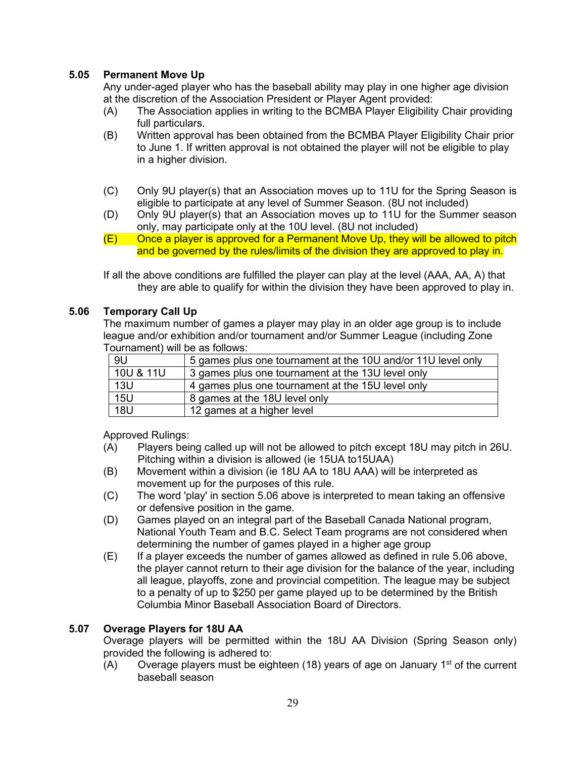# **5.05 Permanent Move Up**

Any under-aged player who has the baseball ability may play in one higher age division at the discretion of the Association President or Player Agent provided:

- (A) The Association applies in writing to the BCMBA Player Eligibility Chair providing full particulars.
- (B) Written approval has been obtained from the BCMBA Player Eligibility Chair prior to June 1. If written approval is not obtained the player will not be eligible to play in a higher division.
- (C) Only 9U player(s) that an Association moves up to 11U for the Spring Season is eligible to participate at any level of Summer Season. (8U not included)
- (D) Only 9U player(s) that an Association moves up to 11U for the Summer season only, may participate only at the 10U level. (8U not included)
- $(E)$  Once a player is approved for a Permanent Move Up, they will be allowed to pitch and be governed by the rules/limits of the division they are approved to play in.

If all the above conditions are fulfilled the player can play at the level (AAA, AA, A) that they are able to qualify for within the division they have been approved to play in.

#### **5.06 Temporary Call Up**

The maximum number of games a player may play in an older age group is to include league and/or exhibition and/or tournament and/or Summer League (including Zone Tournament) will be as follows:

| -9U        | 5 games plus one tournament at the 10U and/or 11U level only |
|------------|--------------------------------------------------------------|
| 10U & 11U  | 3 games plus one tournament at the 13U level only            |
| 13U        | 4 games plus one tournament at the 15U level only            |
| <b>15U</b> | 8 games at the 18U level only                                |
| <b>18U</b> | 12 games at a higher level                                   |

Approved Rulings:

- (A) Players being called up will not be allowed to pitch except 18U may pitch in 26U. Pitching within a division is allowed (ie 15UA to15UAA)
- (B) Movement within a division (ie 18U AA to 18U AAA) will be interpreted as movement up for the purposes of this rule.
- (C) The word 'play' in section 5.06 above is interpreted to mean taking an offensive or defensive position in the game.
- (D) Games played on an integral part of the Baseball Canada National program, National Youth Team and B.C. Select Team programs are not considered when determining the number of games played in a higher age group
- (E) If a player exceeds the number of games allowed as defined in rule 5.06 above, the player cannot return to their age division for the balance of the year, including all league, playoffs, zone and provincial competition. The league may be subject to a penalty of up to \$250 per game played up to be determined by the British Columbia Minor Baseball Association Board of Directors.

#### **5.07 Overage Players for 18U AA**

Overage players will be permitted within the 18U AA Division (Spring Season only) provided the following is adhered to:

(A) Overage players must be eighteen (18) years of age on January 1st of the current baseball season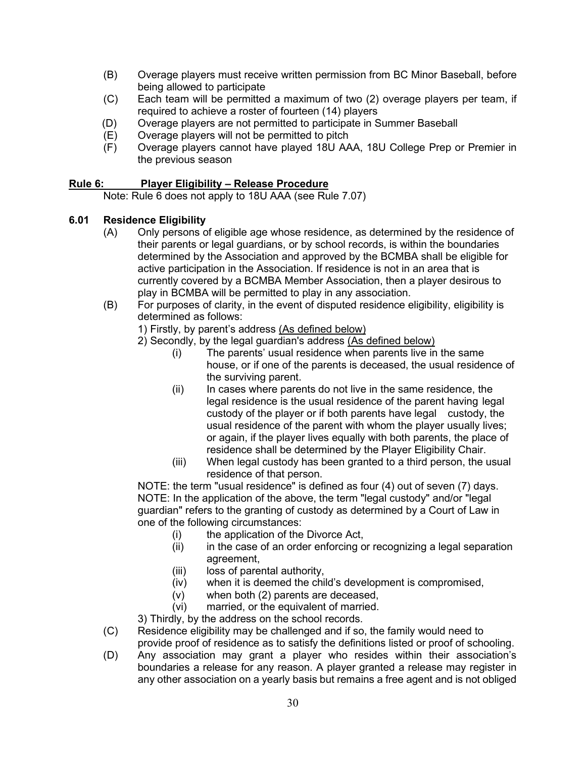- <span id="page-29-0"></span>(B) Overage players must receive written permission from BC Minor Baseball, before being allowed to participate
- (C) Each team will be permitted a maximum of two (2) overage players per team, if required to achieve a roster of fourteen (14) players
- (D) Overage players are not permitted to participate in Summer Baseball
- (E) Overage players will not be permitted to pitch
- (F) Overage players cannot have played 18U AAA, 18U College Prep or Premier in the previous season

#### **Rule 6: Player Eligibility – Release Procedure**

Note: Rule 6 does not apply to 18U AAA (see Rule 7.07)

#### **6.01 Residence Eligibility**

- (A) Only persons of eligible age whose residence, as determined by the residence of their parents or legal guardians, or by school records, is within the boundaries determined by the Association and approved by the BCMBA shall be eligible for active participation in the Association. If residence is not in an area that is currently covered by a BCMBA Member Association, then a player desirous to play in BCMBA will be permitted to play in any association.
- (B) For purposes of clarity, in the event of disputed residence eligibility, eligibility is determined as follows:

1) Firstly, by parent's address (As defined below)

- 2) Secondly, by the legal guardian's address (As defined below)
	- (i) The parents' usual residence when parents live in the same house, or if one of the parents is deceased, the usual residence of the surviving parent.
	- (ii) In cases where parents do not live in the same residence, the legal residence is the usual residence of the parent having legal custody of the player or if both parents have legal custody, the usual residence of the parent with whom the player usually lives; or again, if the player lives equally with both parents, the place of residence shall be determined by the Player Eligibility Chair.
	- (iii) When legal custody has been granted to a third person, the usual residence of that person.

NOTE: the term "usual residence" is defined as four (4) out of seven (7) days. NOTE: In the application of the above, the term "legal custody" and/or "legal guardian" refers to the granting of custody as determined by a Court of Law in one of the following circumstances:

- (i) the application of the Divorce Act,<br>(ii) in the case of an order enforcing o
- in the case of an order enforcing or recognizing a legal separation agreement,
- (iii) loss of parental authority,
- (iv) when it is deemed the child's development is compromised,
- (v) when both (2) parents are deceased,
- (vi) married, or the equivalent of married.

3) Thirdly, by the address on the school records.

- (C) Residence eligibility may be challenged and if so, the family would need to provide proof of residence as to satisfy the definitions listed or proof of schooling.
- (D) Any association may grant a player who resides within their association's boundaries a release for any reason. A player granted a release may register in any other association on a yearly basis but remains a free agent and is not obliged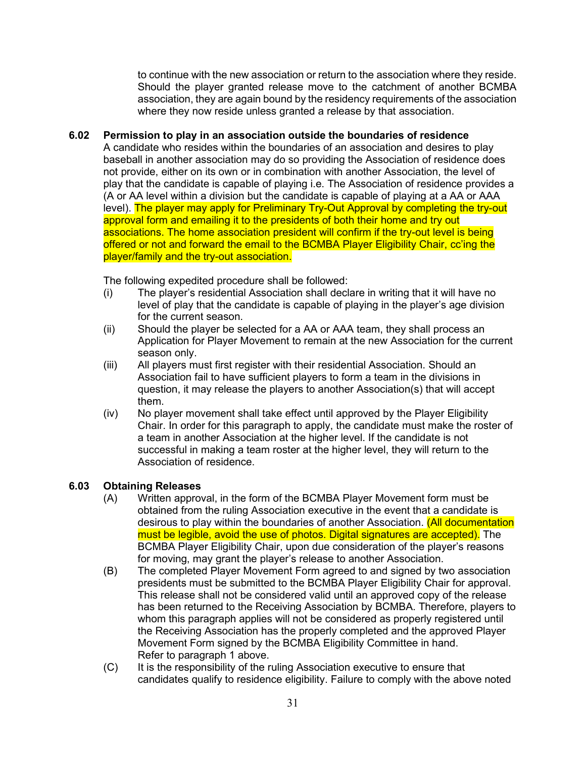to continue with the new association or return to the association where they reside. Should the player granted release move to the catchment of another BCMBA association, they are again bound by the residency requirements of the association where they now reside unless granted a release by that association.

#### **6.02 Permission to play in an association outside the boundaries of residence**

A candidate who resides within the boundaries of an association and desires to play baseball in another association may do so providing the Association of residence does not provide, either on its own or in combination with another Association, the level of play that the candidate is capable of playing i.e. The Association of residence provides a (A or AA level within a division but the candidate is capable of playing at a AA or AAA level). The player may apply for Preliminary Try-Out Approval by completing the try-out approval form and emailing it to the presidents of both their home and try out associations. The home association president will confirm if the try-out level is being offered or not and forward the email to the BCMBA Player Eligibility Chair, cc'ing the player/family and the try-out association.

The following expedited procedure shall be followed:

- (i) The player's residential Association shall declare in writing that it will have no level of play that the candidate is capable of playing in the player's age division for the current season.
- (ii) Should the player be selected for a AA or AAA team, they shall process an Application for Player Movement to remain at the new Association for the current season only.
- (iii) All players must first register with their residential Association. Should an Association fail to have sufficient players to form a team in the divisions in question, it may release the players to another Association(s) that will accept them.
- (iv) No player movement shall take effect until approved by the Player Eligibility Chair. In order for this paragraph to apply, the candidate must make the roster of a team in another Association at the higher level. If the candidate is not successful in making a team roster at the higher level, they will return to the Association of residence.

#### **6.03 Obtaining Releases**

- (A) Written approval, in the form of the BCMBA Player Movement form must be obtained from the ruling Association executive in the event that a candidate is desirous to play within the boundaries of another Association. (All documentation must be legible, avoid the use of photos. Digital signatures are accepted). The BCMBA Player Eligibility Chair, upon due consideration of the player's reasons for moving, may grant the player's release to another Association.
- (B) The completed Player Movement Form agreed to and signed by two association presidents must be submitted to the BCMBA Player Eligibility Chair for approval. This release shall not be considered valid until an approved copy of the release has been returned to the Receiving Association by BCMBA. Therefore, players to whom this paragraph applies will not be considered as properly registered until the Receiving Association has the properly completed and the approved Player Movement Form signed by the BCMBA Eligibility Committee in hand. Refer to paragraph 1 above.
- (C) It is the responsibility of the ruling Association executive to ensure that candidates qualify to residence eligibility. Failure to comply with the above noted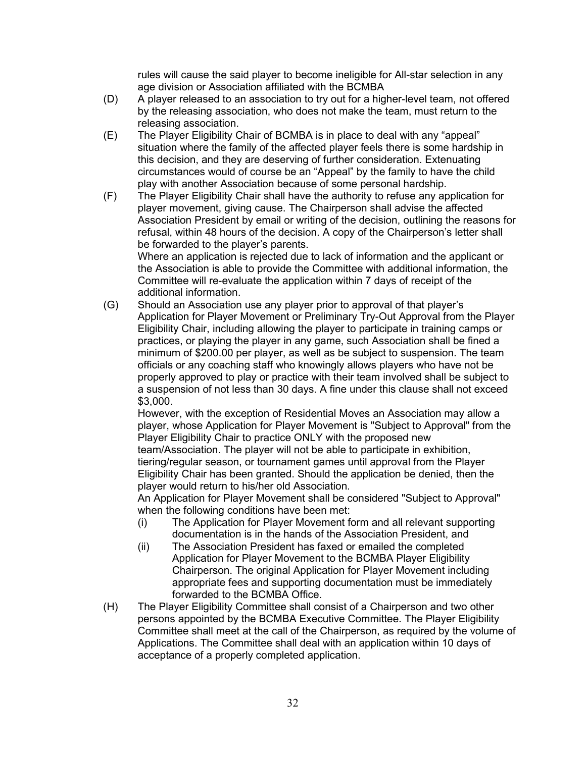rules will cause the said player to become ineligible for All-star selection in any age division or Association affiliated with the BCMBA

- (D) A player released to an association to try out for a higher-level team, not offered by the releasing association, who does not make the team, must return to the releasing association.
- (E) The Player Eligibility Chair of BCMBA is in place to deal with any "appeal" situation where the family of the affected player feels there is some hardship in this decision, and they are deserving of further consideration. Extenuating circumstances would of course be an "Appeal" by the family to have the child play with another Association because of some personal hardship.
- (F) The Player Eligibility Chair shall have the authority to refuse any application for player movement, giving cause. The Chairperson shall advise the affected Association President by email or writing of the decision, outlining the reasons for refusal, within 48 hours of the decision. A copy of the Chairperson's letter shall be forwarded to the player's parents.

Where an application is rejected due to lack of information and the applicant or the Association is able to provide the Committee with additional information, the Committee will re-evaluate the application within 7 days of receipt of the additional information.

(G) Should an Association use any player prior to approval of that player's Application for Player Movement or Preliminary Try-Out Approval from the Player Eligibility Chair, including allowing the player to participate in training camps or practices, or playing the player in any game, such Association shall be fined a minimum of \$200.00 per player, as well as be subject to suspension. The team officials or any coaching staff who knowingly allows players who have not be properly approved to play or practice with their team involved shall be subject to a suspension of not less than 30 days. A fine under this clause shall not exceed \$3,000.

However, with the exception of Residential Moves an Association may allow a player, whose Application for Player Movement is "Subject to Approval" from the Player Eligibility Chair to practice ONLY with the proposed new

team/Association. The player will not be able to participate in exhibition, tiering/regular season, or tournament games until approval from the Player Eligibility Chair has been granted. Should the application be denied, then the player would return to his/her old Association.

An Application for Player Movement shall be considered "Subject to Approval" when the following conditions have been met:

- (i) The Application for Player Movement form and all relevant supporting documentation is in the hands of the Association President, and
- (ii) The Association President has faxed or emailed the completed Application for Player Movement to the BCMBA Player Eligibility Chairperson. The original Application for Player Movement including appropriate fees and supporting documentation must be immediately forwarded to the BCMBA Office.
- (H) The Player Eligibility Committee shall consist of a Chairperson and two other persons appointed by the BCMBA Executive Committee. The Player Eligibility Committee shall meet at the call of the Chairperson, as required by the volume of Applications. The Committee shall deal with an application within 10 days of acceptance of a properly completed application.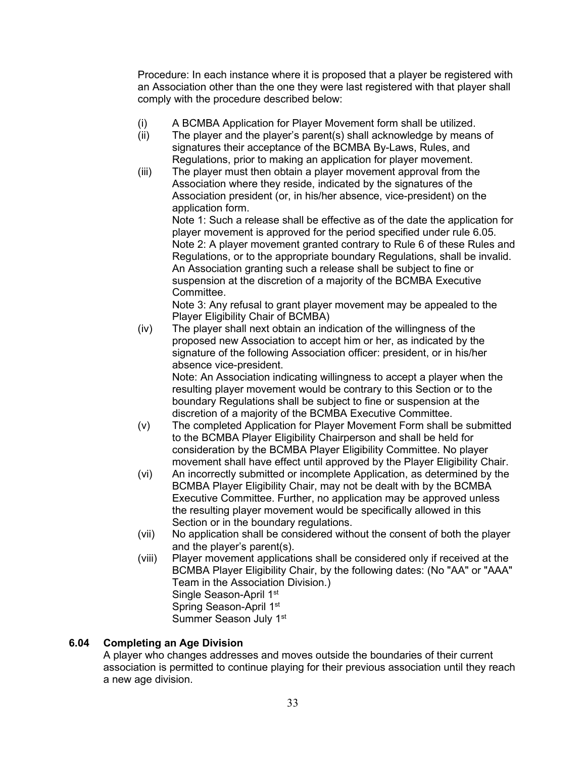Procedure: In each instance where it is proposed that a player be registered with an Association other than the one they were last registered with that player shall comply with the procedure described below:

- (i) A BCMBA Application for Player Movement form shall be utilized.
- (ii) The player and the player's parent(s) shall acknowledge by means of signatures their acceptance of the BCMBA By-Laws, Rules, and Regulations, prior to making an application for player movement.
- (iii) The player must then obtain a player movement approval from the Association where they reside, indicated by the signatures of the Association president (or, in his/her absence, vice-president) on the application form.

Note 1: Such a release shall be effective as of the date the application for player movement is approved for the period specified under rule 6.05. Note 2: A player movement granted contrary to Rule 6 of these Rules and Regulations, or to the appropriate boundary Regulations, shall be invalid. An Association granting such a release shall be subject to fine or suspension at the discretion of a majority of the BCMBA Executive Committee.

Note 3: Any refusal to grant player movement may be appealed to the Player Eligibility Chair of BCMBA)

(iv) The player shall next obtain an indication of the willingness of the proposed new Association to accept him or her, as indicated by the signature of the following Association officer: president, or in his/her absence vice-president.

Note: An Association indicating willingness to accept a player when the resulting player movement would be contrary to this Section or to the boundary Regulations shall be subject to fine or suspension at the discretion of a majority of the BCMBA Executive Committee.

- (v) The completed Application for Player Movement Form shall be submitted to the BCMBA Player Eligibility Chairperson and shall be held for consideration by the BCMBA Player Eligibility Committee. No player movement shall have effect until approved by the Player Eligibility Chair.
- (vi) An incorrectly submitted or incomplete Application, as determined by the BCMBA Player Eligibility Chair, may not be dealt with by the BCMBA Executive Committee. Further, no application may be approved unless the resulting player movement would be specifically allowed in this Section or in the boundary regulations.
- (vii) No application shall be considered without the consent of both the player and the player's parent(s).
- (viii) Player movement applications shall be considered only if received at the BCMBA Player Eligibility Chair, by the following dates: (No "AA" or "AAA" Team in the Association Division.) Single Season-April 1<sup>st</sup> Spring Season-April 1<sup>st</sup> Summer Season July 1<sup>st</sup>

#### **6.04 Completing an Age Division**

A player who changes addresses and moves outside the boundaries of their current association is permitted to continue playing for their previous association until they reach a new age division.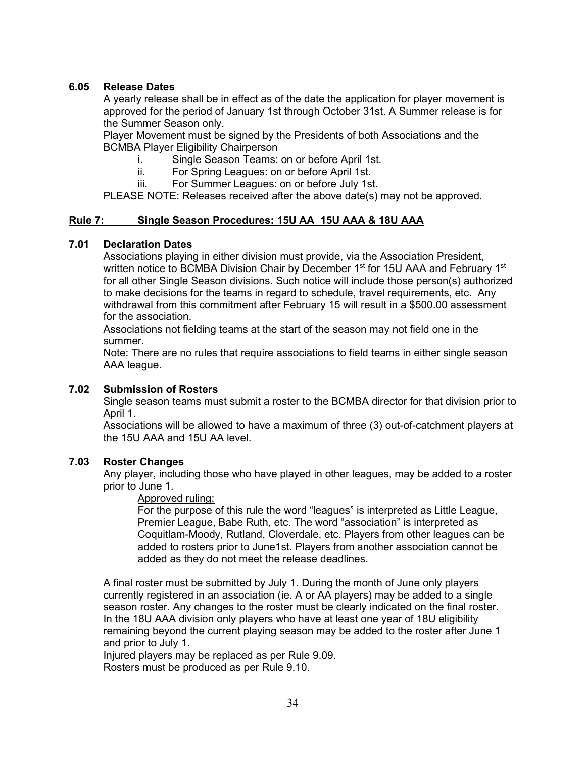#### <span id="page-33-0"></span>**6.05 Release Dates**

A yearly release shall be in effect as of the date the application for player movement is approved for the period of January 1st through October 31st. A Summer release is for the Summer Season only.

Player Movement must be signed by the Presidents of both Associations and the BCMBA Player Eligibility Chairperson

- i. Single Season Teams: on or before April 1st.
- ii. For Spring Leagues: on or before April 1st.
- iii. For Summer Leagues: on or before July 1st.

PLEASE NOTE: Releases received after the above date(s) may not be approved.

#### **Rule 7: Single Season Procedures: 15U AA 15U AAA & 18U AAA**

#### **7.01 Declaration Dates**

Associations playing in either division must provide, via the Association President, written notice to BCMBA Division Chair by December 1<sup>st</sup> for 15U AAA and February 1<sup>st</sup> for all other Single Season divisions. Such notice will include those person(s) authorized to make decisions for the teams in regard to schedule, travel requirements, etc. Any withdrawal from this commitment after February 15 will result in a \$500.00 assessment for the association.

Associations not fielding teams at the start of the season may not field one in the summer.

Note: There are no rules that require associations to field teams in either single season AAA league.

#### **7.02 Submission of Rosters**

Single season teams must submit a roster to the BCMBA director for that division prior to April 1.

Associations will be allowed to have a maximum of three (3) out-of-catchment players at the 15U AAA and 15U AA level.

#### **7.03 Roster Changes**

Any player, including those who have played in other leagues, may be added to a roster prior to June 1.

Approved ruling:

For the purpose of this rule the word "leagues" is interpreted as Little League, Premier League, Babe Ruth, etc. The word "association" is interpreted as Coquitlam-Moody, Rutland, Cloverdale, etc. Players from other leagues can be added to rosters prior to June1st. Players from another association cannot be added as they do not meet the release deadlines.

A final roster must be submitted by July 1. During the month of June only players currently registered in an association (ie. A or AA players) may be added to a single season roster. Any changes to the roster must be clearly indicated on the final roster. In the 18U AAA division only players who have at least one year of 18U eligibility remaining beyond the current playing season may be added to the roster after June 1 and prior to July 1.

Injured players may be replaced as per Rule 9.09.

Rosters must be produced as per Rule 9.10.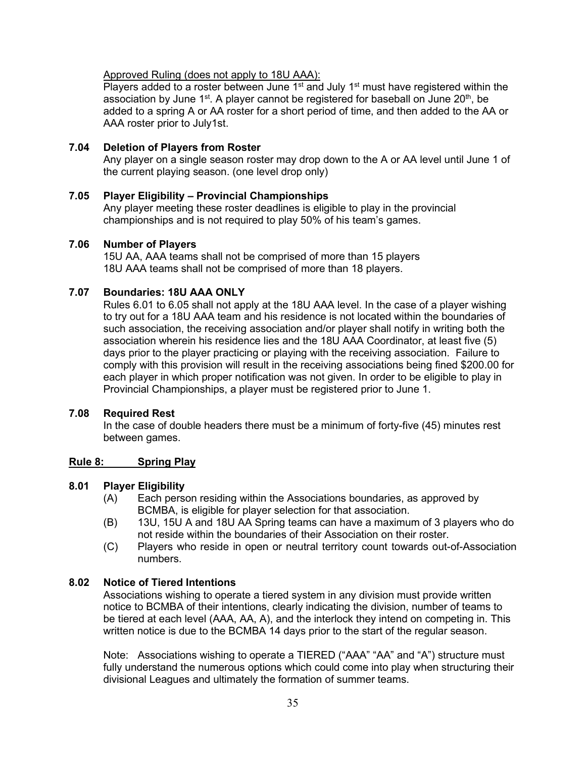<span id="page-34-0"></span>Approved Ruling (does not apply to 18U AAA):

Players added to a roster between June  $1<sup>st</sup>$  and July  $1<sup>st</sup>$  must have registered within the association by June  $1<sup>st</sup>$ . A player cannot be registered for baseball on June 20<sup>th</sup>, be added to a spring A or AA roster for a short period of time, and then added to the AA or AAA roster prior to July1st.

#### **7.04 Deletion of Players from Roster**

Any player on a single season roster may drop down to the A or AA level until June 1 of the current playing season. (one level drop only)

**7.05 Player Eligibility – Provincial Championships**  Any player meeting these roster deadlines is eligible to play in the provincial

championships and is not required to play 50% of his team's games.

#### **7.06 Number of Players**

15U AA, AAA teams shall not be comprised of more than 15 players 18U AAA teams shall not be comprised of more than 18 players.

# **7.07 Boundaries: 18U AAA ONLY**

Rules 6.01 to 6.05 shall not apply at the 18U AAA level. In the case of a player wishing to try out for a 18U AAA team and his residence is not located within the boundaries of such association, the receiving association and/or player shall notify in writing both the association wherein his residence lies and the 18U AAA Coordinator, at least five (5) days prior to the player practicing or playing with the receiving association. Failure to comply with this provision will result in the receiving associations being fined \$200.00 for each player in which proper notification was not given. In order to be eligible to play in Provincial Championships, a player must be registered prior to June 1.

#### **7.08 Required Rest**

In the case of double headers there must be a minimum of forty-five (45) minutes rest between games.

#### **Rule 8: Spring Play**

#### **8.01 Player Eligibility**

- (A) Each person residing within the Associations boundaries, as approved by BCMBA, is eligible for player selection for that association.
- (B) 13U, 15U A and 18U AA Spring teams can have a maximum of 3 players who do not reside within the boundaries of their Association on their roster.
- (C) Players who reside in open or neutral territory count towards out-of-Association numbers.

#### **8.02 Notice of Tiered Intentions**

Associations wishing to operate a tiered system in any division must provide written notice to BCMBA of their intentions, clearly indicating the division, number of teams to be tiered at each level (AAA, AA, A), and the interlock they intend on competing in. This written notice is due to the BCMBA 14 days prior to the start of the regular season.

Note: Associations wishing to operate a TIERED ("AAA" "AA" and "A") structure must fully understand the numerous options which could come into play when structuring their divisional Leagues and ultimately the formation of summer teams.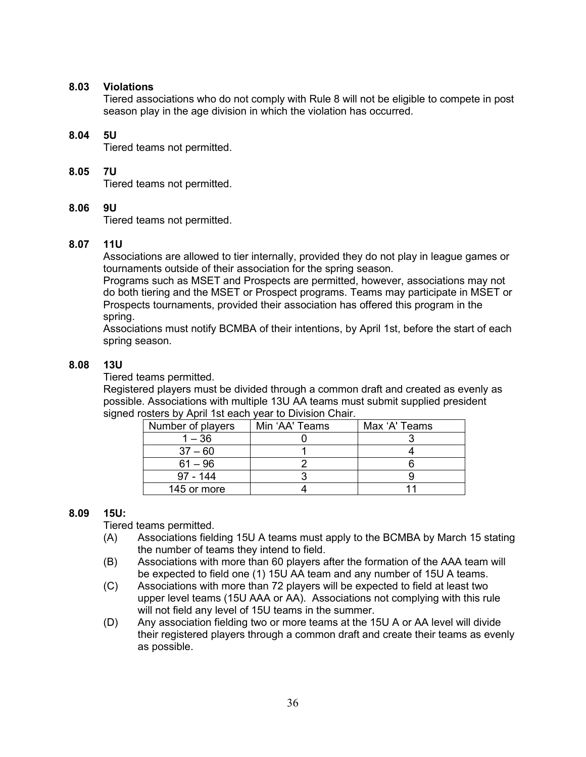#### **8.03 Violations**

Tiered associations who do not comply with Rule 8 will not be eligible to compete in post season play in the age division in which the violation has occurred.

#### **8.04 5U**

Tiered teams not permitted.

#### **8.05 7U**

Tiered teams not permitted.

#### **8.06 9U**

Tiered teams not permitted.

#### **8.07 11U**

Associations are allowed to tier internally, provided they do not play in league games or tournaments outside of their association for the spring season.

Programs such as MSET and Prospects are permitted, however, associations may not do both tiering and the MSET or Prospect programs. Teams may participate in MSET or Prospects tournaments, provided their association has offered this program in the spring.

Associations must notify BCMBA of their intentions, by April 1st, before the start of each spring season.

#### **8.08 13U**

Tiered teams permitted.

Registered players must be divided through a common draft and created as evenly as possible. Associations with multiple 13U AA teams must submit supplied president signed rosters by April 1st each year to Division Chair.

| Number of players | Min 'AA' Teams | Max 'A' Teams |
|-------------------|----------------|---------------|
| $1 - 36$          |                |               |
| $37 - 60$         |                |               |
| $61 - 96$         |                |               |
| $97 - 144$        |                |               |
| 145 or more       |                |               |

#### **8.09 15U:**

Tiered teams permitted.

- (A) Associations fielding 15U A teams must apply to the BCMBA by March 15 stating the number of teams they intend to field.
- (B) Associations with more than 60 players after the formation of the AAA team will be expected to field one (1) 15U AA team and any number of 15U A teams.
- (C) Associations with more than 72 players will be expected to field at least two upper level teams (15U AAA or AA). Associations not complying with this rule will not field any level of 15U teams in the summer.
- (D) Any association fielding two or more teams at the 15U A or AA level will divide their registered players through a common draft and create their teams as evenly as possible.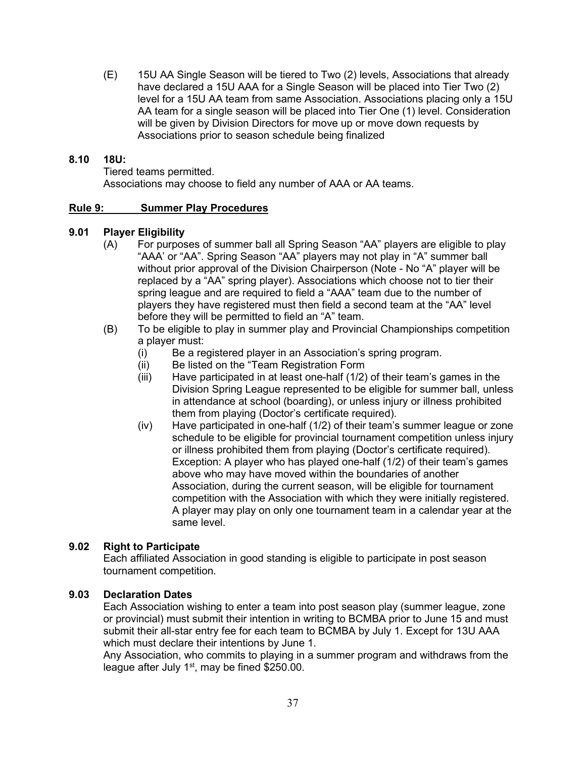(E) 15U AA Single Season will be tiered to Two (2) levels, Associations that already have declared a 15U AAA for a Single Season will be placed into Tier Two (2) level for a 15U AA team from same Association. Associations placing only a 15U AA team for a single season will be placed into Tier One (1) level. Consideration will be given by Division Directors for move up or move down requests by Associations prior to season schedule being finalized

## **8.10 18U:**

Tiered teams permitted.

Associations may choose to field any number of AAA or AA teams.

## **Rule 9: Summer Play Procedures**

## **9.01 Player Eligibility**

- (A) For purposes of summer ball all Spring Season "AA" players are eligible to play "AAA' or "AA". Spring Season "AA" players may not play in "A" summer ball without prior approval of the Division Chairperson (Note - No "A" player will be replaced by a "AA" spring player). Associations which choose not to tier their spring league and are required to field a "AAA" team due to the number of players they have registered must then field a second team at the "AA" level before they will be permitted to field an "A" team.
- (B) To be eligible to play in summer play and Provincial Championships competition a player must:
	- (i) Be a registered player in an Association's spring program.
	- (ii) Be listed on the "Team Registration Form
	- (iii) Have participated in at least one-half (1/2) of their team's games in the Division Spring League represented to be eligible for summer ball, unless in attendance at school (boarding), or unless injury or illness prohibited them from playing (Doctor's certificate required).
	- (iv) Have participated in one-half (1/2) of their team's summer league or zone schedule to be eligible for provincial tournament competition unless injury or illness prohibited them from playing (Doctor's certificate required). Exception: A player who has played one-half (1/2) of their team's games above who may have moved within the boundaries of another Association, during the current season, will be eligible for tournament competition with the Association with which they were initially registered. A player may play on only one tournament team in a calendar year at the same level.

# **9.02 Right to Participate**

Each affiliated Association in good standing is eligible to participate in post season tournament competition.

## **9.03 Declaration Dates**

Each Association wishing to enter a team into post season play (summer league, zone or provincial) must submit their intention in writing to BCMBA prior to June 15 and must submit their all-star entry fee for each team to BCMBA by July 1. Except for 13U AAA which must declare their intentions by June 1.

Any Association, who commits to playing in a summer program and withdraws from the league after July  $1<sup>st</sup>$ , may be fined \$250.00.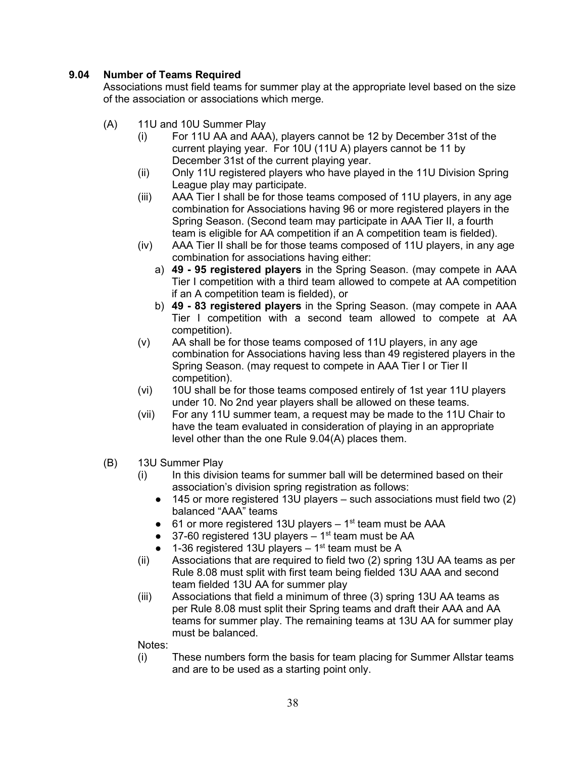# **9.04 Number of Teams Required**

Associations must field teams for summer play at the appropriate level based on the size of the association or associations which merge.

- (A) 11U and 10U Summer Play
	- (i) For 11U AA and AAA), players cannot be 12 by December 31st of the current playing year. For 10U (11U A) players cannot be 11 by December 31st of the current playing year.
	- (ii) Only 11U registered players who have played in the 11U Division Spring League play may participate.
	- (iii) AAA Tier I shall be for those teams composed of 11U players, in any age combination for Associations having 96 or more registered players in the Spring Season. (Second team may participate in AAA Tier II, a fourth team is eligible for AA competition if an A competition team is fielded).
	- (iv) AAA Tier II shall be for those teams composed of 11U players, in any age combination for associations having either:
		- a) **49 - 95 registered players** in the Spring Season. (may compete in AAA Tier I competition with a third team allowed to compete at AA competition if an A competition team is fielded), or
		- b) **49 - 83 registered players** in the Spring Season. (may compete in AAA Tier I competition with a second team allowed to compete at AA competition).
	- (v) AA shall be for those teams composed of 11U players, in any age combination for Associations having less than 49 registered players in the Spring Season. (may request to compete in AAA Tier I or Tier II competition).
	- (vi) 10U shall be for those teams composed entirely of 1st year 11U players under 10. No 2nd year players shall be allowed on these teams.
	- (vii) For any 11U summer team, a request may be made to the 11U Chair to have the team evaluated in consideration of playing in an appropriate level other than the one Rule 9.04(A) places them.
- (B) 13U Summer Play
	- (i) In this division teams for summer ball will be determined based on their association's division spring registration as follows:
		- $\bullet$  145 or more registered 13U players such associations must field two (2) balanced "AAA" teams
		- $\bullet$  61 or more registered 13U players 1<sup>st</sup> team must be AAA
		- $\bullet$  37-60 registered 13U players 1<sup>st</sup> team must be AA
		- $\bullet$  1-36 registered 13U players 1<sup>st</sup> team must be A
	- (ii) Associations that are required to field two (2) spring 13U AA teams as per Rule 8.08 must split with first team being fielded 13U AAA and second team fielded 13U AA for summer play
	- (iii) Associations that field a minimum of three (3) spring 13U AA teams as per Rule 8.08 must split their Spring teams and draft their AAA and AA teams for summer play. The remaining teams at 13U AA for summer play must be balanced.

Notes:

(i) These numbers form the basis for team placing for Summer Allstar teams and are to be used as a starting point only.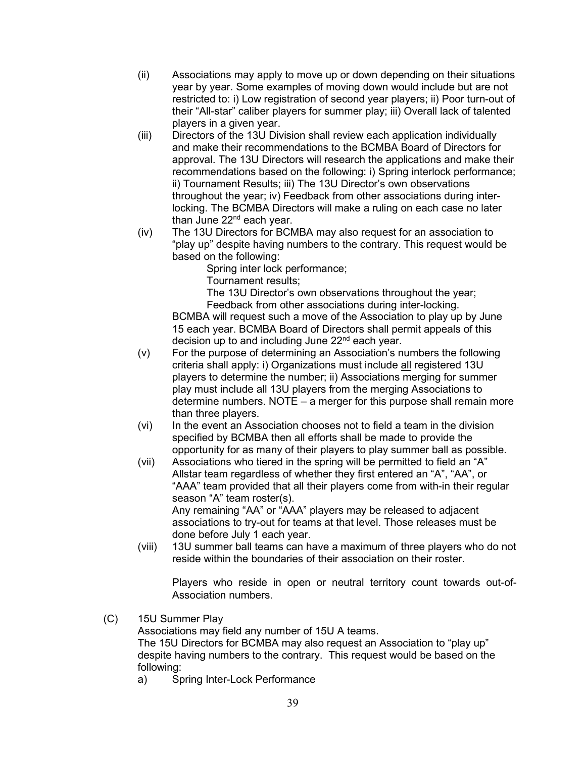- (ii) Associations may apply to move up or down depending on their situations year by year. Some examples of moving down would include but are not restricted to: i) Low registration of second year players; ii) Poor turn-out of their "All-star" caliber players for summer play; iii) Overall lack of talented players in a given year.
- (iii) Directors of the 13U Division shall review each application individually and make their recommendations to the BCMBA Board of Directors for approval. The 13U Directors will research the applications and make their recommendations based on the following: i) Spring interlock performance; ii) Tournament Results; iii) The 13U Director's own observations throughout the year; iv) Feedback from other associations during interlocking. The BCMBA Directors will make a ruling on each case no later than June  $22<sup>nd</sup>$  each year.
- (iv) The 13U Directors for BCMBA may also request for an association to "play up" despite having numbers to the contrary. This request would be based on the following:

Spring inter lock performance;

Tournament results;

The 13U Director's own observations throughout the year;

Feedback from other associations during inter-locking. BCMBA will request such a move of the Association to play up by June 15 each year. BCMBA Board of Directors shall permit appeals of this decision up to and including June  $22<sup>nd</sup>$  each year.

- (v) For the purpose of determining an Association's numbers the following criteria shall apply: i) Organizations must include all registered 13U players to determine the number; ii) Associations merging for summer play must include all 13U players from the merging Associations to determine numbers. NOTE – a merger for this purpose shall remain more than three players.
- (vi) In the event an Association chooses not to field a team in the division specified by BCMBA then all efforts shall be made to provide the opportunity for as many of their players to play summer ball as possible.
- (vii) Associations who tiered in the spring will be permitted to field an "A" Allstar team regardless of whether they first entered an "A", "AA", or "AAA" team provided that all their players come from with-in their regular season "A" team roster(s). Any remaining "AA" or "AAA" players may be released to adjacent associations to try-out for teams at that level. Those releases must be done before July 1 each year.
- (viii) 13U summer ball teams can have a maximum of three players who do not reside within the boundaries of their association on their roster.

Players who reside in open or neutral territory count towards out-of-Association numbers.

(C) 15U Summer Play

Associations may field any number of 15U A teams.

The 15U Directors for BCMBA may also request an Association to "play up" despite having numbers to the contrary. This request would be based on the following:

a) Spring Inter-Lock Performance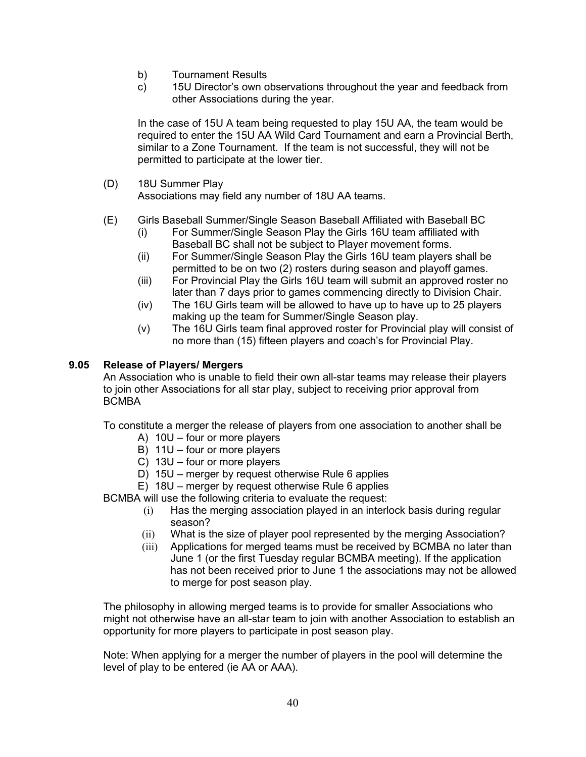- b) Tournament Results
- c) 15U Director's own observations throughout the year and feedback from other Associations during the year.

In the case of 15U A team being requested to play 15U AA, the team would be required to enter the 15U AA Wild Card Tournament and earn a Provincial Berth, similar to a Zone Tournament. If the team is not successful, they will not be permitted to participate at the lower tier.

(D) 18U Summer Play

Associations may field any number of 18U AA teams.

- (E) Girls Baseball Summer/Single Season Baseball Affiliated with Baseball BC
	- (i) For Summer/Single Season Play the Girls 16U team affiliated with Baseball BC shall not be subject to Player movement forms.
	- (ii) For Summer/Single Season Play the Girls 16U team players shall be permitted to be on two (2) rosters during season and playoff games.
	- (iii) For Provincial Play the Girls 16U team will submit an approved roster no later than 7 days prior to games commencing directly to Division Chair.
	- (iv) The 16U Girls team will be allowed to have up to have up to 25 players making up the team for Summer/Single Season play.
	- (v) The 16U Girls team final approved roster for Provincial play will consist of no more than (15) fifteen players and coach's for Provincial Play.

## **9.05 Release of Players/ Mergers**

An Association who is unable to field their own all-star teams may release their players to join other Associations for all star play, subject to receiving prior approval from BCMBA

To constitute a merger the release of players from one association to another shall be

- A) 10U four or more players
- B) 11U four or more players
- C) 13U four or more players
- D) 15U merger by request otherwise Rule 6 applies
- E) 18U merger by request otherwise Rule 6 applies

BCMBA will use the following criteria to evaluate the request:

- (i) Has the merging association played in an interlock basis during regular season?
- (ii) What is the size of player pool represented by the merging Association?
- (iii) Applications for merged teams must be received by BCMBA no later than June 1 (or the first Tuesday regular BCMBA meeting). If the application has not been received prior to June 1 the associations may not be allowed to merge for post season play.

The philosophy in allowing merged teams is to provide for smaller Associations who might not otherwise have an all-star team to join with another Association to establish an opportunity for more players to participate in post season play.

Note: When applying for a merger the number of players in the pool will determine the level of play to be entered (ie AA or AAA).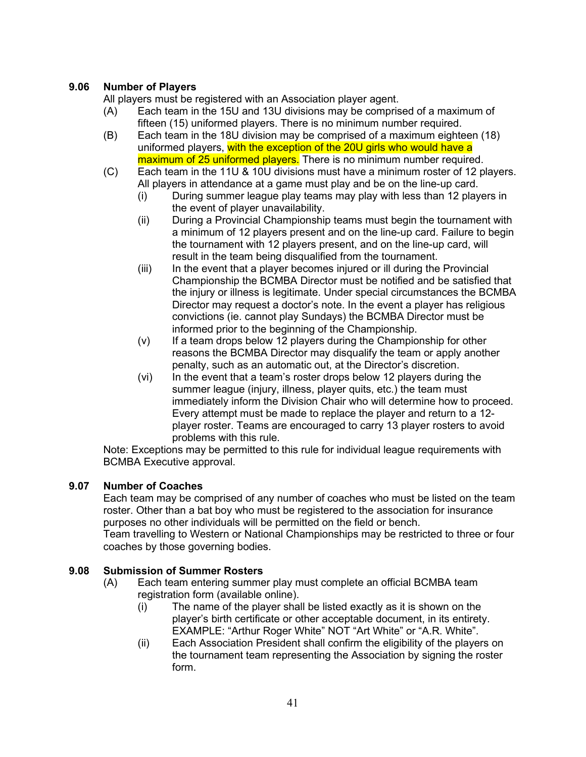# **9.06 Number of Players**

All players must be registered with an Association player agent.

- (A) Each team in the 15U and 13U divisions may be comprised of a maximum of fifteen (15) uniformed players. There is no minimum number required.
- (B) Each team in the 18U division may be comprised of a maximum eighteen (18) uniformed players, with the exception of the 20U girls who would have a maximum of 25 uniformed players. There is no minimum number required.
- (C) Each team in the 11U & 10U divisions must have a minimum roster of 12 players. All players in attendance at a game must play and be on the line-up card.
	- (i) During summer league play teams may play with less than 12 players in the event of player unavailability.
	- (ii) During a Provincial Championship teams must begin the tournament with a minimum of 12 players present and on the line-up card. Failure to begin the tournament with 12 players present, and on the line-up card, will result in the team being disqualified from the tournament.
	- (iii) In the event that a player becomes injured or ill during the Provincial Championship the BCMBA Director must be notified and be satisfied that the injury or illness is legitimate. Under special circumstances the BCMBA Director may request a doctor's note. In the event a player has religious convictions (ie. cannot play Sundays) the BCMBA Director must be informed prior to the beginning of the Championship.
	- (v) If a team drops below 12 players during the Championship for other reasons the BCMBA Director may disqualify the team or apply another penalty, such as an automatic out, at the Director's discretion.
	- (vi) In the event that a team's roster drops below 12 players during the summer league (injury, illness, player quits, etc.) the team must immediately inform the Division Chair who will determine how to proceed. Every attempt must be made to replace the player and return to a 12 player roster. Teams are encouraged to carry 13 player rosters to avoid problems with this rule.

Note: Exceptions may be permitted to this rule for individual league requirements with BCMBA Executive approval.

# **9.07 Number of Coaches**

Each team may be comprised of any number of coaches who must be listed on the team roster. Other than a bat boy who must be registered to the association for insurance purposes no other individuals will be permitted on the field or bench.

Team travelling to Western or National Championships may be restricted to three or four coaches by those governing bodies.

# **9.08 Submission of Summer Rosters**

- (A) Each team entering summer play must complete an official BCMBA team registration form (available online).
	- (i) The name of the player shall be listed exactly as it is shown on the player's birth certificate or other acceptable document, in its entirety. EXAMPLE: "Arthur Roger White" NOT "Art White" or "A.R. White".
	- (ii) Each Association President shall confirm the eligibility of the players on the tournament team representing the Association by signing the roster form.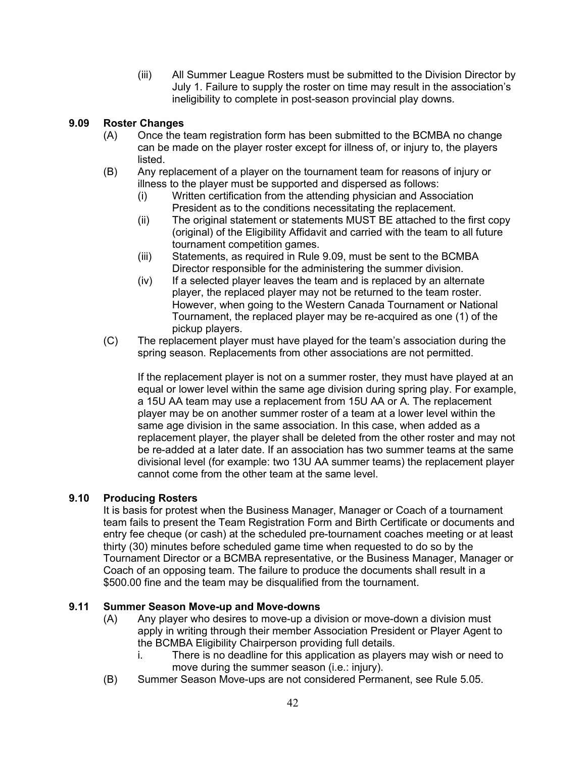(iii) All Summer League Rosters must be submitted to the Division Director by July 1. Failure to supply the roster on time may result in the association's ineligibility to complete in post-season provincial play downs.

# **9.09 Roster Changes**

- (A) Once the team registration form has been submitted to the BCMBA no change can be made on the player roster except for illness of, or injury to, the players listed.
- (B) Any replacement of a player on the tournament team for reasons of injury or illness to the player must be supported and dispersed as follows:
	- (i) Written certification from the attending physician and Association President as to the conditions necessitating the replacement.
	- (ii) The original statement or statements MUST BE attached to the first copy (original) of the Eligibility Affidavit and carried with the team to all future tournament competition games.
	- (iii) Statements, as required in Rule 9.09, must be sent to the BCMBA Director responsible for the administering the summer division.
	- (iv) If a selected player leaves the team and is replaced by an alternate player, the replaced player may not be returned to the team roster. However, when going to the Western Canada Tournament or National Tournament, the replaced player may be re-acquired as one (1) of the pickup players.
- (C) The replacement player must have played for the team's association during the spring season. Replacements from other associations are not permitted.

If the replacement player is not on a summer roster, they must have played at an equal or lower level within the same age division during spring play. For example, a 15U AA team may use a replacement from 15U AA or A. The replacement player may be on another summer roster of a team at a lower level within the same age division in the same association. In this case, when added as a replacement player, the player shall be deleted from the other roster and may not be re-added at a later date. If an association has two summer teams at the same divisional level (for example: two 13U AA summer teams) the replacement player cannot come from the other team at the same level.

# **9.10 Producing Rosters**

It is basis for protest when the Business Manager, Manager or Coach of a tournament team fails to present the Team Registration Form and Birth Certificate or documents and entry fee cheque (or cash) at the scheduled pre-tournament coaches meeting or at least thirty (30) minutes before scheduled game time when requested to do so by the Tournament Director or a BCMBA representative, or the Business Manager, Manager or Coach of an opposing team. The failure to produce the documents shall result in a \$500.00 fine and the team may be disqualified from the tournament.

# **9.11 Summer Season Move-up and Move-downs**

- (A) Any player who desires to move-up a division or move-down a division must apply in writing through their member Association President or Player Agent to the BCMBA Eligibility Chairperson providing full details.
	- i. There is no deadline for this application as players may wish or need to move during the summer season (i.e.: injury).
- (B) Summer Season Move-ups are not considered Permanent, see Rule 5.05.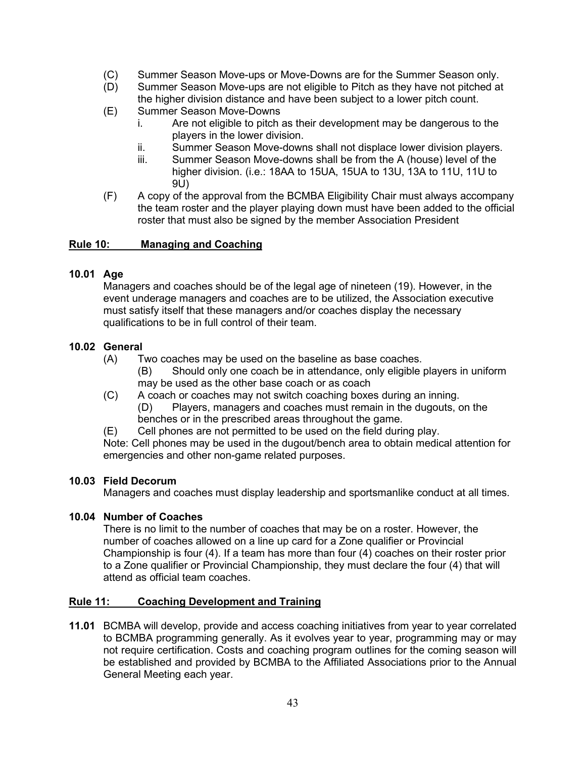- (C) Summer Season Move-ups or Move-Downs are for the Summer Season only.
- (D) Summer Season Move-ups are not eligible to Pitch as they have not pitched at the higher division distance and have been subject to a lower pitch count.
- (E) Summer Season Move-Downs
	- i. Are not eligible to pitch as their development may be dangerous to the players in the lower division.
	- ii. Summer Season Move-downs shall not displace lower division players.
	- iii. Summer Season Move-downs shall be from the A (house) level of the higher division. (i.e.: 18AA to 15UA, 15UA to 13U, 13A to 11U, 11U to 9U)
- (F) A copy of the approval from the BCMBA Eligibility Chair must always accompany the team roster and the player playing down must have been added to the official roster that must also be signed by the member Association President

# **Rule 10: Managing and Coaching**

# **10.01 Age**

Managers and coaches should be of the legal age of nineteen (19). However, in the event underage managers and coaches are to be utilized, the Association executive must satisfy itself that these managers and/or coaches display the necessary qualifications to be in full control of their team.

# **10.02 General**

- (A) Two coaches may be used on the baseline as base coaches.
	- (B) Should only one coach be in attendance, only eligible players in uniform may be used as the other base coach or as coach
- (C) A coach or coaches may not switch coaching boxes during an inning. (D) Players, managers and coaches must remain in the dugouts, on the benches or in the prescribed areas throughout the game.
- (E) Cell phones are not permitted to be used on the field during play.

Note: Cell phones may be used in the dugout/bench area to obtain medical attention for emergencies and other non-game related purposes.

# **10.03 Field Decorum**

Managers and coaches must display leadership and sportsmanlike conduct at all times.

#### **10.04 Number of Coaches**

There is no limit to the number of coaches that may be on a roster. However, the number of coaches allowed on a line up card for a Zone qualifier or Provincial Championship is four (4). If a team has more than four (4) coaches on their roster prior to a Zone qualifier or Provincial Championship, they must declare the four (4) that will attend as official team coaches.

#### **Rule 11: Coaching Development and Training**

**11.01** BCMBA will develop, provide and access coaching initiatives from year to year correlated to BCMBA programming generally. As it evolves year to year, programming may or may not require certification. Costs and coaching program outlines for the coming season will be established and provided by BCMBA to the Affiliated Associations prior to the Annual General Meeting each year.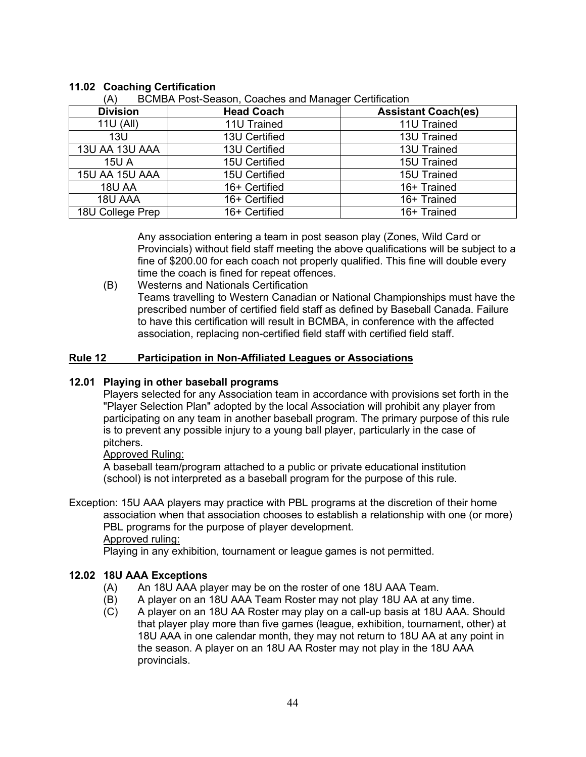| <b>Division</b>  | <b>Head Coach</b> | <b>Assistant Coach(es)</b> |
|------------------|-------------------|----------------------------|
| 11U (All)        | 11U Trained       | 11U Trained                |
| 13U              | 13U Certified     | 13U Trained                |
| 13U AA 13U AAA   | 13U Certified     | 13U Trained                |
| <b>15U A</b>     | 15U Certified     | 15U Trained                |
| 15U AA 15U AAA   | 15U Certified     | 15U Trained                |
| <b>18U AA</b>    | 16+ Certified     | 16+ Trained                |
| 18U AAA          | 16+ Certified     | 16+ Trained                |
| 18U College Prep | 16+ Certified     | 16+ Trained                |

# **11.02 Coaching Certification**

RCMBA Post-Season, Coaches and Manager Certification

Any association entering a team in post season play (Zones, Wild Card or Provincials) without field staff meeting the above qualifications will be subject to a fine of \$200.00 for each coach not properly qualified. This fine will double every time the coach is fined for repeat offences.

(B) Westerns and Nationals Certification Teams travelling to Western Canadian or National Championships must have the prescribed number of certified field staff as defined by Baseball Canada. Failure to have this certification will result in BCMBA, in conference with the affected association, replacing non-certified field staff with certified field staff.

# **Rule 12 Participation in Non-Affiliated Leagues or Associations**

# **12.01 Playing in other baseball programs**

Players selected for any Association team in accordance with provisions set forth in the "Player Selection Plan" adopted by the local Association will prohibit any player from participating on any team in another baseball program. The primary purpose of this rule is to prevent any possible injury to a young ball player, particularly in the case of pitchers.

#### Approved Ruling:

A baseball team/program attached to a public or private educational institution (school) is not interpreted as a baseball program for the purpose of this rule.

Exception: 15U AAA players may practice with PBL programs at the discretion of their home association when that association chooses to establish a relationship with one (or more) PBL programs for the purpose of player development.

Approved ruling:

Playing in any exhibition, tournament or league games is not permitted.

# **12.02 18U AAA Exceptions**

- 
- (A) An 18U AAA player may be on the roster of one 18U AAA Team.<br>(B) A player on an 18U AAA Team Roster may not play 18U AA at ar A player on an 18U AAA Team Roster may not play 18U AA at any time.
- (C) A player on an 18U AA Roster may play on a call-up basis at 18U AAA. Should that player play more than five games (league, exhibition, tournament, other) at 18U AAA in one calendar month, they may not return to 18U AA at any point in the season. A player on an 18U AA Roster may not play in the 18U AAA provincials.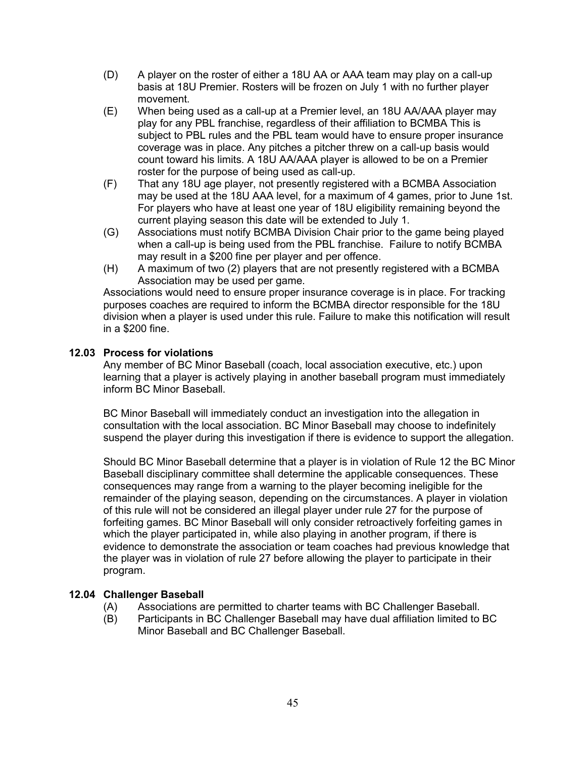- (D) A player on the roster of either a 18U AA or AAA team may play on a call-up basis at 18U Premier. Rosters will be frozen on July 1 with no further player movement.
- (E) When being used as a call-up at a Premier level, an 18U AA/AAA player may play for any PBL franchise, regardless of their affiliation to BCMBA This is subject to PBL rules and the PBL team would have to ensure proper insurance coverage was in place. Any pitches a pitcher threw on a call-up basis would count toward his limits. A 18U AA/AAA player is allowed to be on a Premier roster for the purpose of being used as call-up.
- (F) That any 18U age player, not presently registered with a BCMBA Association may be used at the 18U AAA level, for a maximum of 4 games, prior to June 1st. For players who have at least one year of 18U eligibility remaining beyond the current playing season this date will be extended to July 1.
- (G) Associations must notify BCMBA Division Chair prior to the game being played when a call-up is being used from the PBL franchise. Failure to notify BCMBA may result in a \$200 fine per player and per offence.
- (H) A maximum of two (2) players that are not presently registered with a BCMBA Association may be used per game.

Associations would need to ensure proper insurance coverage is in place. For tracking purposes coaches are required to inform the BCMBA director responsible for the 18U division when a player is used under this rule. Failure to make this notification will result in a \$200 fine.

## **12.03 Process for violations**

Any member of BC Minor Baseball (coach, local association executive, etc.) upon learning that a player is actively playing in another baseball program must immediately inform BC Minor Baseball.

BC Minor Baseball will immediately conduct an investigation into the allegation in consultation with the local association. BC Minor Baseball may choose to indefinitely suspend the player during this investigation if there is evidence to support the allegation.

Should BC Minor Baseball determine that a player is in violation of Rule 12 the BC Minor Baseball disciplinary committee shall determine the applicable consequences. These consequences may range from a warning to the player becoming ineligible for the remainder of the playing season, depending on the circumstances. A player in violation of this rule will not be considered an illegal player under rule 27 for the purpose of forfeiting games. BC Minor Baseball will only consider retroactively forfeiting games in which the player participated in, while also playing in another program, if there is evidence to demonstrate the association or team coaches had previous knowledge that the player was in violation of rule 27 before allowing the player to participate in their program.

#### **12.04 Challenger Baseball**

- (A) Associations are permitted to charter teams with BC Challenger Baseball.<br>(B) Participants in BC Challenger Baseball may have dual affiliation limited to
- Participants in BC Challenger Baseball may have dual affiliation limited to BC Minor Baseball and BC Challenger Baseball.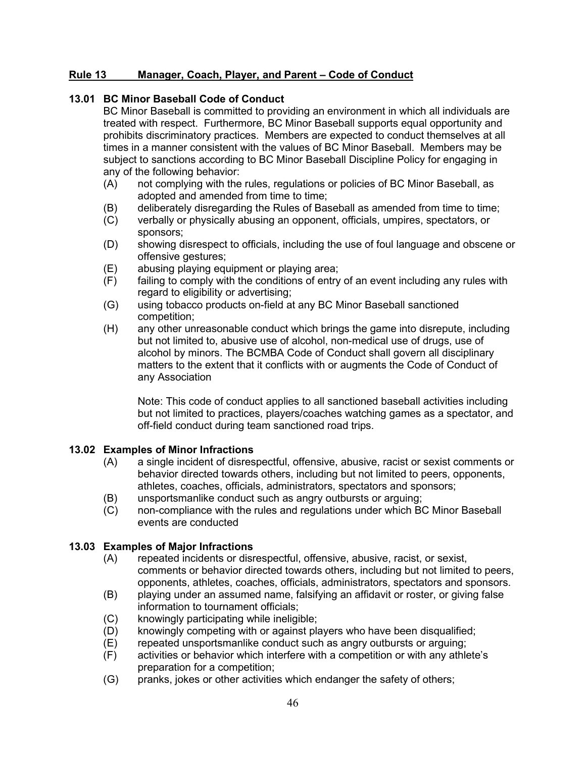# **Rule 13 Manager, Coach, Player, and Parent – Code of Conduct**

# **13.01 BC Minor Baseball Code of Conduct**

BC Minor Baseball is committed to providing an environment in which all individuals are treated with respect. Furthermore, BC Minor Baseball supports equal opportunity and prohibits discriminatory practices. Members are expected to conduct themselves at all times in a manner consistent with the values of BC Minor Baseball. Members may be subject to sanctions according to BC Minor Baseball Discipline Policy for engaging in any of the following behavior:

- (A) not complying with the rules, regulations or policies of BC Minor Baseball, as adopted and amended from time to time;
- (B) deliberately disregarding the Rules of Baseball as amended from time to time;
- (C) verbally or physically abusing an opponent, officials, umpires, spectators, or sponsors;
- (D) showing disrespect to officials, including the use of foul language and obscene or offensive gestures;
- $(E)$  abusing playing equipment or playing area;<br> $(F)$  failing to comply with the conditions of entry
- failing to comply with the conditions of entry of an event including any rules with regard to eligibility or advertising;
- (G) using tobacco products on-field at any BC Minor Baseball sanctioned competition;
- (H) any other unreasonable conduct which brings the game into disrepute, including but not limited to, abusive use of alcohol, non-medical use of drugs, use of alcohol by minors. The BCMBA Code of Conduct shall govern all disciplinary matters to the extent that it conflicts with or augments the Code of Conduct of any Association

Note: This code of conduct applies to all sanctioned baseball activities including but not limited to practices, players/coaches watching games as a spectator, and off-field conduct during team sanctioned road trips.

#### **13.02 Examples of Minor Infractions**

- (A) a single incident of disrespectful, offensive, abusive, racist or sexist comments or behavior directed towards others, including but not limited to peers, opponents, athletes, coaches, officials, administrators, spectators and sponsors;
- (B) unsportsmanlike conduct such as angry outbursts or arguing;
- (C) non-compliance with the rules and regulations under which BC Minor Baseball events are conducted

# **13.03 Examples of Major Infractions**

- (A) repeated incidents or disrespectful, offensive, abusive, racist, or sexist, comments or behavior directed towards others, including but not limited to peers, opponents, athletes, coaches, officials, administrators, spectators and sponsors.
- (B) playing under an assumed name, falsifying an affidavit or roster, or giving false information to tournament officials;
- (C) knowingly participating while ineligible;
- (D) knowingly competing with or against players who have been disqualified;
- (E) repeated unsportsmanlike conduct such as angry outbursts or arguing;
- (F) activities or behavior which interfere with a competition or with any athlete's preparation for a competition;
- (G) pranks, jokes or other activities which endanger the safety of others;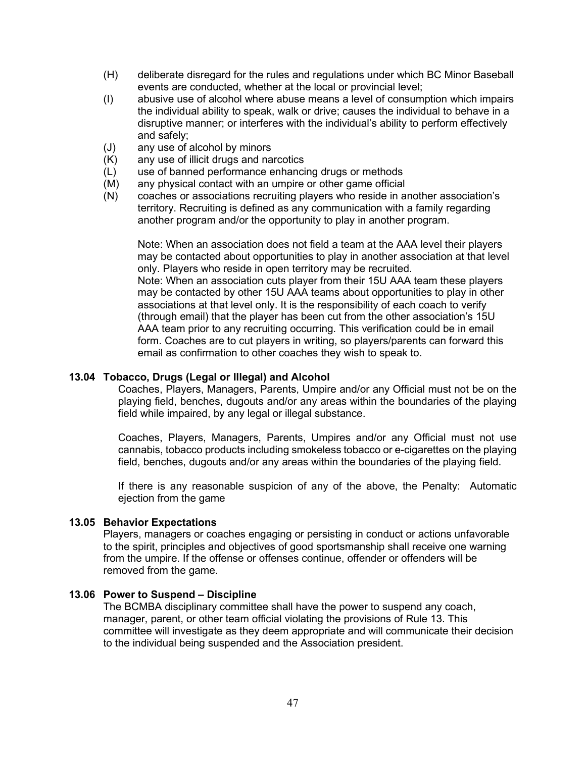- (H) deliberate disregard for the rules and regulations under which BC Minor Baseball events are conducted, whether at the local or provincial level;
- (I) abusive use of alcohol where abuse means a level of consumption which impairs the individual ability to speak, walk or drive; causes the individual to behave in a disruptive manner; or interferes with the individual's ability to perform effectively and safely;
- (J) any use of alcohol by minors
- (K) any use of illicit drugs and narcotics
- (L) use of banned performance enhancing drugs or methods
- (M) any physical contact with an umpire or other game official<br>(N) coaches or associations recruiting players who reside in a
- coaches or associations recruiting players who reside in another association's territory. Recruiting is defined as any communication with a family regarding another program and/or the opportunity to play in another program.

Note: When an association does not field a team at the AAA level their players may be contacted about opportunities to play in another association at that level only. Players who reside in open territory may be recruited.

Note: When an association cuts player from their 15U AAA team these players may be contacted by other 15U AAA teams about opportunities to play in other associations at that level only. It is the responsibility of each coach to verify (through email) that the player has been cut from the other association's 15U AAA team prior to any recruiting occurring. This verification could be in email form. Coaches are to cut players in writing, so players/parents can forward this email as confirmation to other coaches they wish to speak to.

#### **13.04 Tobacco, Drugs (Legal or Illegal) and Alcohol**

Coaches, Players, Managers, Parents, Umpire and/or any Official must not be on the playing field, benches, dugouts and/or any areas within the boundaries of the playing field while impaired, by any legal or illegal substance.

Coaches, Players, Managers, Parents, Umpires and/or any Official must not use cannabis, tobacco products including smokeless tobacco or e-cigarettes on the playing field, benches, dugouts and/or any areas within the boundaries of the playing field.

If there is any reasonable suspicion of any of the above, the Penalty: Automatic ejection from the game

#### **13.05 Behavior Expectations**

Players, managers or coaches engaging or persisting in conduct or actions unfavorable to the spirit, principles and objectives of good sportsmanship shall receive one warning from the umpire. If the offense or offenses continue, offender or offenders will be removed from the game.

#### **13.06 Power to Suspend – Discipline**

The BCMBA disciplinary committee shall have the power to suspend any coach, manager, parent, or other team official violating the provisions of Rule 13. This committee will investigate as they deem appropriate and will communicate their decision to the individual being suspended and the Association president.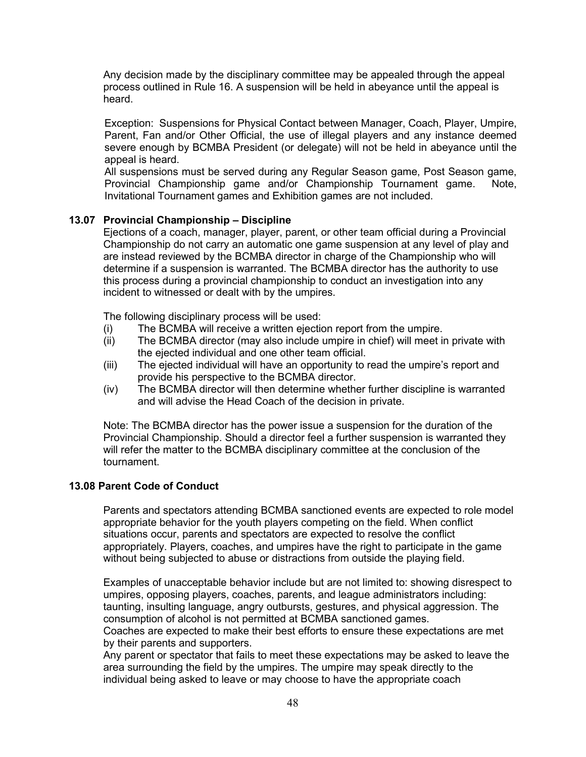Any decision made by the disciplinary committee may be appealed through the appeal process outlined in Rule 16. A suspension will be held in abeyance until the appeal is heard.

Exception: Suspensions for Physical Contact between Manager, Coach, Player, Umpire, Parent, Fan and/or Other Official, the use of illegal players and any instance deemed severe enough by BCMBA President (or delegate) will not be held in abeyance until the appeal is heard.

All suspensions must be served during any Regular Season game, Post Season game, Provincial Championship game and/or Championship Tournament game. Note, Invitational Tournament games and Exhibition games are not included.

## **13.07 Provincial Championship – Discipline**

Ejections of a coach, manager, player, parent, or other team official during a Provincial Championship do not carry an automatic one game suspension at any level of play and are instead reviewed by the BCMBA director in charge of the Championship who will determine if a suspension is warranted. The BCMBA director has the authority to use this process during a provincial championship to conduct an investigation into any incident to witnessed or dealt with by the umpires.

The following disciplinary process will be used:

- (i) The BCMBA will receive a written ejection report from the umpire.
- (ii) The BCMBA director (may also include umpire in chief) will meet in private with the ejected individual and one other team official.
- (iii) The ejected individual will have an opportunity to read the umpire's report and provide his perspective to the BCMBA director.
- (iv) The BCMBA director will then determine whether further discipline is warranted and will advise the Head Coach of the decision in private.

Note: The BCMBA director has the power issue a suspension for the duration of the Provincial Championship. Should a director feel a further suspension is warranted they will refer the matter to the BCMBA disciplinary committee at the conclusion of the tournament.

#### **13.08 Parent Code of Conduct**

Parents and spectators attending BCMBA sanctioned events are expected to role model appropriate behavior for the youth players competing on the field. When conflict situations occur, parents and spectators are expected to resolve the conflict appropriately. Players, coaches, and umpires have the right to participate in the game without being subjected to abuse or distractions from outside the playing field.

Examples of unacceptable behavior include but are not limited to: showing disrespect to umpires, opposing players, coaches, parents, and league administrators including: taunting, insulting language, angry outbursts, gestures, and physical aggression. The consumption of alcohol is not permitted at BCMBA sanctioned games. Coaches are expected to make their best efforts to ensure these expectations are met by their parents and supporters.

Any parent or spectator that fails to meet these expectations may be asked to leave the area surrounding the field by the umpires. The umpire may speak directly to the individual being asked to leave or may choose to have the appropriate coach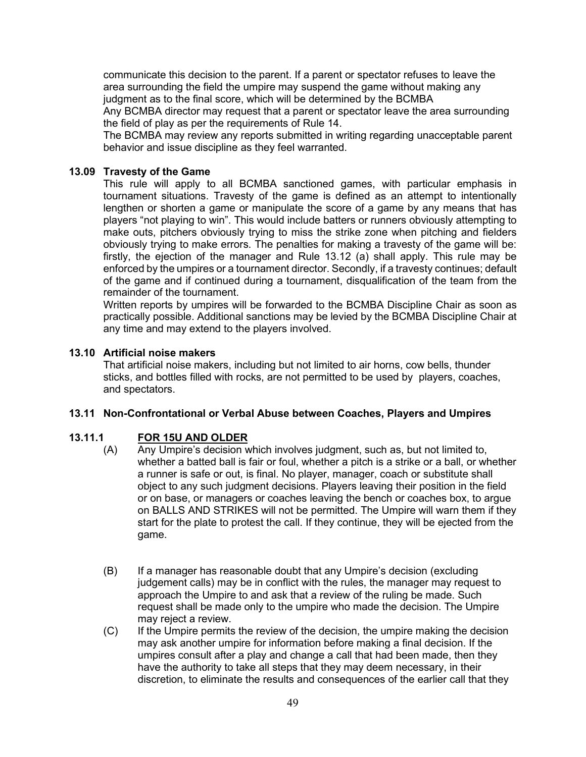communicate this decision to the parent. If a parent or spectator refuses to leave the area surrounding the field the umpire may suspend the game without making any judgment as to the final score, which will be determined by the BCMBA Any BCMBA director may request that a parent or spectator leave the area surrounding the field of play as per the requirements of Rule 14.

The BCMBA may review any reports submitted in writing regarding unacceptable parent behavior and issue discipline as they feel warranted.

## **13.09 Travesty of the Game**

This rule will apply to all BCMBA sanctioned games, with particular emphasis in tournament situations. Travesty of the game is defined as an attempt to intentionally lengthen or shorten a game or manipulate the score of a game by any means that has players "not playing to win". This would include batters or runners obviously attempting to make outs, pitchers obviously trying to miss the strike zone when pitching and fielders obviously trying to make errors. The penalties for making a travesty of the game will be: firstly, the ejection of the manager and Rule 13.12 (a) shall apply. This rule may be enforced by the umpires or a tournament director. Secondly, if a travesty continues; default of the game and if continued during a tournament, disqualification of the team from the remainder of the tournament.

Written reports by umpires will be forwarded to the BCMBA Discipline Chair as soon as practically possible. Additional sanctions may be levied by the BCMBA Discipline Chair at any time and may extend to the players involved.

#### **13.10 Artificial noise makers**

That artificial noise makers, including but not limited to air horns, cow bells, thunder sticks, and bottles filled with rocks, are not permitted to be used by players, coaches, and spectators.

#### **13.11 Non-Confrontational or Verbal Abuse between Coaches, Players and Umpires**

# **13.11.1 FOR 15U AND OLDER**

- (A) Any Umpire's decision which involves judgment, such as, but not limited to, whether a batted ball is fair or foul, whether a pitch is a strike or a ball, or whether a runner is safe or out, is final. No player, manager, coach or substitute shall object to any such judgment decisions. Players leaving their position in the field or on base, or managers or coaches leaving the bench or coaches box, to argue on BALLS AND STRIKES will not be permitted. The Umpire will warn them if they start for the plate to protest the call. If they continue, they will be ejected from the game.
- (B) If a manager has reasonable doubt that any Umpire's decision (excluding judgement calls) may be in conflict with the rules, the manager may request to approach the Umpire to and ask that a review of the ruling be made. Such request shall be made only to the umpire who made the decision. The Umpire may reject a review.
- (C) If the Umpire permits the review of the decision, the umpire making the decision may ask another umpire for information before making a final decision. If the umpires consult after a play and change a call that had been made, then they have the authority to take all steps that they may deem necessary, in their discretion, to eliminate the results and consequences of the earlier call that they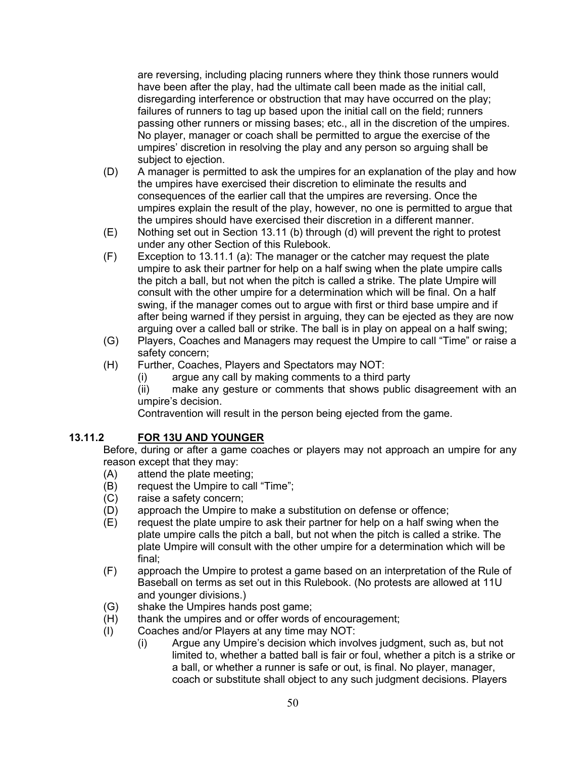are reversing, including placing runners where they think those runners would have been after the play, had the ultimate call been made as the initial call, disregarding interference or obstruction that may have occurred on the play; failures of runners to tag up based upon the initial call on the field; runners passing other runners or missing bases; etc., all in the discretion of the umpires. No player, manager or coach shall be permitted to argue the exercise of the umpires' discretion in resolving the play and any person so arguing shall be subject to ejection.

- (D) A manager is permitted to ask the umpires for an explanation of the play and how the umpires have exercised their discretion to eliminate the results and consequences of the earlier call that the umpires are reversing. Once the umpires explain the result of the play, however, no one is permitted to argue that the umpires should have exercised their discretion in a different manner.
- (E) Nothing set out in Section 13.11 (b) through (d) will prevent the right to protest under any other Section of this Rulebook.
- (F) Exception to 13.11.1 (a): The manager or the catcher may request the plate umpire to ask their partner for help on a half swing when the plate umpire calls the pitch a ball, but not when the pitch is called a strike. The plate Umpire will consult with the other umpire for a determination which will be final. On a half swing, if the manager comes out to argue with first or third base umpire and if after being warned if they persist in arguing, they can be ejected as they are now arguing over a called ball or strike. The ball is in play on appeal on a half swing;
- (G) Players, Coaches and Managers may request the Umpire to call "Time" or raise a safety concern;
- (H) Further, Coaches, Players and Spectators may NOT:
	- (i) argue any call by making comments to a third party

(ii) make any gesture or comments that shows public disagreement with an umpire's decision.

Contravention will result in the person being ejected from the game.

# **13.11.2 FOR 13U AND YOUNGER**

Before, during or after a game coaches or players may not approach an umpire for any reason except that they may:<br>(A) attend the plate meetir

- attend the plate meeting;
- (B) request the Umpire to call "Time";
- (C) raise a safety concern;
- (D) approach the Umpire to make a substitution on defense or offence;
- (E) request the plate umpire to ask their partner for help on a half swing when the plate umpire calls the pitch a ball, but not when the pitch is called a strike. The plate Umpire will consult with the other umpire for a determination which will be final;
- (F) approach the Umpire to protest a game based on an interpretation of the Rule of Baseball on terms as set out in this Rulebook. (No protests are allowed at 11U and younger divisions.)
- (G) shake the Umpires hands post game;
- (H) thank the umpires and or offer words of encouragement;
- (I) Coaches and/or Players at any time may NOT:
	- (i) Argue any Umpire's decision which involves judgment, such as, but not limited to, whether a batted ball is fair or foul, whether a pitch is a strike or a ball, or whether a runner is safe or out, is final. No player, manager, coach or substitute shall object to any such judgment decisions. Players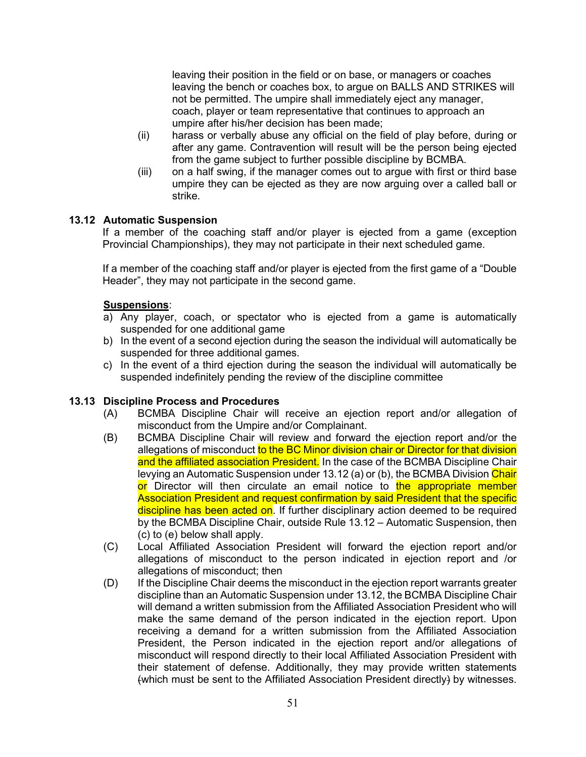leaving their position in the field or on base, or managers or coaches leaving the bench or coaches box, to argue on BALLS AND STRIKES will not be permitted. The umpire shall immediately eject any manager, coach, player or team representative that continues to approach an umpire after his/her decision has been made;

- (ii) harass or verbally abuse any official on the field of play before, during or after any game. Contravention will result will be the person being ejected from the game subject to further possible discipline by BCMBA.
- (iii) on a half swing, if the manager comes out to argue with first or third base umpire they can be ejected as they are now arguing over a called ball or strike.

# **13.12 Automatic Suspension**

If a member of the coaching staff and/or player is ejected from a game (exception Provincial Championships), they may not participate in their next scheduled game.

If a member of the coaching staff and/or player is ejected from the first game of a "Double Header", they may not participate in the second game.

# **Suspensions**:

- a) Any player, coach, or spectator who is ejected from a game is automatically suspended for one additional game
- b) In the event of a second ejection during the season the individual will automatically be suspended for three additional games.
- c) In the event of a third ejection during the season the individual will automatically be suspended indefinitely pending the review of the discipline committee

# **13.13 Discipline Process and Procedures**

- (A) BCMBA Discipline Chair will receive an ejection report and/or allegation of misconduct from the Umpire and/or Complainant.
- (B) BCMBA Discipline Chair will review and forward the ejection report and/or the allegations of misconduct to the BC Minor division chair or Director for that division and the affiliated association President. In the case of the BCMBA Discipline Chair levying an Automatic Suspension under 13.12 (a) or (b), the BCMBA Division Chair or Director will then circulate an email notice to the appropriate member Association President and request confirmation by said President that the specific discipline has been acted on. If further disciplinary action deemed to be required by the BCMBA Discipline Chair, outside Rule 13.12 – Automatic Suspension, then (c) to (e) below shall apply.
- (C) Local Affiliated Association President will forward the ejection report and/or allegations of misconduct to the person indicated in ejection report and /or allegations of misconduct; then
- (D) If the Discipline Chair deems the misconduct in the ejection report warrants greater discipline than an Automatic Suspension under 13.12, the BCMBA Discipline Chair will demand a written submission from the Affiliated Association President who will make the same demand of the person indicated in the ejection report. Upon receiving a demand for a written submission from the Affiliated Association President, the Person indicated in the ejection report and/or allegations of misconduct will respond directly to their local Affiliated Association President with their statement of defense. Additionally, they may provide written statements (which must be sent to the Affiliated Association President directly) by witnesses.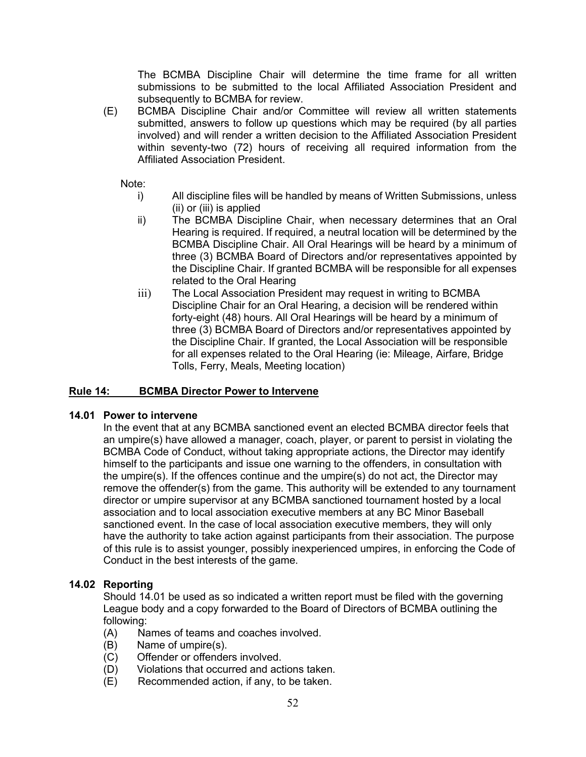The BCMBA Discipline Chair will determine the time frame for all written submissions to be submitted to the local Affiliated Association President and subsequently to BCMBA for review.

(E) BCMBA Discipline Chair and/or Committee will review all written statements submitted, answers to follow up questions which may be required (by all parties involved) and will render a written decision to the Affiliated Association President within seventy-two (72) hours of receiving all required information from the Affiliated Association President.

Note:

- i) All discipline files will be handled by means of Written Submissions, unless (ii) or (iii) is applied
- ii) The BCMBA Discipline Chair, when necessary determines that an Oral Hearing is required. If required, a neutral location will be determined by the BCMBA Discipline Chair. All Oral Hearings will be heard by a minimum of three (3) BCMBA Board of Directors and/or representatives appointed by the Discipline Chair. If granted BCMBA will be responsible for all expenses related to the Oral Hearing
- iii) The Local Association President may request in writing to BCMBA Discipline Chair for an Oral Hearing, a decision will be rendered within forty-eight (48) hours. All Oral Hearings will be heard by a minimum of three (3) BCMBA Board of Directors and/or representatives appointed by the Discipline Chair. If granted, the Local Association will be responsible for all expenses related to the Oral Hearing (ie: Mileage, Airfare, Bridge Tolls, Ferry, Meals, Meeting location)

# **Rule 14: BCMBA Director Power to Intervene**

#### **14.01 Power to intervene**

In the event that at any BCMBA sanctioned event an elected BCMBA director feels that an umpire(s) have allowed a manager, coach, player, or parent to persist in violating the BCMBA Code of Conduct, without taking appropriate actions, the Director may identify himself to the participants and issue one warning to the offenders, in consultation with the umpire(s). If the offences continue and the umpire(s) do not act, the Director may remove the offender(s) from the game. This authority will be extended to any tournament director or umpire supervisor at any BCMBA sanctioned tournament hosted by a local association and to local association executive members at any BC Minor Baseball sanctioned event. In the case of local association executive members, they will only have the authority to take action against participants from their association. The purpose of this rule is to assist younger, possibly inexperienced umpires, in enforcing the Code of Conduct in the best interests of the game.

#### **14.02 Reporting**

Should 14.01 be used as so indicated a written report must be filed with the governing League body and a copy forwarded to the Board of Directors of BCMBA outlining the following:

- (A) Names of teams and coaches involved.
- (B) Name of umpire(s).
- (C) Offender or offenders involved.
- (D) Violations that occurred and actions taken.
- (E) Recommended action, if any, to be taken.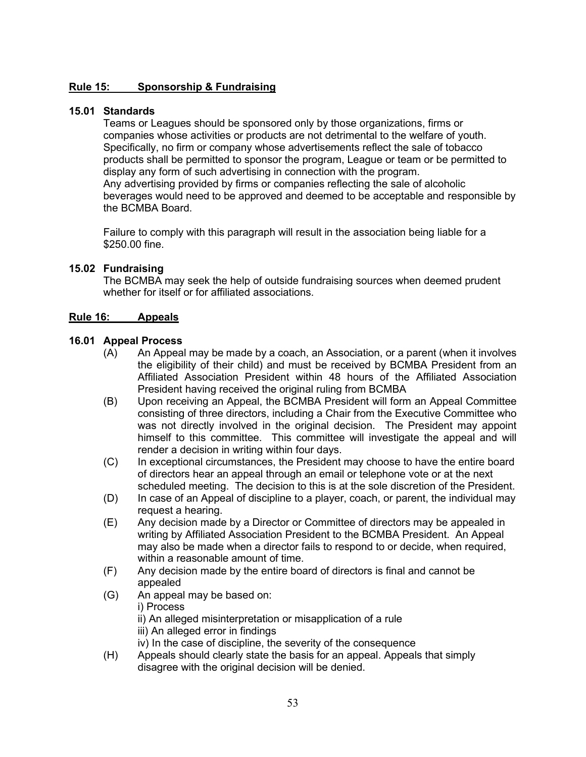# **Rule 15: Sponsorship & Fundraising**

# **15.01 Standards**

Teams or Leagues should be sponsored only by those organizations, firms or companies whose activities or products are not detrimental to the welfare of youth. Specifically, no firm or company whose advertisements reflect the sale of tobacco products shall be permitted to sponsor the program, League or team or be permitted to display any form of such advertising in connection with the program. Any advertising provided by firms or companies reflecting the sale of alcoholic beverages would need to be approved and deemed to be acceptable and responsible by the BCMBA Board.

Failure to comply with this paragraph will result in the association being liable for a \$250.00 fine.

# **15.02 Fundraising**

The BCMBA may seek the help of outside fundraising sources when deemed prudent whether for itself or for affiliated associations.

# **Rule 16: Appeals**

# **16.01 Appeal Process**

- (A) An Appeal may be made by a coach, an Association, or a parent (when it involves the eligibility of their child) and must be received by BCMBA President from an Affiliated Association President within 48 hours of the Affiliated Association President having received the original ruling from BCMBA
- (B) Upon receiving an Appeal, the BCMBA President will form an Appeal Committee consisting of three directors, including a Chair from the Executive Committee who was not directly involved in the original decision. The President may appoint himself to this committee. This committee will investigate the appeal and will render a decision in writing within four days.
- (C) In exceptional circumstances, the President may choose to have the entire board of directors hear an appeal through an email or telephone vote or at the next scheduled meeting. The decision to this is at the sole discretion of the President.
- (D) In case of an Appeal of discipline to a player, coach, or parent, the individual may request a hearing.
- (E) Any decision made by a Director or Committee of directors may be appealed in writing by Affiliated Association President to the BCMBA President. An Appeal may also be made when a director fails to respond to or decide, when required, within a reasonable amount of time.
- (F) Any decision made by the entire board of directors is final and cannot be appealed
- (G) An appeal may be based on:
	- i) Process
	- ii) An alleged misinterpretation or misapplication of a rule
	- iii) An alleged error in findings
	- iv) In the case of discipline, the severity of the consequence
- (H) Appeals should clearly state the basis for an appeal. Appeals that simply disagree with the original decision will be denied.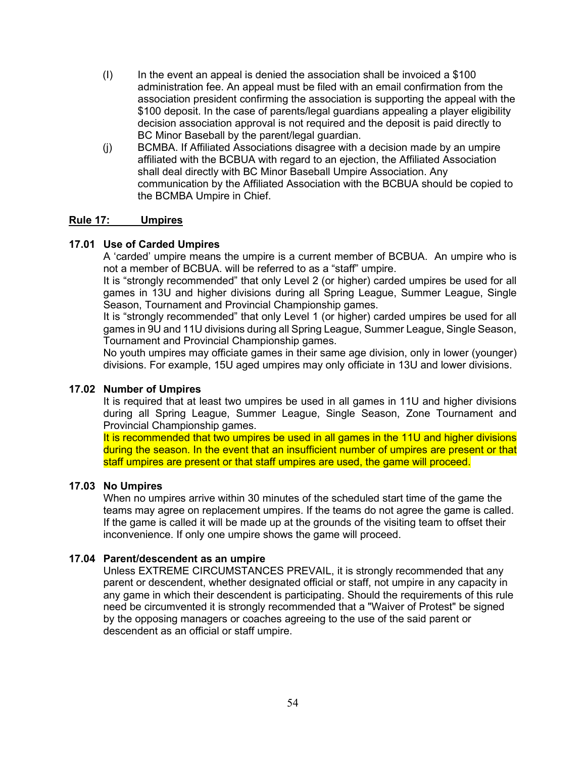- $(1)$  In the event an appeal is denied the association shall be invoiced a \$100 administration fee. An appeal must be filed with an email confirmation from the association president confirming the association is supporting the appeal with the \$100 deposit. In the case of parents/legal guardians appealing a player eligibility decision association approval is not required and the deposit is paid directly to BC Minor Baseball by the parent/legal guardian.
- (j) BCMBA. If Affiliated Associations disagree with a decision made by an umpire affiliated with the BCBUA with regard to an ejection, the Affiliated Association shall deal directly with BC Minor Baseball Umpire Association. Any communication by the Affiliated Association with the BCBUA should be copied to the BCMBA Umpire in Chief.

# **Rule 17: Umpires**

# **17.01 Use of Carded Umpires**

A 'carded' umpire means the umpire is a current member of BCBUA. An umpire who is not a member of BCBUA. will be referred to as a "staff" umpire.

It is "strongly recommended" that only Level 2 (or higher) carded umpires be used for all games in 13U and higher divisions during all Spring League, Summer League, Single Season, Tournament and Provincial Championship games.

It is "strongly recommended" that only Level 1 (or higher) carded umpires be used for all games in 9U and 11U divisions during all Spring League, Summer League, Single Season, Tournament and Provincial Championship games.

No youth umpires may officiate games in their same age division, only in lower (younger) divisions. For example, 15U aged umpires may only officiate in 13U and lower divisions.

#### **17.02 Number of Umpires**

It is required that at least two umpires be used in all games in 11U and higher divisions during all Spring League, Summer League, Single Season, Zone Tournament and Provincial Championship games.

It is recommended that two umpires be used in all games in the 11U and higher divisions during the season. In the event that an insufficient number of umpires are present or that staff umpires are present or that staff umpires are used, the game will proceed.

#### **17.03 No Umpires**

When no umpires arrive within 30 minutes of the scheduled start time of the game the teams may agree on replacement umpires. If the teams do not agree the game is called. If the game is called it will be made up at the grounds of the visiting team to offset their inconvenience. If only one umpire shows the game will proceed.

#### **17.04 Parent/descendent as an umpire**

Unless EXTREME CIRCUMSTANCES PREVAIL, it is strongly recommended that any parent or descendent, whether designated official or staff, not umpire in any capacity in any game in which their descendent is participating. Should the requirements of this rule need be circumvented it is strongly recommended that a "Waiver of Protest" be signed by the opposing managers or coaches agreeing to the use of the said parent or descendent as an official or staff umpire.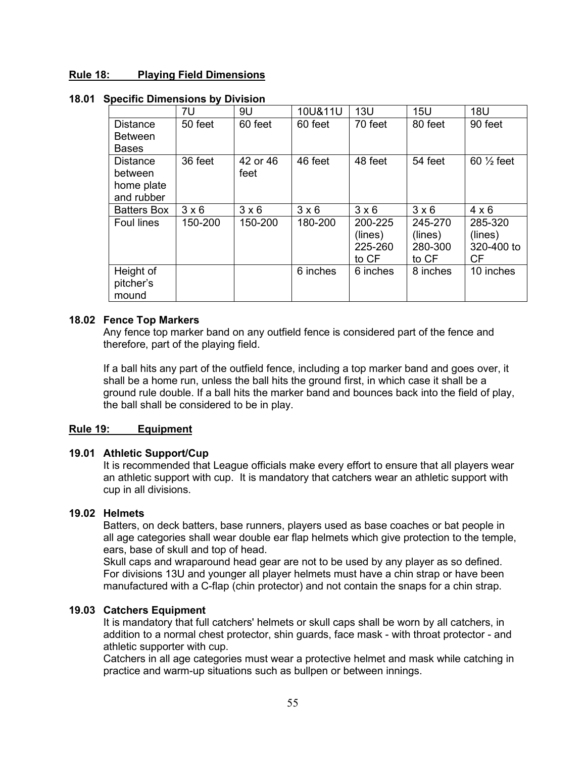## **Rule 18: Playing Field Dimensions**

|                    | 7U           | 9U           | 10U&11U      | 13U          | 15U          | <b>18U</b>           |
|--------------------|--------------|--------------|--------------|--------------|--------------|----------------------|
| <b>Distance</b>    | 50 feet      | 60 feet      | 60 feet      | 70 feet      | 80 feet      | 90 feet              |
| <b>Between</b>     |              |              |              |              |              |                      |
| <b>Bases</b>       |              |              |              |              |              |                      |
| <b>Distance</b>    | 36 feet      | 42 or 46     | 46 feet      | 48 feet      | 54 feet      | $60\frac{1}{2}$ feet |
| between            |              | feet         |              |              |              |                      |
| home plate         |              |              |              |              |              |                      |
| and rubber         |              |              |              |              |              |                      |
| <b>Batters Box</b> | $3 \times 6$ | $3 \times 6$ | $3 \times 6$ | $3 \times 6$ | $3 \times 6$ | $4 \times 6$         |
| <b>Foul lines</b>  | 150-200      | 150-200      | 180-200      | 200-225      | 245-270      | 285-320              |
|                    |              |              |              | (lines)      | (lines)      | (lines)              |
|                    |              |              |              | 225-260      | 280-300      | 320-400 to           |
|                    |              |              |              | to CF        | to CF        | <b>CF</b>            |
| Height of          |              |              | 6 inches     | 6 inches     | 8 inches     | 10 inches            |
| pitcher's          |              |              |              |              |              |                      |
| mound              |              |              |              |              |              |                      |

## **18.01 Specific Dimensions by Division**

#### **18.02 Fence Top Markers**

Any fence top marker band on any outfield fence is considered part of the fence and therefore, part of the playing field.

If a ball hits any part of the outfield fence, including a top marker band and goes over, it shall be a home run, unless the ball hits the ground first, in which case it shall be a ground rule double. If a ball hits the marker band and bounces back into the field of play, the ball shall be considered to be in play.

# **Rule 19: Equipment**

#### **19.01 Athletic Support/Cup**

It is recommended that League officials make every effort to ensure that all players wear an athletic support with cup. It is mandatory that catchers wear an athletic support with cup in all divisions.

# **19.02 Helmets**

Batters, on deck batters, base runners, players used as base coaches or bat people in all age categories shall wear double ear flap helmets which give protection to the temple, ears, base of skull and top of head.

Skull caps and wraparound head gear are not to be used by any player as so defined. For divisions 13U and younger all player helmets must have a chin strap or have been manufactured with a C-flap (chin protector) and not contain the snaps for a chin strap.

# **19.03 Catchers Equipment**

It is mandatory that full catchers' helmets or skull caps shall be worn by all catchers, in addition to a normal chest protector, shin guards, face mask - with throat protector - and athletic supporter with cup.

Catchers in all age categories must wear a protective helmet and mask while catching in practice and warm-up situations such as bullpen or between innings.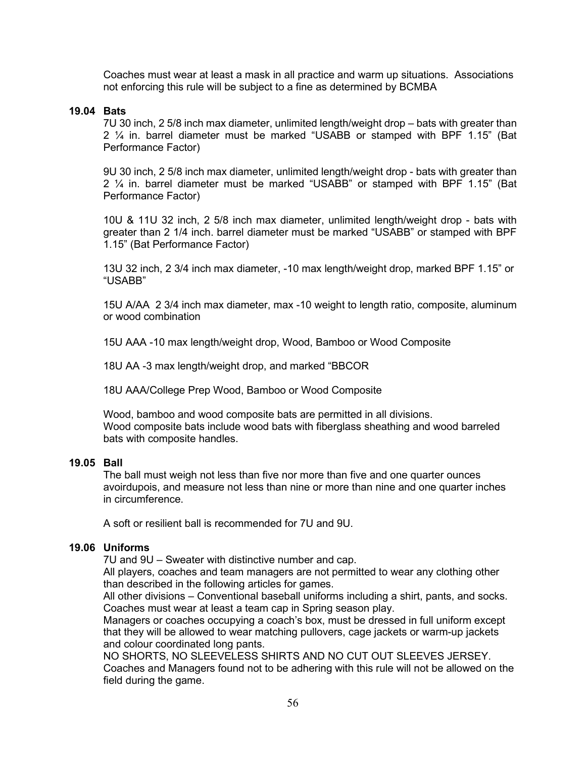Coaches must wear at least a mask in all practice and warm up situations. Associations not enforcing this rule will be subject to a fine as determined by BCMBA

# **19.04 Bats**

7U 30 inch, 2 5/8 inch max diameter, unlimited length/weight drop – bats with greater than 2 ¼ in. barrel diameter must be marked "USABB or stamped with BPF 1.15" (Bat Performance Factor)

9U 30 inch, 2 5/8 inch max diameter, unlimited length/weight drop - bats with greater than 2 ¼ in. barrel diameter must be marked "USABB" or stamped with BPF 1.15" (Bat Performance Factor)

10U & 11U 32 inch, 2 5/8 inch max diameter, unlimited length/weight drop - bats with greater than 2 1/4 inch. barrel diameter must be marked "USABB" or stamped with BPF 1.15" (Bat Performance Factor)

13U 32 inch, 2 3/4 inch max diameter, -10 max length/weight drop, marked BPF 1.15" or "USABB"

15U A/AA 2 3/4 inch max diameter, max -10 weight to length ratio, composite, aluminum or wood combination

15U AAA -10 max length/weight drop, Wood, Bamboo or Wood Composite

18U AA -3 max length/weight drop, and marked "BBCOR

18U AAA/College Prep Wood, Bamboo or Wood Composite

Wood, bamboo and wood composite bats are permitted in all divisions. Wood composite bats include wood bats with fiberglass sheathing and wood barreled bats with composite handles.

#### **19.05 Ball**

The ball must weigh not less than five nor more than five and one quarter ounces avoirdupois, and measure not less than nine or more than nine and one quarter inches in circumference.

A soft or resilient ball is recommended for 7U and 9U.

## **19.06 Uniforms**

7U and 9U – Sweater with distinctive number and cap.

All players, coaches and team managers are not permitted to wear any clothing other than described in the following articles for games.

All other divisions – Conventional baseball uniforms including a shirt, pants, and socks. Coaches must wear at least a team cap in Spring season play.

Managers or coaches occupying a coach's box, must be dressed in full uniform except that they will be allowed to wear matching pullovers, cage jackets or warm-up jackets and colour coordinated long pants.

NO SHORTS, NO SLEEVELESS SHIRTS AND NO CUT OUT SLEEVES JERSEY. Coaches and Managers found not to be adhering with this rule will not be allowed on the field during the game.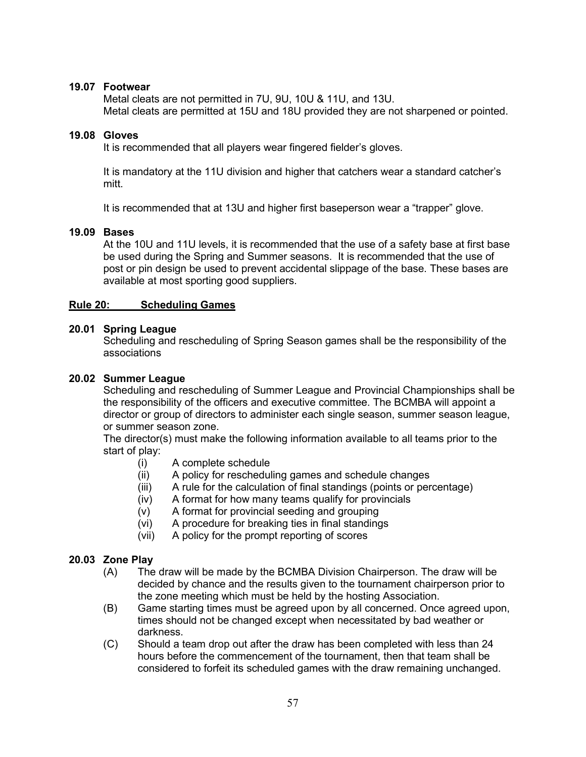## **19.07 Footwear**

Metal cleats are not permitted in 7U, 9U, 10U & 11U, and 13U. Metal cleats are permitted at 15U and 18U provided they are not sharpened or pointed.

#### **19.08 Gloves**

It is recommended that all players wear fingered fielder's gloves.

It is mandatory at the 11U division and higher that catchers wear a standard catcher's mitt.

It is recommended that at 13U and higher first baseperson wear a "trapper" glove.

# **19.09 Bases**

At the 10U and 11U levels, it is recommended that the use of a safety base at first base be used during the Spring and Summer seasons. It is recommended that the use of post or pin design be used to prevent accidental slippage of the base. These bases are available at most sporting good suppliers.

## **Rule 20: Scheduling Games**

# **20.01 Spring League**

Scheduling and rescheduling of Spring Season games shall be the responsibility of the associations

## **20.02 Summer League**

Scheduling and rescheduling of Summer League and Provincial Championships shall be the responsibility of the officers and executive committee. The BCMBA will appoint a director or group of directors to administer each single season, summer season league, or summer season zone.

The director(s) must make the following information available to all teams prior to the start of play:

- (i) A complete schedule
- (ii) A policy for rescheduling games and schedule changes
- (iii) A rule for the calculation of final standings (points or percentage)
- (iv) A format for how many teams qualify for provincials
- (v) A format for provincial seeding and grouping
- (vi) A procedure for breaking ties in final standings
- (vii) A policy for the prompt reporting of scores

# **20.03 Zone Play**

- (A) The draw will be made by the BCMBA Division Chairperson. The draw will be decided by chance and the results given to the tournament chairperson prior to the zone meeting which must be held by the hosting Association.
- (B) Game starting times must be agreed upon by all concerned. Once agreed upon, times should not be changed except when necessitated by bad weather or darkness.
- (C) Should a team drop out after the draw has been completed with less than 24 hours before the commencement of the tournament, then that team shall be considered to forfeit its scheduled games with the draw remaining unchanged.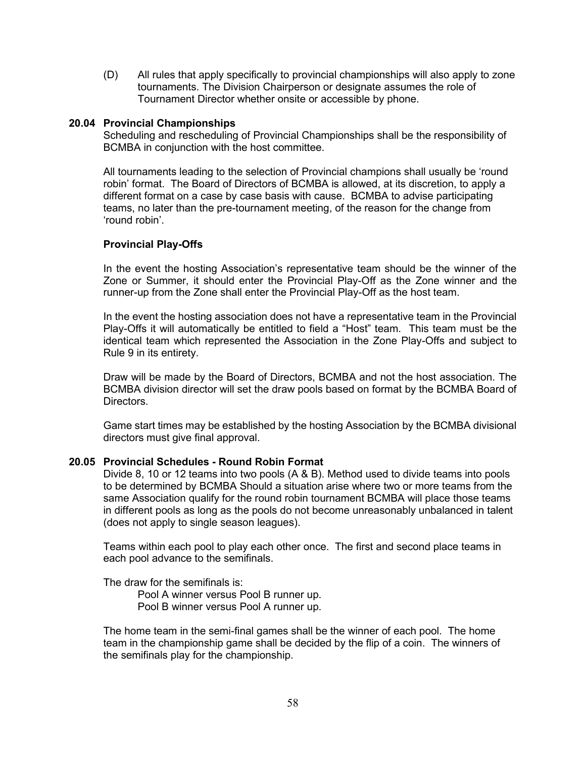(D) All rules that apply specifically to provincial championships will also apply to zone tournaments. The Division Chairperson or designate assumes the role of Tournament Director whether onsite or accessible by phone.

#### **20.04 Provincial Championships**

Scheduling and rescheduling of Provincial Championships shall be the responsibility of BCMBA in conjunction with the host committee.

All tournaments leading to the selection of Provincial champions shall usually be 'round robin' format. The Board of Directors of BCMBA is allowed, at its discretion, to apply a different format on a case by case basis with cause. BCMBA to advise participating teams, no later than the pre-tournament meeting, of the reason for the change from 'round robin'.

## **Provincial Play-Offs**

In the event the hosting Association's representative team should be the winner of the Zone or Summer, it should enter the Provincial Play-Off as the Zone winner and the runner-up from the Zone shall enter the Provincial Play-Off as the host team.

In the event the hosting association does not have a representative team in the Provincial Play-Offs it will automatically be entitled to field a "Host" team. This team must be the identical team which represented the Association in the Zone Play-Offs and subject to Rule 9 in its entirety.

Draw will be made by the Board of Directors, BCMBA and not the host association. The BCMBA division director will set the draw pools based on format by the BCMBA Board of Directors.

Game start times may be established by the hosting Association by the BCMBA divisional directors must give final approval.

#### **20.05 Provincial Schedules - Round Robin Format**

Divide 8, 10 or 12 teams into two pools (A & B). Method used to divide teams into pools to be determined by BCMBA Should a situation arise where two or more teams from the same Association qualify for the round robin tournament BCMBA will place those teams in different pools as long as the pools do not become unreasonably unbalanced in talent (does not apply to single season leagues).

Teams within each pool to play each other once. The first and second place teams in each pool advance to the semifinals.

The draw for the semifinals is:

Pool A winner versus Pool B runner up. Pool B winner versus Pool A runner up.

The home team in the semi-final games shall be the winner of each pool. The home team in the championship game shall be decided by the flip of a coin. The winners of the semifinals play for the championship.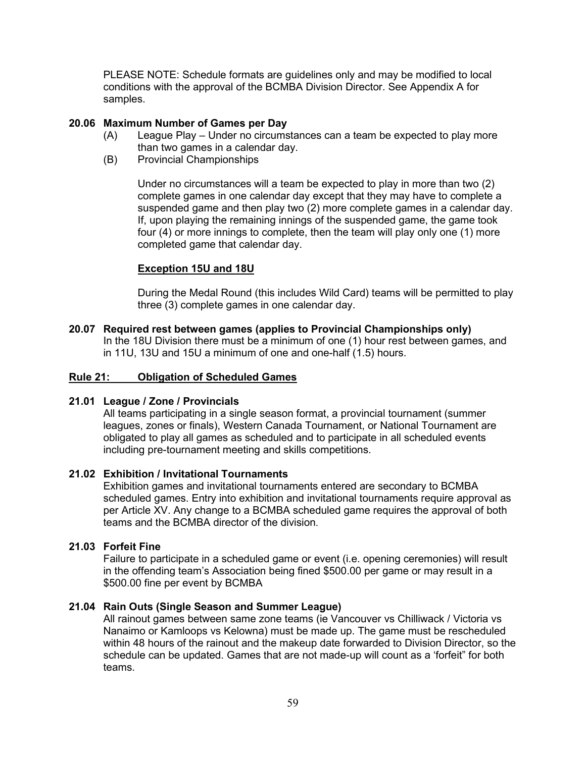PLEASE NOTE: Schedule formats are guidelines only and may be modified to local conditions with the approval of the BCMBA Division Director. See Appendix A for samples.

## **20.06 Maximum Number of Games per Day**

- (A) League Play Under no circumstances can a team be expected to play more than two games in a calendar day.
- (B) Provincial Championships

Under no circumstances will a team be expected to play in more than two (2) complete games in one calendar day except that they may have to complete a suspended game and then play two (2) more complete games in a calendar day. If, upon playing the remaining innings of the suspended game, the game took four (4) or more innings to complete, then the team will play only one (1) more completed game that calendar day.

## **Exception 15U and 18U**

During the Medal Round (this includes Wild Card) teams will be permitted to play three (3) complete games in one calendar day.

# **20.07 Required rest between games (applies to Provincial Championships only)**

In the 18U Division there must be a minimum of one (1) hour rest between games, and in 11U, 13U and 15U a minimum of one and one-half (1.5) hours.

## **Rule 21: Obligation of Scheduled Games**

# **21.01 League / Zone / Provincials**

All teams participating in a single season format, a provincial tournament (summer leagues, zones or finals), Western Canada Tournament, or National Tournament are obligated to play all games as scheduled and to participate in all scheduled events including pre-tournament meeting and skills competitions.

# **21.02 Exhibition / Invitational Tournaments**

Exhibition games and invitational tournaments entered are secondary to BCMBA scheduled games. Entry into exhibition and invitational tournaments require approval as per Article XV. Any change to a BCMBA scheduled game requires the approval of both teams and the BCMBA director of the division.

#### **21.03 Forfeit Fine**

Failure to participate in a scheduled game or event (i.e. opening ceremonies) will result in the offending team's Association being fined \$500.00 per game or may result in a \$500.00 fine per event by BCMBA

## **21.04 Rain Outs (Single Season and Summer League)**

All rainout games between same zone teams (ie Vancouver vs Chilliwack / Victoria vs Nanaimo or Kamloops vs Kelowna) must be made up. The game must be rescheduled within 48 hours of the rainout and the makeup date forwarded to Division Director, so the schedule can be updated. Games that are not made-up will count as a 'forfeit" for both teams.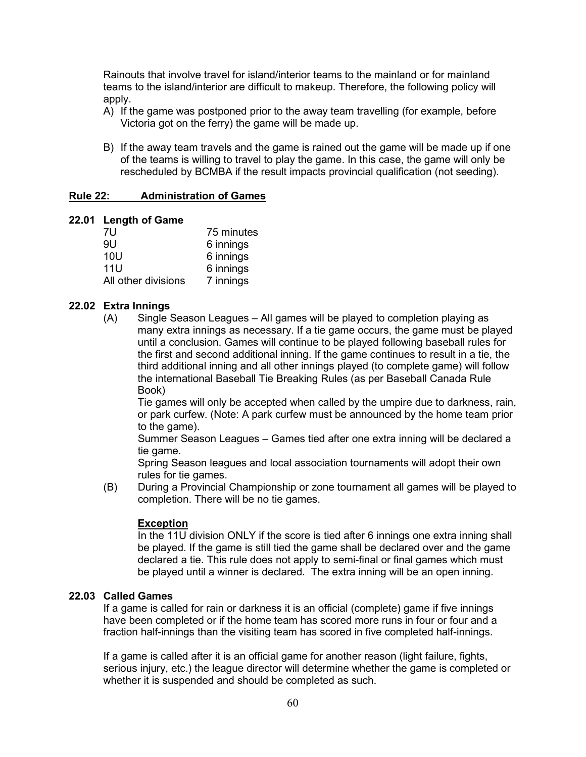Rainouts that involve travel for island/interior teams to the mainland or for mainland teams to the island/interior are difficult to makeup. Therefore, the following policy will apply.

- A) If the game was postponed prior to the away team travelling (for example, before Victoria got on the ferry) the game will be made up.
- B) If the away team travels and the game is rained out the game will be made up if one of the teams is willing to travel to play the game. In this case, the game will only be rescheduled by BCMBA if the result impacts provincial qualification (not seeding).

#### **Rule 22: Administration of Games**

#### **22.01 Length of Game**

| 75 minutes |
|------------|
| 6 innings  |
| 6 innings  |
| 6 innings  |
| 7 innings  |
|            |

## **22.02 Extra Innings**

(A) Single Season Leagues – All games will be played to completion playing as many extra innings as necessary. If a tie game occurs, the game must be played until a conclusion. Games will continue to be played following baseball rules for the first and second additional inning. If the game continues to result in a tie, the third additional inning and all other innings played (to complete game) will follow the international Baseball Tie Breaking Rules (as per Baseball Canada Rule Book)

Tie games will only be accepted when called by the umpire due to darkness, rain, or park curfew. (Note: A park curfew must be announced by the home team prior to the game).

Summer Season Leagues – Games tied after one extra inning will be declared a tie game.

Spring Season leagues and local association tournaments will adopt their own rules for tie games.

(B) During a Provincial Championship or zone tournament all games will be played to completion. There will be no tie games.

#### **Exception**

In the 11U division ONLY if the score is tied after 6 innings one extra inning shall be played. If the game is still tied the game shall be declared over and the game declared a tie. This rule does not apply to semi-final or final games which must be played until a winner is declared. The extra inning will be an open inning.

# **22.03 Called Games**

If a game is called for rain or darkness it is an official (complete) game if five innings have been completed or if the home team has scored more runs in four or four and a fraction half-innings than the visiting team has scored in five completed half-innings.

If a game is called after it is an official game for another reason (light failure, fights, serious injury, etc.) the league director will determine whether the game is completed or whether it is suspended and should be completed as such.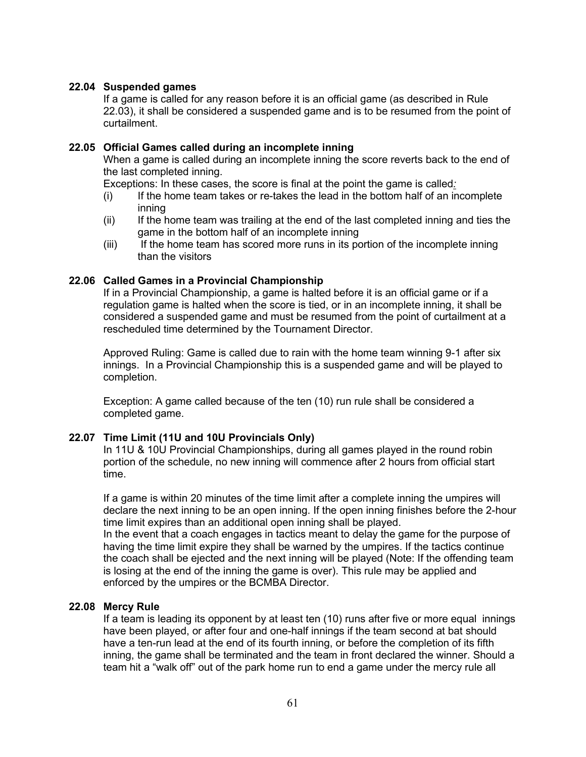## **22.04 Suspended games**

If a game is called for any reason before it is an official game (as described in Rule 22.03), it shall be considered a suspended game and is to be resumed from the point of curtailment.

## **22.05 Official Games called during an incomplete inning**

When a game is called during an incomplete inning the score reverts back to the end of the last completed inning.

Exceptions: In these cases, the score is final at the point the game is called*:*

- (i) If the home team takes or re-takes the lead in the bottom half of an incomplete inning
- (ii) If the home team was trailing at the end of the last completed inning and ties the game in the bottom half of an incomplete inning
- (iii) If the home team has scored more runs in its portion of the incomplete inning than the visitors

## **22.06 Called Games in a Provincial Championship**

If in a Provincial Championship, a game is halted before it is an official game or if a regulation game is halted when the score is tied, or in an incomplete inning, it shall be considered a suspended game and must be resumed from the point of curtailment at a rescheduled time determined by the Tournament Director.

Approved Ruling: Game is called due to rain with the home team winning 9-1 after six innings. In a Provincial Championship this is a suspended game and will be played to completion.

Exception: A game called because of the ten (10) run rule shall be considered a completed game.

# **22.07 Time Limit (11U and 10U Provincials Only)**

In 11U & 10U Provincial Championships, during all games played in the round robin portion of the schedule, no new inning will commence after 2 hours from official start time.

If a game is within 20 minutes of the time limit after a complete inning the umpires will declare the next inning to be an open inning. If the open inning finishes before the 2-hour time limit expires than an additional open inning shall be played.

In the event that a coach engages in tactics meant to delay the game for the purpose of having the time limit expire they shall be warned by the umpires. If the tactics continue the coach shall be ejected and the next inning will be played (Note: If the offending team is losing at the end of the inning the game is over). This rule may be applied and enforced by the umpires or the BCMBA Director.

# **22.08 Mercy Rule**

If a team is leading its opponent by at least ten (10) runs after five or more equal innings have been played, or after four and one-half innings if the team second at bat should have a ten-run lead at the end of its fourth inning, or before the completion of its fifth inning, the game shall be terminated and the team in front declared the winner. Should a team hit a "walk off" out of the park home run to end a game under the mercy rule all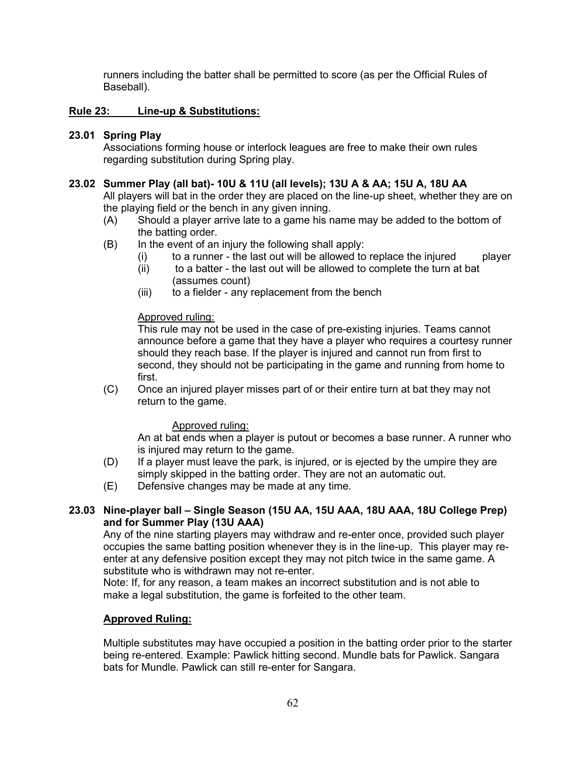runners including the batter shall be permitted to score (as per the Official Rules of Baseball).

# **Rule 23: Line-up & Substitutions:**

# **23.01 Spring Play**

Associations forming house or interlock leagues are free to make their own rules regarding substitution during Spring play.

# **23.02 Summer Play (all bat)- 10U & 11U (all levels); 13U A & AA; 15U A, 18U AA**

All players will bat in the order they are placed on the line-up sheet, whether they are on the playing field or the bench in any given inning.

- (A) Should a player arrive late to a game his name may be added to the bottom of the batting order.
- (B) In the event of an injury the following shall apply:
	- $(i)$  to a runner the last out will be allowed to replace the injured player
	- (ii) to a batter the last out will be allowed to complete the turn at bat (assumes count)
	- (iii) to a fielder any replacement from the bench

# Approved ruling:

This rule may not be used in the case of pre-existing injuries. Teams cannot announce before a game that they have a player who requires a courtesy runner should they reach base. If the player is injured and cannot run from first to second, they should not be participating in the game and running from home to first.

(C) Once an injured player misses part of or their entire turn at bat they may not return to the game.

# Approved ruling:

An at bat ends when a player is putout or becomes a base runner. A runner who is injured may return to the game.

- (D) If a player must leave the park, is injured, or is ejected by the umpire they are simply skipped in the batting order. They are not an automatic out.
- (E) Defensive changes may be made at any time.

# **23.03 Nine-player ball – Single Season (15U AA, 15U AAA, 18U AAA, 18U College Prep) and for Summer Play (13U AAA)**

Any of the nine starting players may withdraw and re-enter once, provided such player occupies the same batting position whenever they is in the line-up. This player may reenter at any defensive position except they may not pitch twice in the same game. A substitute who is withdrawn may not re-enter.

Note: If, for any reason, a team makes an incorrect substitution and is not able to make a legal substitution, the game is forfeited to the other team.

# **Approved Ruling:**

Multiple substitutes may have occupied a position in the batting order prior to the starter being re-entered. Example: Pawlick hitting second. Mundle bats for Pawlick. Sangara bats for Mundle. Pawlick can still re-enter for Sangara.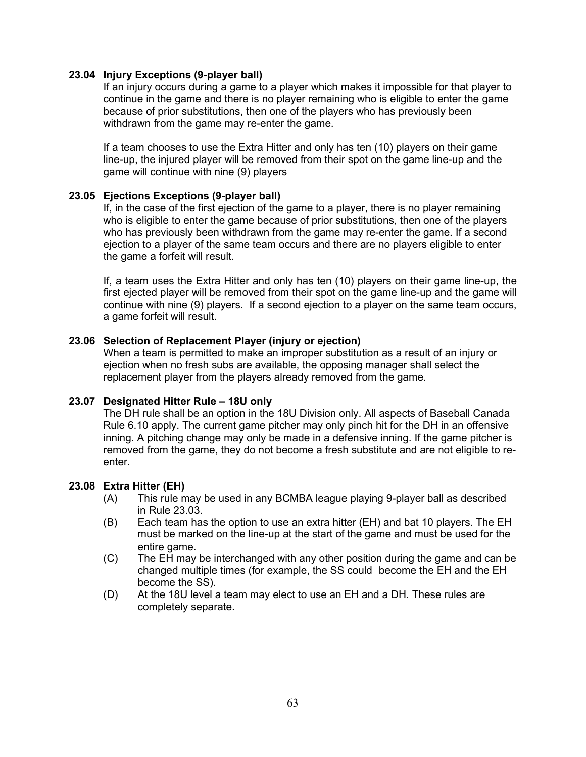## **23.04 Injury Exceptions (9-player ball)**

If an injury occurs during a game to a player which makes it impossible for that player to continue in the game and there is no player remaining who is eligible to enter the game because of prior substitutions, then one of the players who has previously been withdrawn from the game may re-enter the game.

If a team chooses to use the Extra Hitter and only has ten (10) players on their game line-up, the injured player will be removed from their spot on the game line-up and the game will continue with nine (9) players

## **23.05 Ejections Exceptions (9-player ball)**

If, in the case of the first ejection of the game to a player, there is no player remaining who is eligible to enter the game because of prior substitutions, then one of the players who has previously been withdrawn from the game may re-enter the game. If a second ejection to a player of the same team occurs and there are no players eligible to enter the game a forfeit will result.

If, a team uses the Extra Hitter and only has ten (10) players on their game line-up, the first ejected player will be removed from their spot on the game line-up and the game will continue with nine (9) players. If a second ejection to a player on the same team occurs, a game forfeit will result.

## **23.06 Selection of Replacement Player (injury or ejection)**

When a team is permitted to make an improper substitution as a result of an injury or ejection when no fresh subs are available, the opposing manager shall select the replacement player from the players already removed from the game.

# **23.07 Designated Hitter Rule – 18U only**

The DH rule shall be an option in the 18U Division only. All aspects of Baseball Canada Rule 6.10 apply. The current game pitcher may only pinch hit for the DH in an offensive inning. A pitching change may only be made in a defensive inning. If the game pitcher is removed from the game, they do not become a fresh substitute and are not eligible to reenter.

#### **23.08 Extra Hitter (EH)**

- (A) This rule may be used in any BCMBA league playing 9-player ball as described in Rule 23.03.
- (B) Each team has the option to use an extra hitter (EH) and bat 10 players. The EH must be marked on the line-up at the start of the game and must be used for the entire game.
- (C) The EH may be interchanged with any other position during the game and can be changed multiple times (for example, the SS could become the EH and the EH become the SS).
- (D) At the 18U level a team may elect to use an EH and a DH. These rules are completely separate.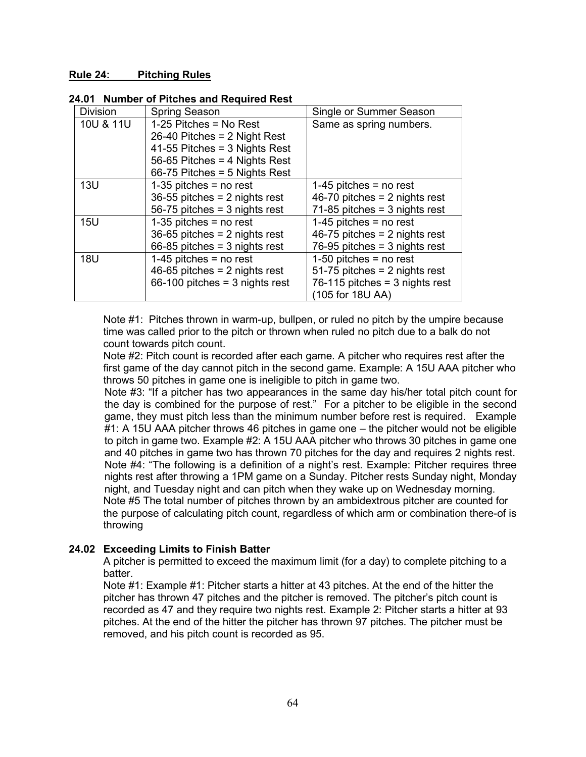#### **Rule 24: Pitching Rules**

|  |  |  | 24.01 Number of Pitches and Required Rest |
|--|--|--|-------------------------------------------|
|--|--|--|-------------------------------------------|

| <b>Division</b> | <b>Spring Season</b>             | Single or Summer Season          |
|-----------------|----------------------------------|----------------------------------|
| 10U & 11U       | 1-25 Pitches = $No$ Rest         | Same as spring numbers.          |
|                 | 26-40 Pitches = $2$ Night Rest   |                                  |
|                 | 41-55 Pitches = $3$ Nights Rest  |                                  |
|                 | 56-65 Pitches = 4 Nights Rest    |                                  |
|                 | $66-75$ Pitches = 5 Nights Rest  |                                  |
| 13U             | $1-35$ pitches = no rest         | 1-45 pitches $=$ no rest         |
|                 | $36-55$ pitches = 2 nights rest  | 46-70 pitches = $2$ nights rest  |
|                 | 56-75 pitches = $3$ nights rest  | $71-85$ pitches = 3 nights rest  |
| 15U             | $1-35$ pitches = no rest         | $1-45$ pitches = no rest         |
|                 | $36-65$ pitches = 2 nights rest  | 46-75 pitches = $2$ nights rest  |
|                 | $66-85$ pitches = 3 nights rest  | 76-95 pitches = $3$ nights rest  |
| <b>18U</b>      | 1-45 pitches $=$ no rest         | 1-50 pitches $=$ no rest         |
|                 | 46-65 pitches = $2$ nights rest  | 51-75 pitches = $2$ nights rest  |
|                 | 66-100 pitches = $3$ nights rest | 76-115 pitches = $3$ nights rest |
|                 |                                  | (105 for 18U AA)                 |

Note #1: Pitches thrown in warm-up, bullpen, or ruled no pitch by the umpire because time was called prior to the pitch or thrown when ruled no pitch due to a balk do not count towards pitch count.

Note #2: Pitch count is recorded after each game. A pitcher who requires rest after the first game of the day cannot pitch in the second game. Example: A 15U AAA pitcher who throws 50 pitches in game one is ineligible to pitch in game two.

Note #3: "If a pitcher has two appearances in the same day his/her total pitch count for the day is combined for the purpose of rest." For a pitcher to be eligible in the second game, they must pitch less than the minimum number before rest is required. Example #1: A 15U AAA pitcher throws 46 pitches in game one – the pitcher would not be eligible to pitch in game two. Example #2: A 15U AAA pitcher who throws 30 pitches in game one and 40 pitches in game two has thrown 70 pitches for the day and requires 2 nights rest. Note #4: "The following is a definition of a night's rest. Example: Pitcher requires three nights rest after throwing a 1PM game on a Sunday. Pitcher rests Sunday night, Monday night, and Tuesday night and can pitch when they wake up on Wednesday morning. Note #5 The total number of pitches thrown by an ambidextrous pitcher are counted for the purpose of calculating pitch count, regardless of which arm or combination there-of is throwing

# **24.02 Exceeding Limits to Finish Batter**

A pitcher is permitted to exceed the maximum limit (for a day) to complete pitching to a batter.

Note #1: Example #1: Pitcher starts a hitter at 43 pitches. At the end of the hitter the pitcher has thrown 47 pitches and the pitcher is removed. The pitcher's pitch count is recorded as 47 and they require two nights rest. Example 2: Pitcher starts a hitter at 93 pitches. At the end of the hitter the pitcher has thrown 97 pitches. The pitcher must be removed, and his pitch count is recorded as 95.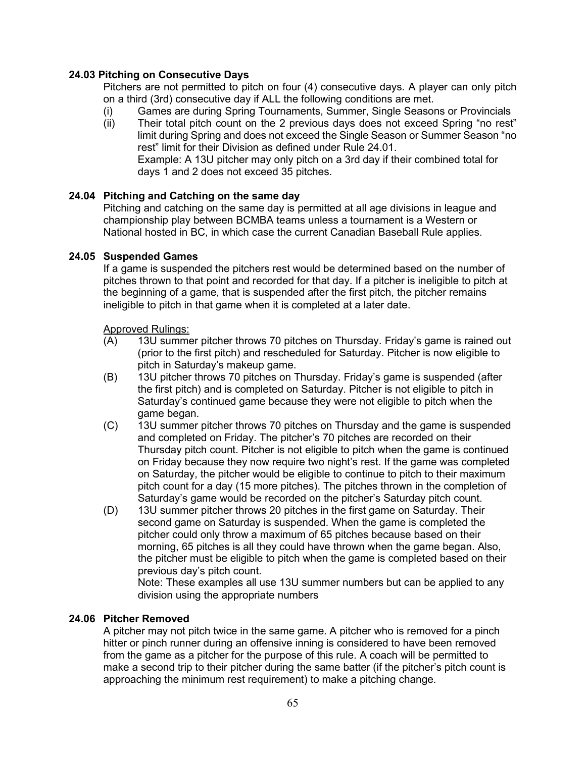# **24.03 Pitching on Consecutive Days**

Pitchers are not permitted to pitch on four (4) consecutive days. A player can only pitch on a third (3rd) consecutive day if ALL the following conditions are met.

- (i) Games are during Spring Tournaments, Summer, Single Seasons or Provincials
- (ii) Their total pitch count on the 2 previous days does not exceed Spring "no rest" limit during Spring and does not exceed the Single Season or Summer Season "no rest" limit for their Division as defined under Rule 24.01. Example: A 13U pitcher may only pitch on a 3rd day if their combined total for days 1 and 2 does not exceed 35 pitches.

# **24.04 Pitching and Catching on the same day**

Pitching and catching on the same day is permitted at all age divisions in league and championship play between BCMBA teams unless a tournament is a Western or National hosted in BC, in which case the current Canadian Baseball Rule applies.

# **24.05 Suspended Games**

If a game is suspended the pitchers rest would be determined based on the number of pitches thrown to that point and recorded for that day. If a pitcher is ineligible to pitch at the beginning of a game, that is suspended after the first pitch, the pitcher remains ineligible to pitch in that game when it is completed at a later date.

# Approved Rulings:

- (A) 13U summer pitcher throws 70 pitches on Thursday. Friday's game is rained out (prior to the first pitch) and rescheduled for Saturday. Pitcher is now eligible to pitch in Saturday's makeup game.
- (B) 13U pitcher throws 70 pitches on Thursday. Friday's game is suspended (after the first pitch) and is completed on Saturday. Pitcher is not eligible to pitch in Saturday's continued game because they were not eligible to pitch when the game began.
- (C) 13U summer pitcher throws 70 pitches on Thursday and the game is suspended and completed on Friday. The pitcher's 70 pitches are recorded on their Thursday pitch count. Pitcher is not eligible to pitch when the game is continued on Friday because they now require two night's rest. If the game was completed on Saturday, the pitcher would be eligible to continue to pitch to their maximum pitch count for a day (15 more pitches). The pitches thrown in the completion of Saturday's game would be recorded on the pitcher's Saturday pitch count.
- (D) 13U summer pitcher throws 20 pitches in the first game on Saturday. Their second game on Saturday is suspended. When the game is completed the pitcher could only throw a maximum of 65 pitches because based on their morning, 65 pitches is all they could have thrown when the game began. Also, the pitcher must be eligible to pitch when the game is completed based on their previous day's pitch count.

Note: These examples all use 13U summer numbers but can be applied to any division using the appropriate numbers

# **24.06 Pitcher Removed**

A pitcher may not pitch twice in the same game. A pitcher who is removed for a pinch hitter or pinch runner during an offensive inning is considered to have been removed from the game as a pitcher for the purpose of this rule. A coach will be permitted to make a second trip to their pitcher during the same batter (if the pitcher's pitch count is approaching the minimum rest requirement) to make a pitching change.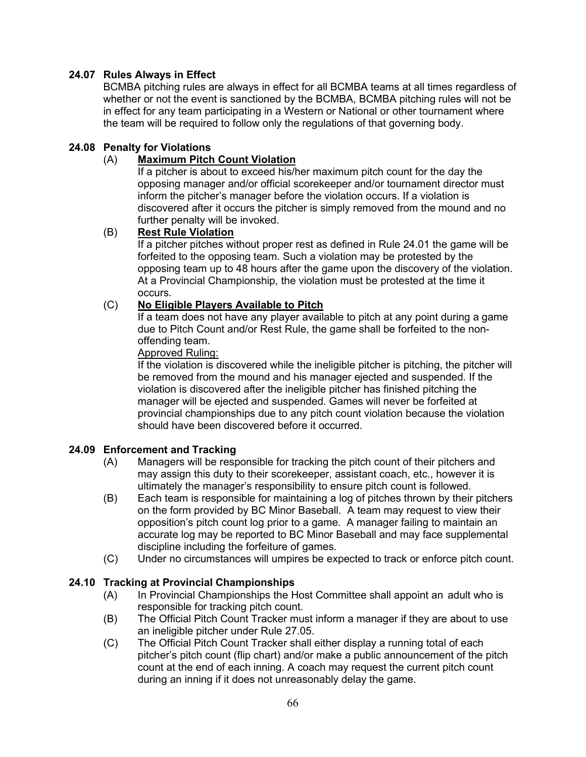# **24.07 Rules Always in Effect**

BCMBA pitching rules are always in effect for all BCMBA teams at all times regardless of whether or not the event is sanctioned by the BCMBA, BCMBA pitching rules will not be in effect for any team participating in a Western or National or other tournament where the team will be required to follow only the regulations of that governing body.

## **24.08 Penalty for Violations**

## (A) **Maximum Pitch Count Violation**

If a pitcher is about to exceed his/her maximum pitch count for the day the opposing manager and/or official scorekeeper and/or tournament director must inform the pitcher's manager before the violation occurs. If a violation is discovered after it occurs the pitcher is simply removed from the mound and no further penalty will be invoked.

## (B) **Rest Rule Violation**

If a pitcher pitches without proper rest as defined in Rule 24.01 the game will be forfeited to the opposing team. Such a violation may be protested by the opposing team up to 48 hours after the game upon the discovery of the violation. At a Provincial Championship, the violation must be protested at the time it occurs.

## (C) **No Eligible Players Available to Pitch**

If a team does not have any player available to pitch at any point during a game due to Pitch Count and/or Rest Rule, the game shall be forfeited to the nonoffending team.

## Approved Ruling:

If the violation is discovered while the ineligible pitcher is pitching, the pitcher will be removed from the mound and his manager ejected and suspended. If the violation is discovered after the ineligible pitcher has finished pitching the manager will be ejected and suspended. Games will never be forfeited at provincial championships due to any pitch count violation because the violation should have been discovered before it occurred.

# **24.09 Enforcement and Tracking**

- (A) Managers will be responsible for tracking the pitch count of their pitchers and may assign this duty to their scorekeeper, assistant coach, etc., however it is ultimately the manager's responsibility to ensure pitch count is followed.
- (B) Each team is responsible for maintaining a log of pitches thrown by their pitchers on the form provided by BC Minor Baseball. A team may request to view their opposition's pitch count log prior to a game. A manager failing to maintain an accurate log may be reported to BC Minor Baseball and may face supplemental discipline including the forfeiture of games.
- (C) Under no circumstances will umpires be expected to track or enforce pitch count.

# **24.10 Tracking at Provincial Championships**

- (A) In Provincial Championships the Host Committee shall appoint an adult who is responsible for tracking pitch count.
- (B) The Official Pitch Count Tracker must inform a manager if they are about to use an ineligible pitcher under Rule 27.05.
- (C) The Official Pitch Count Tracker shall either display a running total of each pitcher's pitch count (flip chart) and/or make a public announcement of the pitch count at the end of each inning. A coach may request the current pitch count during an inning if it does not unreasonably delay the game.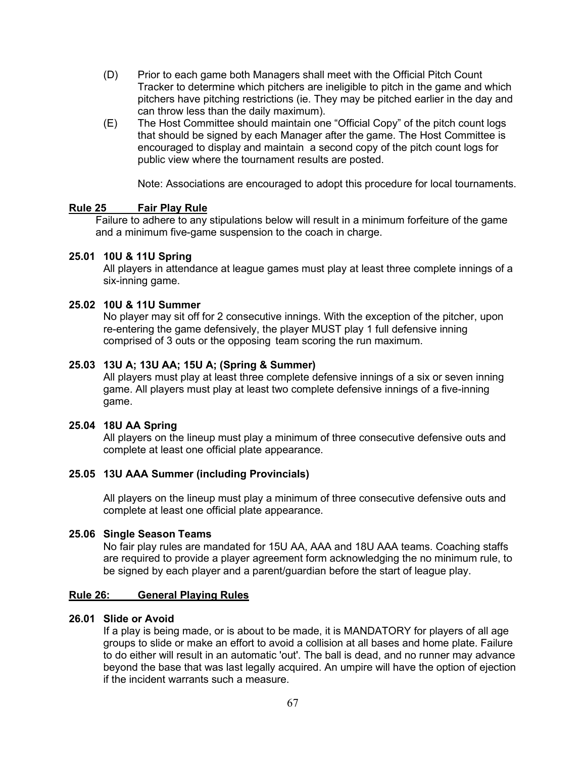- (D) Prior to each game both Managers shall meet with the Official Pitch Count Tracker to determine which pitchers are ineligible to pitch in the game and which pitchers have pitching restrictions (ie. They may be pitched earlier in the day and can throw less than the daily maximum).
- (E) The Host Committee should maintain one "Official Copy" of the pitch count logs that should be signed by each Manager after the game. The Host Committee is encouraged to display and maintain a second copy of the pitch count logs for public view where the tournament results are posted.

Note: Associations are encouraged to adopt this procedure for local tournaments.

# **Rule 25 Fair Play Rule**

Failure to adhere to any stipulations below will result in a minimum forfeiture of the game and a minimum five-game suspension to the coach in charge.

# **25.01 10U & 11U Spring**

All players in attendance at league games must play at least three complete innings of a six-inning game.

# **25.02 10U & 11U Summer**

No player may sit off for 2 consecutive innings. With the exception of the pitcher, upon re-entering the game defensively, the player MUST play 1 full defensive inning comprised of 3 outs or the opposing team scoring the run maximum.

# **25.03 13U A; 13U AA; 15U A; (Spring & Summer)**

All players must play at least three complete defensive innings of a six or seven inning game. All players must play at least two complete defensive innings of a five-inning game.

# **25.04 18U AA Spring**

All players on the lineup must play a minimum of three consecutive defensive outs and complete at least one official plate appearance.

# **25.05 13U AAA Summer (including Provincials)**

All players on the lineup must play a minimum of three consecutive defensive outs and complete at least one official plate appearance.

#### **25.06 Single Season Teams**

No fair play rules are mandated for 15U AA, AAA and 18U AAA teams. Coaching staffs are required to provide a player agreement form acknowledging the no minimum rule, to be signed by each player and a parent/guardian before the start of league play.

#### **Rule 26: General Playing Rules**

#### **26.01 Slide or Avoid**

If a play is being made, or is about to be made, it is MANDATORY for players of all age groups to slide or make an effort to avoid a collision at all bases and home plate. Failure to do either will result in an automatic 'out'. The ball is dead, and no runner may advance beyond the base that was last legally acquired. An umpire will have the option of ejection if the incident warrants such a measure.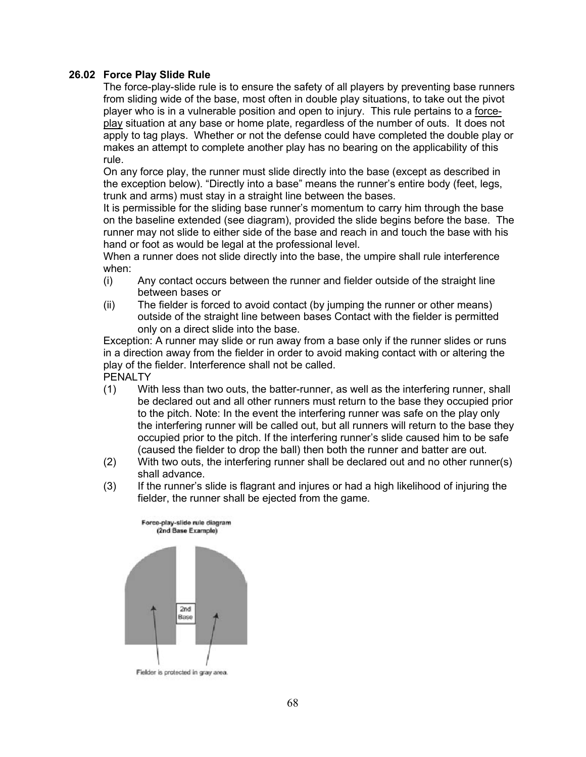## **26.02 Force Play Slide Rule**

The force-play-slide rule is to ensure the safety of all players by preventing base runners from sliding wide of the base, most often in double play situations, to take out the pivot player who is in a vulnerable position and open to injury. This rule pertains to a forceplay situation at any base or home plate, regardless of the number of outs. It does not apply to tag plays. Whether or not the defense could have completed the double play or makes an attempt to complete another play has no bearing on the applicability of this rule.

On any force play, the runner must slide directly into the base (except as described in the exception below). "Directly into a base" means the runner's entire body (feet, legs, trunk and arms) must stay in a straight line between the bases.

It is permissible for the sliding base runner's momentum to carry him through the base on the baseline extended (see diagram), provided the slide begins before the base. The runner may not slide to either side of the base and reach in and touch the base with his hand or foot as would be legal at the professional level.

When a runner does not slide directly into the base, the umpire shall rule interference when:

- (i) Any contact occurs between the runner and fielder outside of the straight line between bases or
- (ii) The fielder is forced to avoid contact (by jumping the runner or other means) outside of the straight line between bases Contact with the fielder is permitted only on a direct slide into the base.

Exception: A runner may slide or run away from a base only if the runner slides or runs in a direction away from the fielder in order to avoid making contact with or altering the play of the fielder. Interference shall not be called. PENALTY

- (1) With less than two outs, the batter-runner, as well as the interfering runner, shall be declared out and all other runners must return to the base they occupied prior to the pitch. Note: In the event the interfering runner was safe on the play only the interfering runner will be called out, but all runners will return to the base they occupied prior to the pitch. If the interfering runner's slide caused him to be safe (caused the fielder to drop the ball) then both the runner and batter are out.
- (2) With two outs, the interfering runner shall be declared out and no other runner(s) shall advance.
- (3) If the runner's slide is flagrant and injures or had a high likelihood of injuring the fielder, the runner shall be ejected from the game.



Fielder is protected in gray area.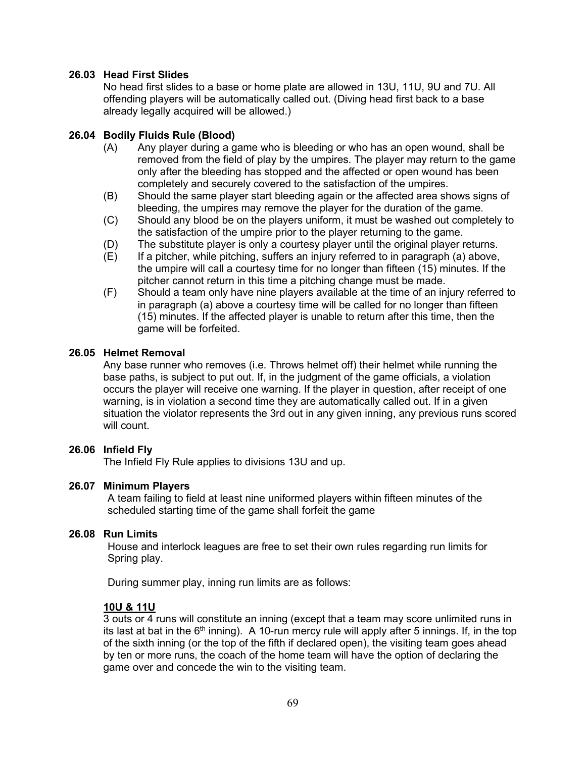# **26.03 Head First Slides**

No head first slides to a base or home plate are allowed in 13U, 11U, 9U and 7U. All offending players will be automatically called out. (Diving head first back to a base already legally acquired will be allowed.)

# **26.04 Bodily Fluids Rule (Blood)**

- (A) Any player during a game who is bleeding or who has an open wound, shall be removed from the field of play by the umpires. The player may return to the game only after the bleeding has stopped and the affected or open wound has been completely and securely covered to the satisfaction of the umpires.
- (B) Should the same player start bleeding again or the affected area shows signs of bleeding, the umpires may remove the player for the duration of the game.
- (C) Should any blood be on the players uniform, it must be washed out completely to the satisfaction of the umpire prior to the player returning to the game.
- (D) The substitute player is only a courtesy player until the original player returns.
- (E) If a pitcher, while pitching, suffers an injury referred to in paragraph (a) above, the umpire will call a courtesy time for no longer than fifteen (15) minutes. If the pitcher cannot return in this time a pitching change must be made.
- (F) Should a team only have nine players available at the time of an injury referred to in paragraph (a) above a courtesy time will be called for no longer than fifteen (15) minutes. If the affected player is unable to return after this time, then the game will be forfeited.

## **26.05 Helmet Removal**

Any base runner who removes (i.e. Throws helmet off) their helmet while running the base paths, is subject to put out. If, in the judgment of the game officials, a violation occurs the player will receive one warning. If the player in question, after receipt of one warning, is in violation a second time they are automatically called out. If in a given situation the violator represents the 3rd out in any given inning, any previous runs scored will count.

# **26.06 Infield Fly**

The Infield Fly Rule applies to divisions 13U and up.

# **26.07 Minimum Players**

A team failing to field at least nine uniformed players within fifteen minutes of the scheduled starting time of the game shall forfeit the game

#### **26.08 Run Limits**

House and interlock leagues are free to set their own rules regarding run limits for Spring play.

During summer play, inning run limits are as follows:

#### **10U & 11U**

3 outs or 4 runs will constitute an inning (except that a team may score unlimited runs in its last at bat in the  $6<sup>th</sup>$  inning). A 10-run mercy rule will apply after 5 innings. If, in the top of the sixth inning (or the top of the fifth if declared open), the visiting team goes ahead by ten or more runs, the coach of the home team will have the option of declaring the game over and concede the win to the visiting team.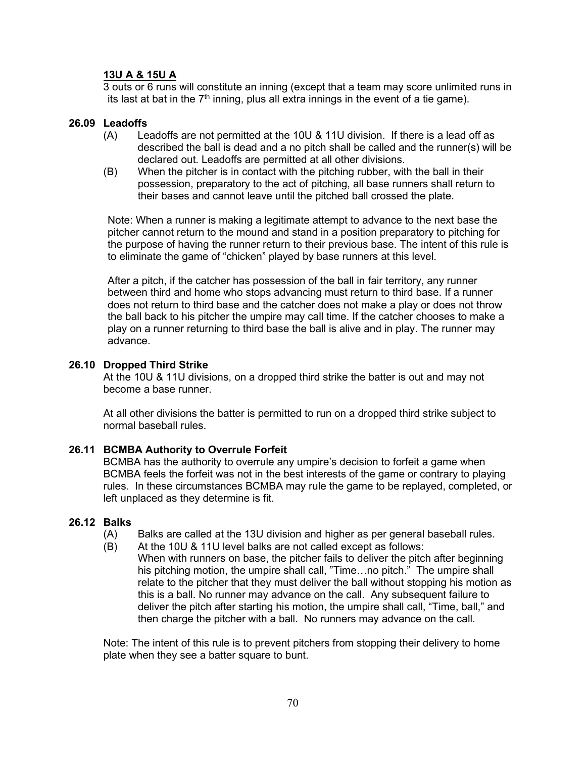# **13U A & 15U A**

3 outs or 6 runs will constitute an inning (except that a team may score unlimited runs in its last at bat in the  $7<sup>th</sup>$  inning, plus all extra innings in the event of a tie game).

#### **26.09 Leadoffs**

- (A) Leadoffs are not permitted at the 10U & 11U division. If there is a lead off as described the ball is dead and a no pitch shall be called and the runner(s) will be declared out. Leadoffs are permitted at all other divisions.
- (B) When the pitcher is in contact with the pitching rubber, with the ball in their possession, preparatory to the act of pitching, all base runners shall return to their bases and cannot leave until the pitched ball crossed the plate.

Note: When a runner is making a legitimate attempt to advance to the next base the pitcher cannot return to the mound and stand in a position preparatory to pitching for the purpose of having the runner return to their previous base. The intent of this rule is to eliminate the game of "chicken" played by base runners at this level.

After a pitch, if the catcher has possession of the ball in fair territory, any runner between third and home who stops advancing must return to third base. If a runner does not return to third base and the catcher does not make a play or does not throw the ball back to his pitcher the umpire may call time. If the catcher chooses to make a play on a runner returning to third base the ball is alive and in play. The runner may advance.

#### **26.10 Dropped Third Strike**

At the 10U & 11U divisions, on a dropped third strike the batter is out and may not become a base runner.

At all other divisions the batter is permitted to run on a dropped third strike subject to normal baseball rules.

#### **26.11 BCMBA Authority to Overrule Forfeit**

BCMBA has the authority to overrule any umpire's decision to forfeit a game when BCMBA feels the forfeit was not in the best interests of the game or contrary to playing rules. In these circumstances BCMBA may rule the game to be replayed, completed, or left unplaced as they determine is fit.

#### **26.12 Balks**

- (A) Balks are called at the 13U division and higher as per general baseball rules.
- (B) At the 10U & 11U level balks are not called except as follows:
	- When with runners on base, the pitcher fails to deliver the pitch after beginning his pitching motion, the umpire shall call, "Time...no pitch." The umpire shall relate to the pitcher that they must deliver the ball without stopping his motion as this is a ball. No runner may advance on the call. Any subsequent failure to deliver the pitch after starting his motion, the umpire shall call, "Time, ball," and then charge the pitcher with a ball. No runners may advance on the call.

Note: The intent of this rule is to prevent pitchers from stopping their delivery to home plate when they see a batter square to bunt.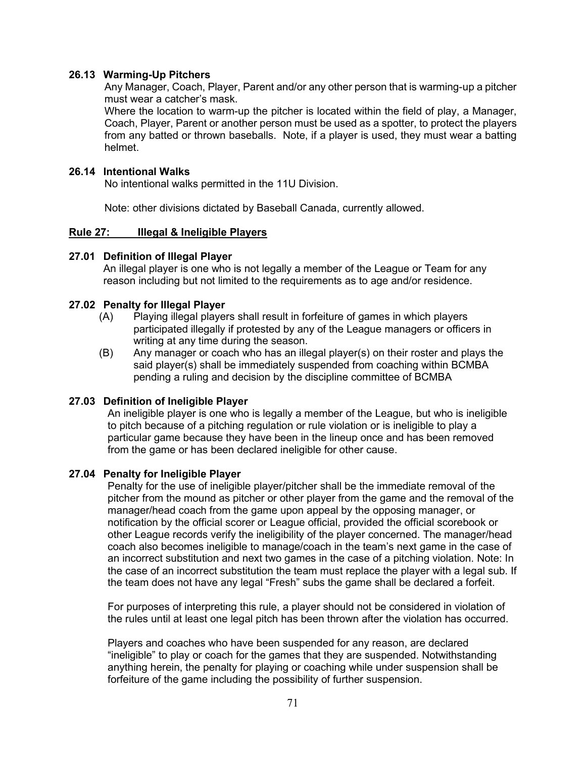## **26.13 Warming-Up Pitchers**

Any Manager, Coach, Player, Parent and/or any other person that is warming-up a pitcher must wear a catcher's mask.

Where the location to warm-up the pitcher is located within the field of play, a Manager, Coach, Player, Parent or another person must be used as a spotter, to protect the players from any batted or thrown baseballs. Note, if a player is used, they must wear a batting helmet.

#### **26.14 Intentional Walks**

No intentional walks permitted in the 11U Division.

Note: other divisions dictated by Baseball Canada, currently allowed.

## **Rule 27: Illegal & Ineligible Players**

## **27.01 Definition of Illegal Player**

An illegal player is one who is not legally a member of the League or Team for any reason including but not limited to the requirements as to age and/or residence.

## **27.02 Penalty for Illegal Player**

- (A) Playing illegal players shall result in forfeiture of games in which players participated illegally if protested by any of the League managers or officers in writing at any time during the season.
- (B) Any manager or coach who has an illegal player(s) on their roster and plays the said player(s) shall be immediately suspended from coaching within BCMBA pending a ruling and decision by the discipline committee of BCMBA

# **27.03 Definition of Ineligible Player**

An ineligible player is one who is legally a member of the League, but who is ineligible to pitch because of a pitching regulation or rule violation or is ineligible to play a particular game because they have been in the lineup once and has been removed from the game or has been declared ineligible for other cause.

#### **27.04 Penalty for Ineligible Player**

Penalty for the use of ineligible player/pitcher shall be the immediate removal of the pitcher from the mound as pitcher or other player from the game and the removal of the manager/head coach from the game upon appeal by the opposing manager, or notification by the official scorer or League official, provided the official scorebook or other League records verify the ineligibility of the player concerned. The manager/head coach also becomes ineligible to manage/coach in the team's next game in the case of an incorrect substitution and next two games in the case of a pitching violation. Note: In the case of an incorrect substitution the team must replace the player with a legal sub. If the team does not have any legal "Fresh" subs the game shall be declared a forfeit.

For purposes of interpreting this rule, a player should not be considered in violation of the rules until at least one legal pitch has been thrown after the violation has occurred.

Players and coaches who have been suspended for any reason, are declared "ineligible" to play or coach for the games that they are suspended. Notwithstanding anything herein, the penalty for playing or coaching while under suspension shall be forfeiture of the game including the possibility of further suspension.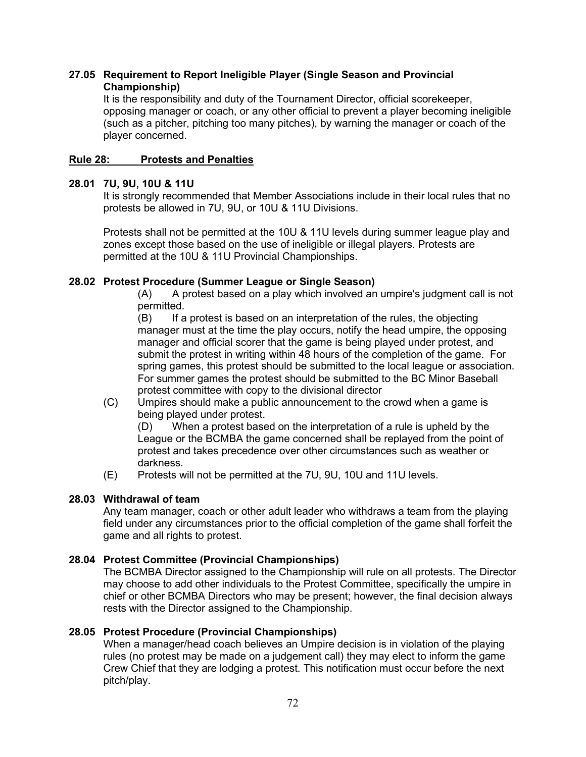# **27.05 Requirement to Report Ineligible Player (Single Season and Provincial Championship)**

It is the responsibility and duty of the Tournament Director, official scorekeeper, opposing manager or coach, or any other official to prevent a player becoming ineligible (such as a pitcher, pitching too many pitches), by warning the manager or coach of the player concerned.

# **Rule 28: Protests and Penalties**

# **28.01 7U, 9U, 10U & 11U**

It is strongly recommended that Member Associations include in their local rules that no protests be allowed in 7U, 9U, or 10U & 11U Divisions.

Protests shall not be permitted at the 10U & 11U levels during summer league play and zones except those based on the use of ineligible or illegal players. Protests are permitted at the 10U & 11U Provincial Championships.

# **28.02 Protest Procedure (Summer League or Single Season)**

(A) A protest based on a play which involved an umpire's judgment call is not permitted.

(B) If a protest is based on an interpretation of the rules, the objecting manager must at the time the play occurs, notify the head umpire, the opposing manager and official scorer that the game is being played under protest, and submit the protest in writing within 48 hours of the completion of the game. For spring games, this protest should be submitted to the local league or association. For summer games the protest should be submitted to the BC Minor Baseball protest committee with copy to the divisional director

(C) Umpires should make a public announcement to the crowd when a game is being played under protest.

(D) When a protest based on the interpretation of a rule is upheld by the League or the BCMBA the game concerned shall be replayed from the point of protest and takes precedence over other circumstances such as weather or darkness.

(E) Protests will not be permitted at the 7U, 9U, 10U and 11U levels.

# **28.03 Withdrawal of team**

Any team manager, coach or other adult leader who withdraws a team from the playing field under any circumstances prior to the official completion of the game shall forfeit the game and all rights to protest.

# **28.04 Protest Committee (Provincial Championships)**

The BCMBA Director assigned to the Championship will rule on all protests. The Director may choose to add other individuals to the Protest Committee, specifically the umpire in chief or other BCMBA Directors who may be present; however, the final decision always rests with the Director assigned to the Championship.

# **28.05 Protest Procedure (Provincial Championships)**

When a manager/head coach believes an Umpire decision is in violation of the playing rules (no protest may be made on a judgement call) they may elect to inform the game Crew Chief that they are lodging a protest. This notification must occur before the next pitch/play.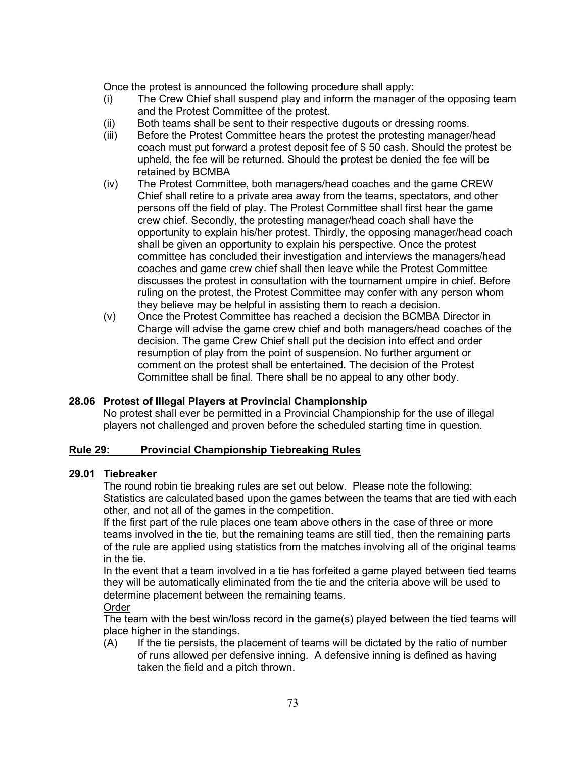Once the protest is announced the following procedure shall apply:

- (i) The Crew Chief shall suspend play and inform the manager of the opposing team and the Protest Committee of the protest.
- (ii) Both teams shall be sent to their respective dugouts or dressing rooms.
- (iii) Before the Protest Committee hears the protest the protesting manager/head coach must put forward a protest deposit fee of \$ 50 cash. Should the protest be upheld, the fee will be returned. Should the protest be denied the fee will be retained by BCMBA
- (iv) The Protest Committee, both managers/head coaches and the game CREW Chief shall retire to a private area away from the teams, spectators, and other persons off the field of play. The Protest Committee shall first hear the game crew chief. Secondly, the protesting manager/head coach shall have the opportunity to explain his/her protest. Thirdly, the opposing manager/head coach shall be given an opportunity to explain his perspective. Once the protest committee has concluded their investigation and interviews the managers/head coaches and game crew chief shall then leave while the Protest Committee discusses the protest in consultation with the tournament umpire in chief. Before ruling on the protest, the Protest Committee may confer with any person whom they believe may be helpful in assisting them to reach a decision.
- (v) Once the Protest Committee has reached a decision the BCMBA Director in Charge will advise the game crew chief and both managers/head coaches of the decision. The game Crew Chief shall put the decision into effect and order resumption of play from the point of suspension. No further argument or comment on the protest shall be entertained. The decision of the Protest Committee shall be final. There shall be no appeal to any other body.

#### **28.06 Protest of Illegal Players at Provincial Championship**

No protest shall ever be permitted in a Provincial Championship for the use of illegal players not challenged and proven before the scheduled starting time in question.

#### **Rule 29: Provincial Championship Tiebreaking Rules**

#### **29.01 Tiebreaker**

The round robin tie breaking rules are set out below. Please note the following: Statistics are calculated based upon the games between the teams that are tied with each other, and not all of the games in the competition.

If the first part of the rule places one team above others in the case of three or more teams involved in the tie, but the remaining teams are still tied, then the remaining parts of the rule are applied using statistics from the matches involving all of the original teams in the tie.

In the event that a team involved in a tie has forfeited a game played between tied teams they will be automatically eliminated from the tie and the criteria above will be used to determine placement between the remaining teams.

#### Order

The team with the best win/loss record in the game(s) played between the tied teams will place higher in the standings.

(A) If the tie persists, the placement of teams will be dictated by the ratio of number of runs allowed per defensive inning. A defensive inning is defined as having taken the field and a pitch thrown.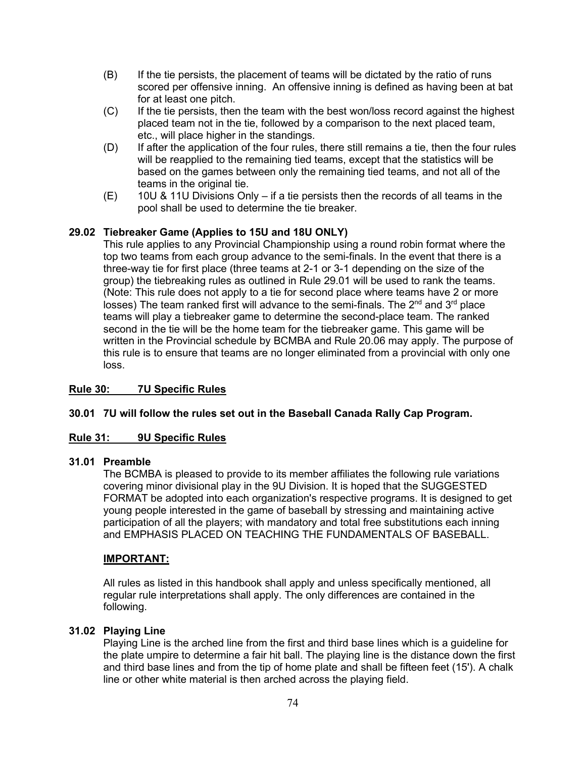- (B) If the tie persists, the placement of teams will be dictated by the ratio of runs scored per offensive inning. An offensive inning is defined as having been at bat for at least one pitch.
- (C) If the tie persists, then the team with the best won/loss record against the highest placed team not in the tie, followed by a comparison to the next placed team, etc., will place higher in the standings.
- (D) If after the application of the four rules, there still remains a tie, then the four rules will be reapplied to the remaining tied teams, except that the statistics will be based on the games between only the remaining tied teams, and not all of the teams in the original tie.
- $(E)$  10U & 11U Divisions Only if a tie persists then the records of all teams in the pool shall be used to determine the tie breaker.

# **29.02 Tiebreaker Game (Applies to 15U and 18U ONLY)**

This rule applies to any Provincial Championship using a round robin format where the top two teams from each group advance to the semi-finals. In the event that there is a three-way tie for first place (three teams at 2-1 or 3-1 depending on the size of the group) the tiebreaking rules as outlined in Rule 29.01 will be used to rank the teams. (Note: This rule does not apply to a tie for second place where teams have 2 or more losses) The team ranked first will advance to the semi-finals. The  $2^{nd}$  and  $3^{rd}$  place teams will play a tiebreaker game to determine the second-place team. The ranked second in the tie will be the home team for the tiebreaker game. This game will be written in the Provincial schedule by BCMBA and Rule 20.06 may apply. The purpose of this rule is to ensure that teams are no longer eliminated from a provincial with only one loss.

#### **Rule 30: 7U Specific Rules**

#### **30.01 7U will follow the rules set out in the Baseball Canada Rally Cap Program.**

#### **Rule 31: 9U Specific Rules**

#### **31.01 Preamble**

The BCMBA is pleased to provide to its member affiliates the following rule variations covering minor divisional play in the 9U Division. It is hoped that the SUGGESTED FORMAT be adopted into each organization's respective programs. It is designed to get young people interested in the game of baseball by stressing and maintaining active participation of all the players; with mandatory and total free substitutions each inning and EMPHASIS PLACED ON TEACHING THE FUNDAMENTALS OF BASEBALL.

#### **IMPORTANT:**

All rules as listed in this handbook shall apply and unless specifically mentioned, all regular rule interpretations shall apply. The only differences are contained in the following.

#### **31.02 Playing Line**

Playing Line is the arched line from the first and third base lines which is a guideline for the plate umpire to determine a fair hit ball. The playing line is the distance down the first and third base lines and from the tip of home plate and shall be fifteen feet (15'). A chalk line or other white material is then arched across the playing field.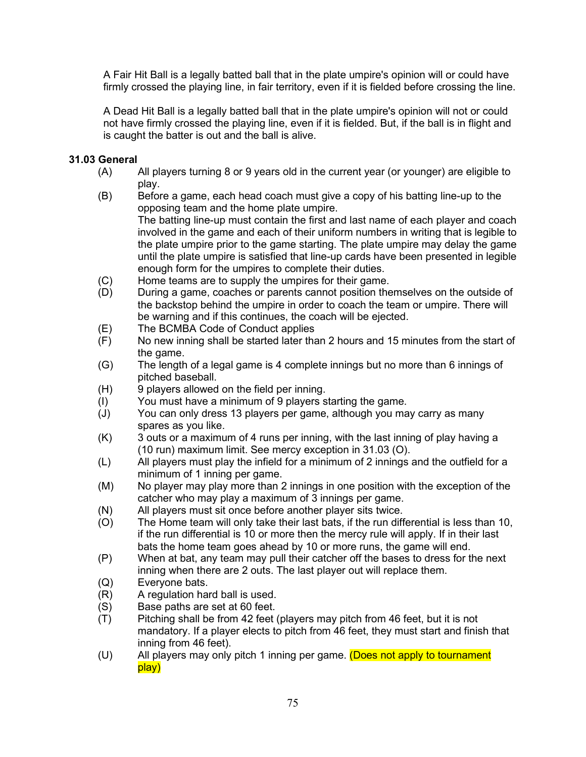A Fair Hit Ball is a legally batted ball that in the plate umpire's opinion will or could have firmly crossed the playing line, in fair territory, even if it is fielded before crossing the line.

A Dead Hit Ball is a legally batted ball that in the plate umpire's opinion will not or could not have firmly crossed the playing line, even if it is fielded. But, if the ball is in flight and is caught the batter is out and the ball is alive.

## **31.03 General**

- (A) All players turning 8 or 9 years old in the current year (or younger) are eligible to play.
- (B) Before a game, each head coach must give a copy of his batting line-up to the opposing team and the home plate umpire. The batting line-up must contain the first and last name of each player and coach involved in the game and each of their uniform numbers in writing that is legible to the plate umpire prior to the game starting. The plate umpire may delay the game until the plate umpire is satisfied that line-up cards have been presented in legible enough form for the umpires to complete their duties.
- (C) Home teams are to supply the umpires for their game.
- (D) During a game, coaches or parents cannot position themselves on the outside of the backstop behind the umpire in order to coach the team or umpire. There will be warning and if this continues, the coach will be ejected.
- (E) The BCMBA Code of Conduct applies
- (F) No new inning shall be started later than 2 hours and 15 minutes from the start of the game.
- (G) The length of a legal game is 4 complete innings but no more than 6 innings of pitched baseball.
- (H) 9 players allowed on the field per inning.
- (I) You must have a minimum of 9 players starting the game.
- (J) You can only dress 13 players per game, although you may carry as many spares as you like.
- (K) 3 outs or a maximum of 4 runs per inning, with the last inning of play having a (10 run) maximum limit. See mercy exception in 31.03 (O).
- (L) All players must play the infield for a minimum of 2 innings and the outfield for a minimum of 1 inning per game.
- (M) No player may play more than 2 innings in one position with the exception of the catcher who may play a maximum of 3 innings per game.
- (N) All players must sit once before another player sits twice.
- (O) The Home team will only take their last bats, if the run differential is less than 10, if the run differential is 10 or more then the mercy rule will apply. If in their last bats the home team goes ahead by 10 or more runs, the game will end.
- (P) When at bat, any team may pull their catcher off the bases to dress for the next inning when there are 2 outs. The last player out will replace them.
- (Q) Everyone bats.<br>(R) A regulation hai
- A regulation hard ball is used.
- (S) Base paths are set at 60 feet.<br>(T) Pitching shall be from 42 feet
- Pitching shall be from 42 feet (players may pitch from 46 feet, but it is not mandatory. If a player elects to pitch from 46 feet, they must start and finish that inning from 46 feet).
- (U) All players may only pitch 1 inning per game. (Does not apply to tournament play)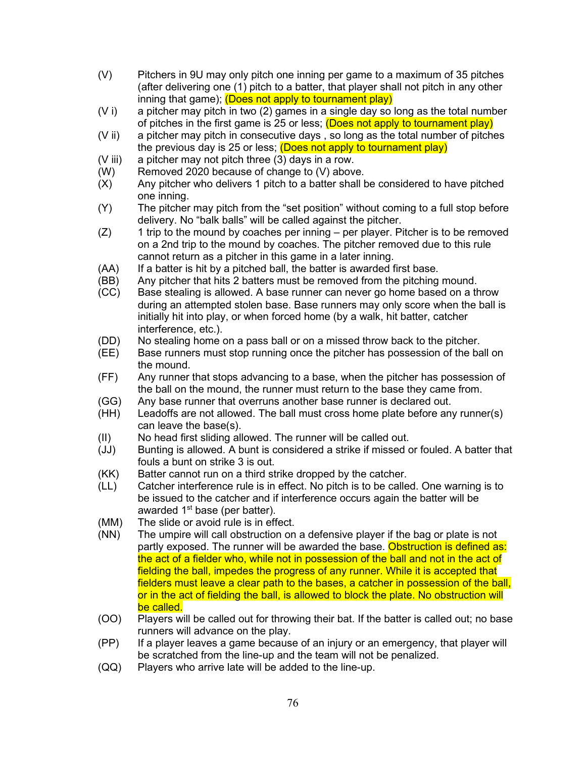- (V) Pitchers in 9U may only pitch one inning per game to a maximum of 35 pitches (after delivering one (1) pitch to a batter, that player shall not pitch in any other inning that game); (Does not apply to tournament play)
- $(V_i)$  a pitcher may pitch in two  $(2)$  games in a single day so long as the total number of pitches in the first game is 25 or less; **(Does not apply to tournament play)**
- (V ii) a pitcher may pitch in consecutive days , so long as the total number of pitches the previous day is 25 or less; (Does not apply to tournament play)
- (V iii) a pitcher may not pitch three (3) days in a row.
- (W) Removed 2020 because of change to (V) above.
- (X) Any pitcher who delivers 1 pitch to a batter shall be considered to have pitched one inning.
- (Y) The pitcher may pitch from the "set position" without coming to a full stop before delivery. No "balk balls" will be called against the pitcher.
- (Z) 1 trip to the mound by coaches per inning per player. Pitcher is to be removed on a 2nd trip to the mound by coaches. The pitcher removed due to this rule cannot return as a pitcher in this game in a later inning.
- (AA) If a batter is hit by a pitched ball, the batter is awarded first base.<br>(BB) Any pitcher that hits 2 batters must be removed from the pitching
- Any pitcher that hits 2 batters must be removed from the pitching mound.
- (CC) Base stealing is allowed. A base runner can never go home based on a throw during an attempted stolen base. Base runners may only score when the ball is initially hit into play, or when forced home (by a walk, hit batter, catcher interference, etc.).
- (DD) No stealing home on a pass ball or on a missed throw back to the pitcher.
- (EE) Base runners must stop running once the pitcher has possession of the ball on the mound.
- (FF) Any runner that stops advancing to a base, when the pitcher has possession of the ball on the mound, the runner must return to the base they came from.
- (GG) Any base runner that overruns another base runner is declared out.
- (HH) Leadoffs are not allowed. The ball must cross home plate before any runner(s) can leave the base(s).
- (II) No head first sliding allowed. The runner will be called out.
- (JJ) Bunting is allowed. A bunt is considered a strike if missed or fouled. A batter that fouls a bunt on strike 3 is out.
- (KK) Batter cannot run on a third strike dropped by the catcher.
- (LL) Catcher interference rule is in effect. No pitch is to be called. One warning is to be issued to the catcher and if interference occurs again the batter will be awarded  $1<sup>st</sup>$  base (per batter).
- (MM) The slide or avoid rule is in effect.
- (NN) The umpire will call obstruction on a defensive player if the bag or plate is not partly exposed. The runner will be awarded the base. Obstruction is defined as: the act of a fielder who, while not in possession of the ball and not in the act of fielding the ball, impedes the progress of any runner. While it is accepted that fielders must leave a clear path to the bases, a catcher in possession of the ball, or in the act of fielding the ball, is allowed to block the plate. No obstruction will be called.
- (OO) Players will be called out for throwing their bat. If the batter is called out; no base runners will advance on the play.
- (PP) If a player leaves a game because of an injury or an emergency, that player will be scratched from the line-up and the team will not be penalized.
- (QQ) Players who arrive late will be added to the line-up.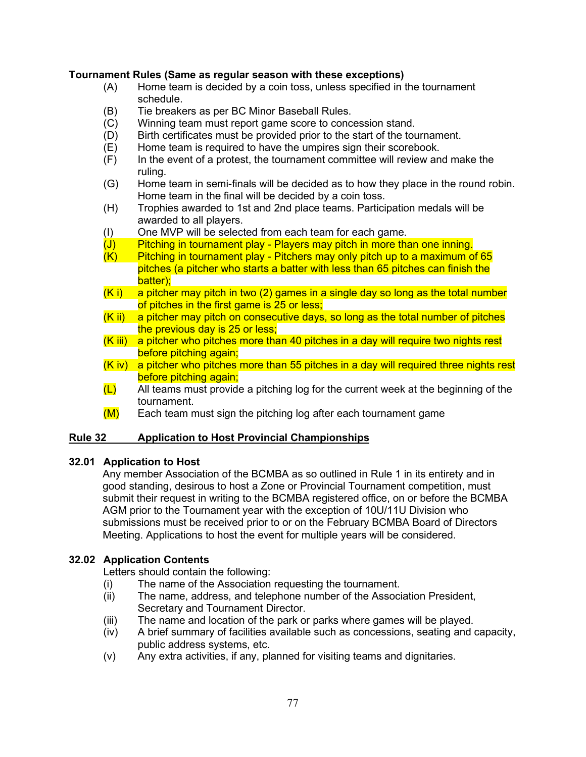#### **Tournament Rules (Same as regular season with these exceptions)**

- (A) Home team is decided by a coin toss, unless specified in the tournament schedule.
- (B) Tie breakers as per BC Minor Baseball Rules.
- (C) Winning team must report game score to concession stand.
- (D) Birth certificates must be provided prior to the start of the tournament.
- $(E)$  Home team is required to have the umpires sign their scorebook.
- (F) In the event of a protest, the tournament committee will review and make the ruling.
- (G) Home team in semi-finals will be decided as to how they place in the round robin. Home team in the final will be decided by a coin toss.
- (H) Trophies awarded to 1st and 2nd place teams. Participation medals will be awarded to all players.
- (I) One MVP will be selected from each team for each game.
- (J) Pitching in tournament play Players may pitch in more than one inning.<br>(K) Pitching in tournament play Pitchers may only pitch up to a maximum o
- Pitching in tournament play Pitchers may only pitch up to a maximum of 65 pitches (a pitcher who starts a batter with less than 65 pitches can finish the batter);
- $(K<sub>i</sub>)$  a pitcher may pitch in two (2) games in a single day so long as the total number of pitches in the first game is 25 or less;
- $(Kii)$  a pitcher may pitch on consecutive days, so long as the total number of pitches the previous day is 25 or less;
- (K iii) a pitcher who pitches more than 40 pitches in a day will require two nights rest before pitching again;
- (K iv) a pitcher who pitches more than 55 pitches in a day will required three nights rest before pitching again;
- $(L)$  All teams must provide a pitching log for the current week at the beginning of the tournament.
- $(M)$  Each team must sign the pitching log after each tournament game

#### **Rule 32 Application to Host Provincial Championships**

#### **32.01 Application to Host**

Any member Association of the BCMBA as so outlined in Rule 1 in its entirety and in good standing, desirous to host a Zone or Provincial Tournament competition, must submit their request in writing to the BCMBA registered office, on or before the BCMBA AGM prior to the Tournament year with the exception of 10U/11U Division who submissions must be received prior to or on the February BCMBA Board of Directors Meeting. Applications to host the event for multiple years will be considered.

#### **32.02 Application Contents**

Letters should contain the following:

- (i) The name of the Association requesting the tournament.<br>(ii) The name, address, and telephone number of the Associ
- The name, address, and telephone number of the Association President, Secretary and Tournament Director.
- (iii) The name and location of the park or parks where games will be played.
- (iv) A brief summary of facilities available such as concessions, seating and capacity, public address systems, etc.
- (v) Any extra activities, if any, planned for visiting teams and dignitaries.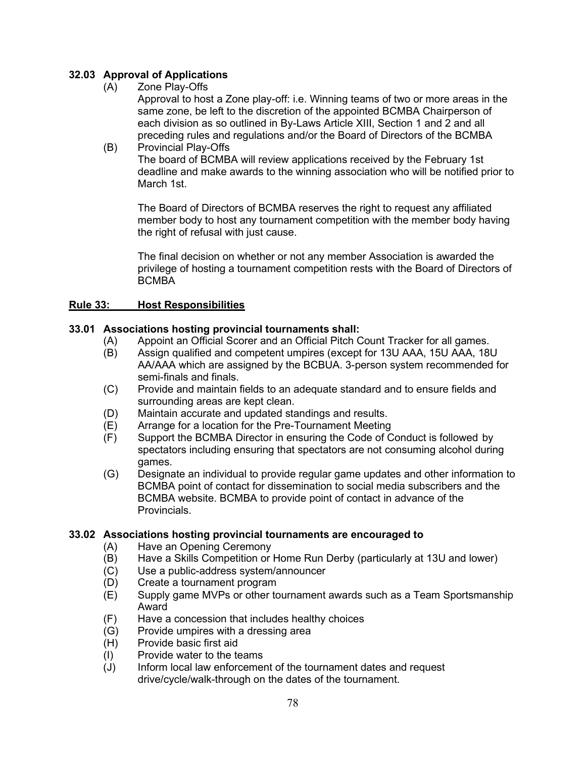# **32.03 Approval of Applications**

(A) Zone Play-Offs

Approval to host a Zone play-off: i.e. Winning teams of two or more areas in the same zone, be left to the discretion of the appointed BCMBA Chairperson of each division as so outlined in By-Laws Article XIII, Section 1 and 2 and all preceding rules and regulations and/or the Board of Directors of the BCMBA

(B) Provincial Play-Offs The board of BCMBA will review applications received by the February 1st deadline and make awards to the winning association who will be notified prior to March 1st.

The Board of Directors of BCMBA reserves the right to request any affiliated member body to host any tournament competition with the member body having the right of refusal with just cause.

The final decision on whether or not any member Association is awarded the privilege of hosting a tournament competition rests with the Board of Directors of **BCMBA** 

#### **Rule 33: Host Responsibilities**

#### **33.01 Associations hosting provincial tournaments shall:**

- (A) Appoint an Official Scorer and an Official Pitch Count Tracker for all games.<br>(B) Assign qualified and competent umpires (except for 13U AAA, 15U AAA, 18I
- Assign qualified and competent umpires (except for 13U AAA, 15U AAA, 18U AA/AAA which are assigned by the BCBUA. 3-person system recommended for semi-finals and finals.
- (C) Provide and maintain fields to an adequate standard and to ensure fields and surrounding areas are kept clean.
- (D) Maintain accurate and updated standings and results.
- (E) Arrange for a location for the Pre-Tournament Meeting
- (F) Support the BCMBA Director in ensuring the Code of Conduct is followed by spectators including ensuring that spectators are not consuming alcohol during games.
- (G) Designate an individual to provide regular game updates and other information to BCMBA point of contact for dissemination to social media subscribers and the BCMBA website. BCMBA to provide point of contact in advance of the Provincials.

# **33.02 Associations hosting provincial tournaments are encouraged to**

- Have an Opening Ceremony
- (B) Have a Skills Competition or Home Run Derby (particularly at 13U and lower)
- (C) Use a public-address system/announcer
- (D) Create a tournament program
- (E) Supply game MVPs or other tournament awards such as a Team Sportsmanship Award
- (F) Have a concession that includes healthy choices<br>(G) Provide umpires with a dressing area
- (G) Provide umpires with a dressing area<br>(H) Provide basic first aid
- Provide basic first aid
- (I) Provide water to the teams
- (J) Inform local law enforcement of the tournament dates and request drive/cycle/walk-through on the dates of the tournament.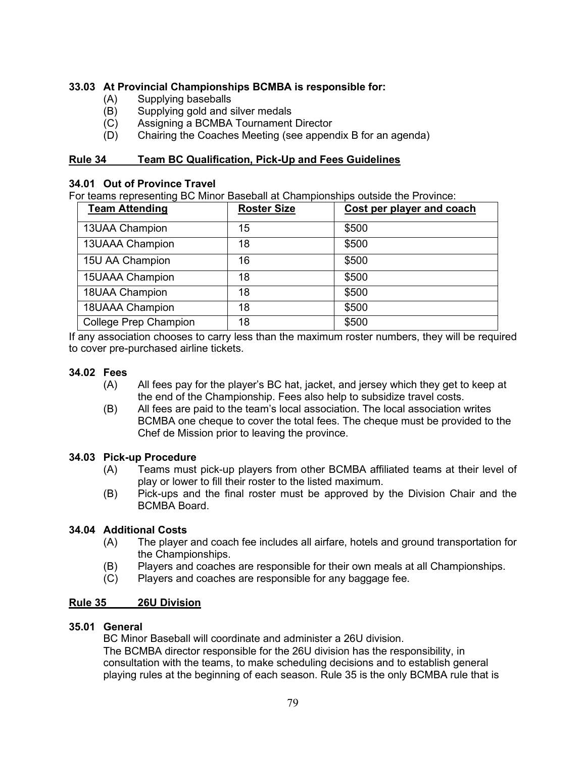## **33.03 At Provincial Championships BCMBA is responsible for:**

- (A) Supplying baseballs<br>(B) Supplying gold and s
- Supplying gold and silver medals
- (C) Assigning a BCMBA Tournament Director
- (D) Chairing the Coaches Meeting (see appendix B for an agenda)

#### **Rule 34 Team BC Qualification, Pick-Up and Fees Guidelines**

#### **34.01 Out of Province Travel**

For teams representing BC Minor Baseball at Championships outside the Province:

| <b>Team Attending</b>        | <b>Roster Size</b> | Cost per player and coach |
|------------------------------|--------------------|---------------------------|
| 13UAA Champion               | 15                 | \$500                     |
| 13UAAA Champion              | 18                 | \$500                     |
| 15U AA Champion              | 16                 | \$500                     |
| <b>15UAAA Champion</b>       | 18                 | \$500                     |
| 18UAA Champion               | 18                 | \$500                     |
| 18UAAA Champion              | 18                 | \$500                     |
| <b>College Prep Champion</b> | 18                 | \$500                     |

If any association chooses to carry less than the maximum roster numbers, they will be required to cover pre-purchased airline tickets.

#### **34.02 Fees**

- (A) All fees pay for the player's BC hat, jacket, and jersey which they get to keep at the end of the Championship. Fees also help to subsidize travel costs.
- (B) All fees are paid to the team's local association. The local association writes BCMBA one cheque to cover the total fees. The cheque must be provided to the Chef de Mission prior to leaving the province.

#### **34.03 Pick-up Procedure**

- (A) Teams must pick-up players from other BCMBA affiliated teams at their level of play or lower to fill their roster to the listed maximum.
- (B) Pick-ups and the final roster must be approved by the Division Chair and the BCMBA Board.

#### **34.04 Additional Costs**

- (A) The player and coach fee includes all airfare, hotels and ground transportation for the Championships.
- (B) Players and coaches are responsible for their own meals at all Championships.
- (C) Players and coaches are responsible for any baggage fee.

#### **Rule 35 26U Division**

#### **35.01 General**

BC Minor Baseball will coordinate and administer a 26U division. The BCMBA director responsible for the 26U division has the responsibility, in consultation with the teams, to make scheduling decisions and to establish general playing rules at the beginning of each season. Rule 35 is the only BCMBA rule that is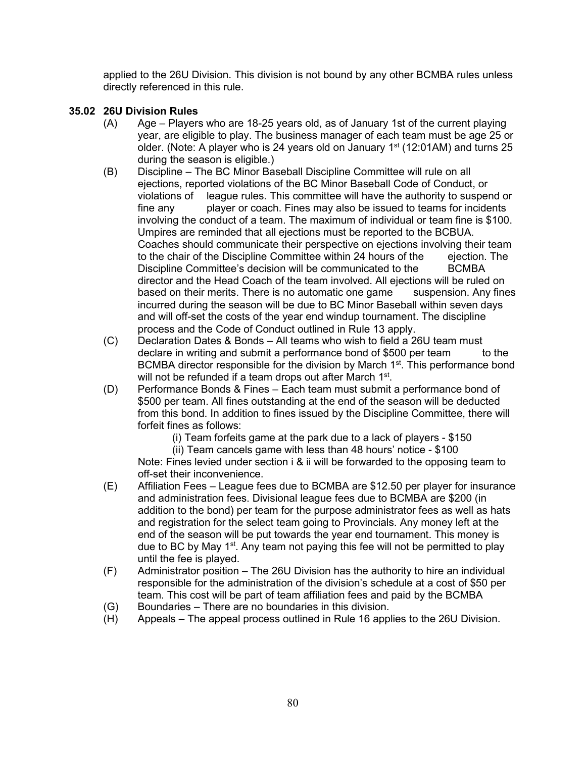applied to the 26U Division. This division is not bound by any other BCMBA rules unless directly referenced in this rule.

## **35.02 26U Division Rules**

- (A) Age Players who are 18-25 years old, as of January 1st of the current playing year, are eligible to play. The business manager of each team must be age 25 or older. (Note: A player who is 24 years old on January 1<sup>st</sup> (12:01AM) and turns 25 during the season is eligible.)
- (B) Discipline The BC Minor Baseball Discipline Committee will rule on all ejections, reported violations of the BC Minor Baseball Code of Conduct, or violations of league rules. This committee will have the authority to suspend or fine any player or coach. Fines may also be issued to teams for incidents involving the conduct of a team. The maximum of individual or team fine is \$100. Umpires are reminded that all ejections must be reported to the BCBUA. Coaches should communicate their perspective on ejections involving their team to the chair of the Discipline Committee within 24 hours of the ejection. The Discipline Committee's decision will be communicated to the BCMBA director and the Head Coach of the team involved. All ejections will be ruled on based on their merits. There is no automatic one game suspension. Any fines incurred during the season will be due to BC Minor Baseball within seven days and will off-set the costs of the year end windup tournament. The discipline process and the Code of Conduct outlined in Rule 13 apply.
- (C) Declaration Dates & Bonds All teams who wish to field a 26U team must declare in writing and submit a performance bond of \$500 per team to the BCMBA director responsible for the division by March 1<sup>st</sup>. This performance bond will not be refunded if a team drops out after March 1<sup>st</sup>.
- (D) Performance Bonds & Fines Each team must submit a performance bond of \$500 per team. All fines outstanding at the end of the season will be deducted from this bond. In addition to fines issued by the Discipline Committee, there will forfeit fines as follows:
	- (i) Team forfeits game at the park due to a lack of players \$150

(ii) Team cancels game with less than 48 hours' notice - \$100 Note: Fines levied under section i & ii will be forwarded to the opposing team to off-set their inconvenience.

- (E) Affiliation Fees League fees due to BCMBA are \$12.50 per player for insurance and administration fees. Divisional league fees due to BCMBA are \$200 (in addition to the bond) per team for the purpose administrator fees as well as hats and registration for the select team going to Provincials. Any money left at the end of the season will be put towards the year end tournament. This money is due to BC by May  $1<sup>st</sup>$ . Any team not paying this fee will not be permitted to play until the fee is played.
- (F) Administrator position The 26U Division has the authority to hire an individual responsible for the administration of the division's schedule at a cost of \$50 per team. This cost will be part of team affiliation fees and paid by the BCMBA
- (G) Boundaries There are no boundaries in this division.
- (H) Appeals The appeal process outlined in Rule 16 applies to the 26U Division.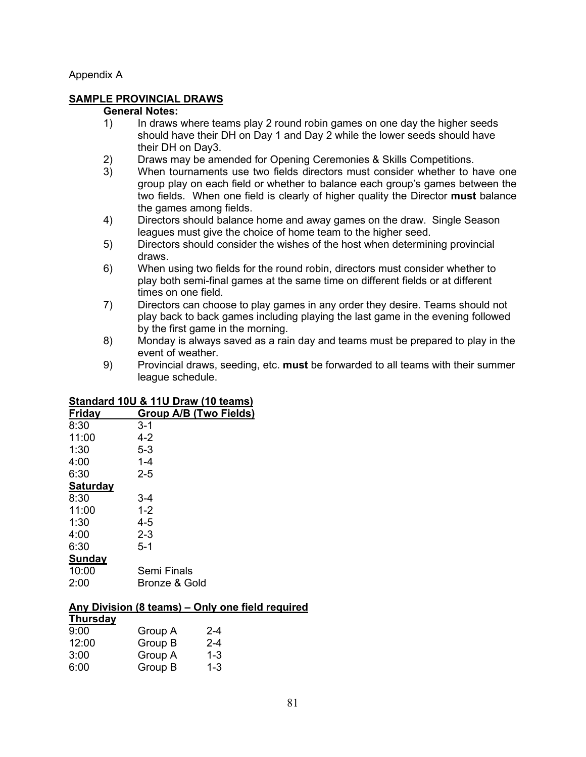#### Appendix A

#### **SAMPLE PROVINCIAL DRAWS**

#### **General Notes:**

- 1) In draws where teams play 2 round robin games on one day the higher seeds should have their DH on Day 1 and Day 2 while the lower seeds should have their DH on Day3.
- 2) Draws may be amended for Opening Ceremonies & Skills Competitions.<br>3) When tournaments use two fields directors must consider whether to h
- When tournaments use two fields directors must consider whether to have one group play on each field or whether to balance each group's games between the two fields. When one field is clearly of higher quality the Director **must** balance the games among fields.
- 4) Directors should balance home and away games on the draw. Single Season leagues must give the choice of home team to the higher seed.
- 5) Directors should consider the wishes of the host when determining provincial draws.
- 6) When using two fields for the round robin, directors must consider whether to play both semi-final games at the same time on different fields or at different times on one field.
- 7) Directors can choose to play games in any order they desire. Teams should not play back to back games including playing the last game in the evening followed by the first game in the morning.
- 8) Monday is always saved as a rain day and teams must be prepared to play in the event of weather.
- 9) Provincial draws, seeding, etc. **must** be forwarded to all teams with their summer league schedule.

# **Standard 10U & 11U Draw (10 teams)**

| Friday          | <b>Group A/B (Two Fields)</b> |
|-----------------|-------------------------------|
| 8:30            | 3-1                           |
| 11:00           | $4 - 2$                       |
| 1:30            | $5-3$                         |
| 4:00            | $1 - 4$                       |
| 6:30            | $2 - 5$                       |
| <b>Saturday</b> |                               |
| 8:30            | 3-4                           |
| 11:00           | $1 - 2$                       |
| 1:30            | $4 - 5$                       |
| 4:00            | $2 - 3$                       |
| 6:30            | $5 - 1$                       |
| Sunday          |                               |
| 10:00           | Semi Finals                   |
| 2:00            | Bronze & Gold                 |
|                 |                               |

# **Any Division (8 teams) – Only one field required**

#### **Thursday** 9:00 Group A 2-4<br>12:00 Group B 2-4 Group B 3:00 Group A 1-3 6:00 Group B 1-3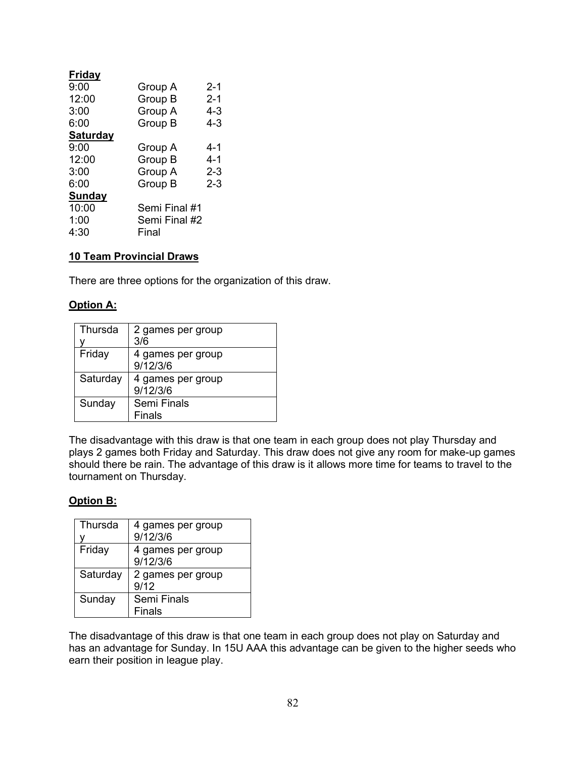| Friday          |               |         |
|-----------------|---------------|---------|
| 9:00            | Group A       | $2 - 1$ |
| 12:00           | Group B       | $2 - 1$ |
| 3:00            | Group A       | $4 - 3$ |
| 6:00            | Group B       | $4 - 3$ |
| <b>Saturday</b> |               |         |
| 9:00            | Group A       | 4-1     |
| 12:00           | Group B       | 4-1     |
| 3:00            | Group A       | $2 - 3$ |
| 6:00            | Group B       | $2 - 3$ |
| Sunday          |               |         |
| 10:00           | Semi Final #1 |         |
| 1:00            | Semi Final #2 |         |
| 4:30            | Final         |         |
|                 |               |         |

# **10 Team Provincial Draws**

There are three options for the organization of this draw.

## **Option A:**

| Thursda  | 2 games per group<br>3/6      |
|----------|-------------------------------|
| Friday   | 4 games per group<br>9/12/3/6 |
| Saturday | 4 games per group<br>9/12/3/6 |
| Sunday   | Semi Finals<br><b>Finals</b>  |

The disadvantage with this draw is that one team in each group does not play Thursday and plays 2 games both Friday and Saturday. This draw does not give any room for make-up games should there be rain. The advantage of this draw is it allows more time for teams to travel to the tournament on Thursday.

#### **Option B:**

| Thursda  | 4 games per group<br>9/12/3/6 |
|----------|-------------------------------|
| Friday   | 4 games per group<br>9/12/3/6 |
| Saturday | 2 games per group<br>9/12     |
| Sunday   | Semi Finals<br><b>Finals</b>  |

The disadvantage of this draw is that one team in each group does not play on Saturday and has an advantage for Sunday. In 15U AAA this advantage can be given to the higher seeds who earn their position in league play.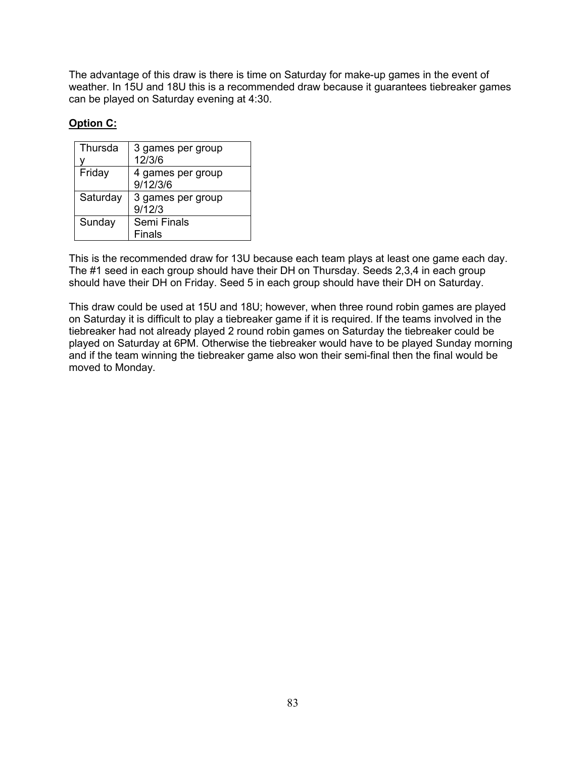The advantage of this draw is there is time on Saturday for make-up games in the event of weather. In 15U and 18U this is a recommended draw because it guarantees tiebreaker games can be played on Saturday evening at 4:30.

# **Option C:**

| 3 games per group |
|-------------------|
| 12/3/6            |
| 4 games per group |
| 9/12/3/6          |
| 3 games per group |
| 9/12/3            |
| Semi Finals       |
| <b>Finals</b>     |
|                   |

This is the recommended draw for 13U because each team plays at least one game each day. The #1 seed in each group should have their DH on Thursday. Seeds 2,3,4 in each group should have their DH on Friday. Seed 5 in each group should have their DH on Saturday.

This draw could be used at 15U and 18U; however, when three round robin games are played on Saturday it is difficult to play a tiebreaker game if it is required. If the teams involved in the tiebreaker had not already played 2 round robin games on Saturday the tiebreaker could be played on Saturday at 6PM. Otherwise the tiebreaker would have to be played Sunday morning and if the team winning the tiebreaker game also won their semi-final then the final would be moved to Monday.